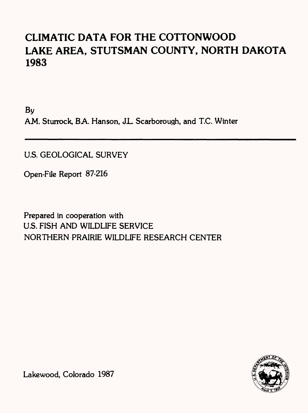# **CLIMATIC DATA FOR THE COTTONWOOD LAKE AREA, STUTSMAN COUNTY, NORTH DAKOTA 1983**

By AM. Sturrock, BA. Hanson, JL. Scarborough, and T.C. Winter

U.S. GEOLOGICAL SURVEY

Open-File Report 87-216

Prepared in cooperation with U.S. FISH AND WILDLIFE SERVICE NORTHERN PRAIRIE WILDLIFE RESEARCH CENTER



Lakewood, Colorado 1987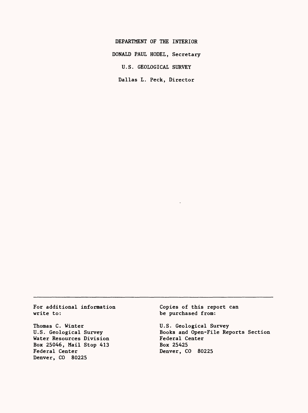DEPARTMENT OF THE INTERIOR

DONALD PAUL HODEL, Secretary

U.S. GEOLOGICAL SURVEY

Dallas L. Peck, Director

For additional information write to:

Thomas C. Winter U.S. Geological Survey Water Resources Division Box 25046, Mail Stop 413 Federal Center Denver, CO 80225

Copies of this report can be purchased from:

U.S. Geological Survey Books and Open-File Reports Section Federal Center Box 25425 Denver, CO 80225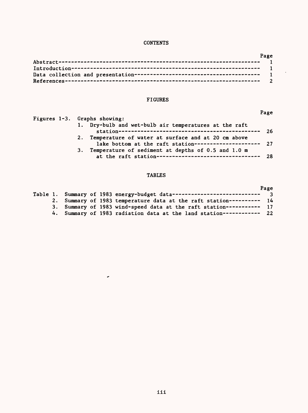## **CONTENTS**

| Page |
|------|
|      |
|      |
|      |
|      |

# FIGURES

| Figures 1-3. Graphs showing:                                                                                    |     |
|-----------------------------------------------------------------------------------------------------------------|-----|
| 1. Dry-bulb and wet-bulb air temperatures at the raft                                                           | -26 |
|                                                                                                                 |     |
| 2. Temperature of water at surface and at 20 cm above<br>lake bottom at the raft station-------------------- 27 |     |
| 3. Temperature of sediment at depths of 0.5 and 1.0 m                                                           |     |
| at the raft station--------------------------------- 28                                                         |     |

## TABLES

|    |  |                                                                            | Page |
|----|--|----------------------------------------------------------------------------|------|
|    |  | Table 1. Summary of 1983 energy-budget data----------------------------- 3 |      |
| 2. |  | Summary of 1983 temperature data at the raft station---------- 14          |      |
|    |  | 3. Summary of 1983 wind-speed data at the raft station----------- 17       |      |
|    |  | 4. Summary of 1983 radiation data at the land station------------ 22       |      |

 $\tilde{\phantom{a}}$ 

Page

 $\mathcal{L}^{\pm}$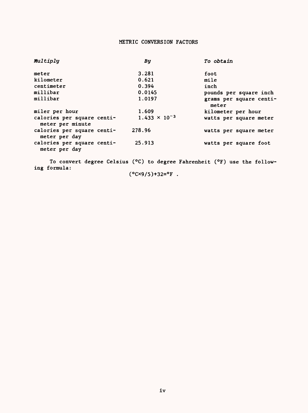### METRIC CONVERSION FACTORS

| Multiply                                       | By                     | To obtain                        |
|------------------------------------------------|------------------------|----------------------------------|
| meter                                          | 3.281                  | foot                             |
| kilometer                                      | 0.621                  | mile                             |
| centimeter                                     | 0.394                  | inch                             |
| millibar                                       | 0.0145                 | pounds per square inch           |
| millibar                                       | 1.0197                 | grams per square centi-<br>meter |
| miler per hour                                 | 1.609                  | kilometer per hour               |
| calories per square centi-<br>meter per minute | $1.433 \times 10^{-3}$ | watts per square meter           |
| calories per square centi-<br>meter per day    | 278.96                 | watts per square meter           |
| calories per square centi-<br>meter per day    | 25.913                 | watts per square foot            |

To convert degree Celsius (°C) to degree Fahrenheit (°F) use the following formula:

# $(^{\circ}C \times 9/5) + 32 = ^{\circ}F$ .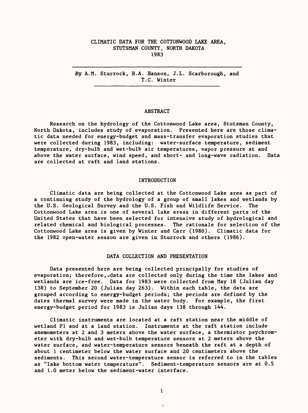#### CLIMATIC DATA FOR THE COTTONWOOD LAKE AREA, STUTSMAN COUNTY, NORTH DAKOTA 1983

By A.M. Sturrock, B.A. Hanson, J.L. Scarborough, and T.C. Winter

#### ABSTRACT

Research on the hydrology of the Cottonwood Lake area, Stutsman County, North Dakota, includes study of evaporation. Presented here are those climatic data needed for energy-budget and mass-transfer evaporation studies that were collected during 1983, including: water-surface temperature, sediment temperature, dry-bulb and wet-bulb air temperatures, vapor pressure at and above the water surface, wind speed, and short- and long-wave radiation. Data are collected at raft and land stations.

#### INTRODUCTION

Climatic data are being collected at the Cottonwood Lake area as part of a continuing study of the hydrology of a group of small lakes and wetlands by the U.S. Geological Survey and the U.S. Fish and Wildlife Service. The Cottonwood Lake area is one of several lake areas in different parts of the United States that have been selected for intensive study of hydrological and related chemical and biological processes. The rationale for selection of the Cottonwood Lake area is given by Winter and Carr (1980). Climatic data for the 1982 open-water season are given in Sturrock and others (1986).

#### DATA COLLECTION AND PRESENTATION

Data presented here are being collected principally for studies of evaporation; therefore, -data are collected only during the time the lakes and wetlands are ice-free. Data for 1983 were collected from May 18 (Julian day 138) to September 20 (Julian day 263). Within each table, the data are grouped according to energy-budget periods; the periods are defined by the dates thermal survey were made in the water body. For example, the first energy-budget period for 1983 is Julian days 138 through 144.

Climatic instruments are located at a raft station near the middle of wetland PI and at a land station. Instruments at the raft station include anemometers at 2 and 3 meters above the water surface, a thermistor psychrometer with dry-bulb and wet-bulb temperature sensors at 2 meters above the water surface, and water-temperature sensors beneath the raft at a depth of about 1 centimeter below the water surface and 20 centimeters above the sediments. This second water-temperature sensor is referred to in the tables as "lake bottom water temperature". Sediment-temperature sensors are at 0.5 and 1.0 meter below the sediment-water interface.

 $\pmb{\ast}$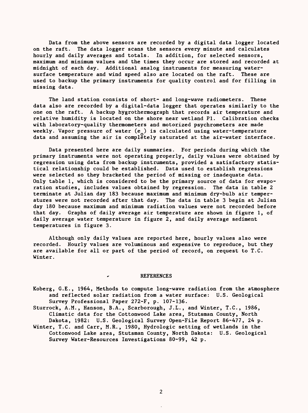Data from the above sensors are recorded by a digital data logger located on the raft. The data logger scans the sensors every minute and calculates hourly and daily averages and totals. In addition, for selected sensors, maximum and minimum values and the times they occur are stored and recorded at midnight of each day. Additional analog instruments for measuring watersurface temperature and wind speed also are located on the raft. These are used to backup the primary instruments for quality control and for filling in missing data.

The land station consists of short- and long-wave radiometers. These data also are recorded by a digital-data logger that operates similarly to the one on the raft. A backup hygrothermograph that records air temperature and relative humidity is located on the shore near wetland PI. Calibration checks with laboratory-quality thermometers and motorized psychrometers are made weekly. Vapor pressure of water  $(e_n)$  is calculated using water-temperature data and assuming the air is completely saturated at the air-water interface.

Data presented here are daily summaries. For periods during which the primary instruments were not operating properly, daily values were obtained by regression using data from backup instruments, provided a satisfactory statistical relationship could be established. Data used to establish regressions were selected so they bracketed the period of missing or inadequate data. Only table 1, which is considered to be the primary source of data for evaporation studies, includes values obtained by regression. The data in table 2 terminate at Julian day 183 because maximum and minimum dry-bulb air temperatures were not recorded after that day. The data in table 3 begin at Julian day 180 because maximum and minimum radiation values were not recorded before that day. Graphs of daily average air temperature are shown in figure 1, of daily average water temperature in figure 2, and daily average sediment temperatures in figure 3.

Although only daily values are reported here, hourly values also were recorded. Hourly values are voluminous and expensive to reproduce, but they are available for all or part of the period of record, on request to T.C. Winter.

#### REFERENCES

- Koberg, G.E., 1964, Methods to compute long-wave radiation from the atmosphere and reflected solar radiation from a water surface: U.S. Geological Survey Professional Paper 272-F, p. 107-136.
- Sturrock, A.M., Hanson, B.A., Scarborough, J.L., and Winter, T.C., 1986, Climatic data for the Cottonwood Lake area, Stutsman County, North Dakota, 1982: U.S. Geological Survey Open-File Report 86-477, 24 p.
- Winter, T.C. and Carr, M.R., 1980, Hydrologic setting of wetlands in the Cottonwood Lake area, Stutsman County, North Dakota: U.S. Geological Survey Water-Resources Investigations 80-99, 42 p.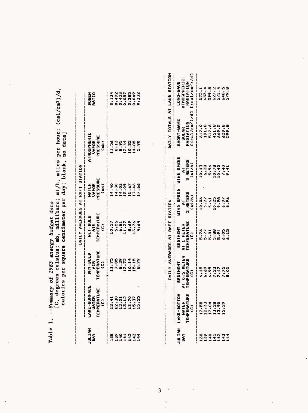Table 1. --Summary of 1983 energy budget data

[C, degrees celsius;  $mb$ ,  $md11$ ibars;  $md/h$ ,  $md1$ es per hour; (cal/cm2)/d, Table 1. --Summary of 1983 energy budget data<br>[C, degrees celsius; mb, millibars; mi/h, miles per hour; (cal/cm<sup>2</sup>)/d,<br>calories per square centimeter per day; blank, no data] calories per square centimeter per day; blank, no data]

| <b>NAITION</b>                                                                                                                                                                                                                                                                                                                                                                                                 | LAKE-BURFACE<br>WATER<br>TEMPERATURE<br>TEMPERATURE | DRY-BULB<br>AIR<br>TEMPERATURE<br>(C)                                                    | WET-BULB<br>AIR<br>TEMPERATURE<br>TEMPERATURE | WATER<br>VAPOR<br>PRESSURE<br>KESSURE | <b>\THOSPHERIC</b><br>VAFOR<br>PRESSURE<br>PRESSURE | <b>BOUEN</b><br>RATIO                        |
|----------------------------------------------------------------------------------------------------------------------------------------------------------------------------------------------------------------------------------------------------------------------------------------------------------------------------------------------------------------------------------------------------------------|-----------------------------------------------------|------------------------------------------------------------------------------------------|-----------------------------------------------|---------------------------------------|-----------------------------------------------------|----------------------------------------------|
|                                                                                                                                                                                                                                                                                                                                                                                                                |                                                     | $+11,75$<br>$11,765$<br>$12,729$<br>$12,729$<br>$12,75$<br>$13,79$<br>$13,79$<br>$13,79$ | -------                                       |                                       |                                                     |                                              |
|                                                                                                                                                                                                                                                                                                                                                                                                                |                                                     |                                                                                          |                                               |                                       |                                                     |                                              |
|                                                                                                                                                                                                                                                                                                                                                                                                                |                                                     |                                                                                          |                                               |                                       |                                                     |                                              |
|                                                                                                                                                                                                                                                                                                                                                                                                                |                                                     |                                                                                          |                                               |                                       |                                                     |                                              |
| $\begin{array}{@{}c@{\hspace{1em}}c@{\hspace{1em}}c@{\hspace{1em}}c@{\hspace{1em}}c@{\hspace{1em}}c@{\hspace{1em}}c@{\hspace{1em}}c@{\hspace{1em}}c@{\hspace{1em}}c@{\hspace{1em}}c@{\hspace{1em}}c@{\hspace{1em}}c@{\hspace{1em}}c@{\hspace{1em}}c@{\hspace{1em}}c@{\hspace{1em}}c@{\hspace{1em}}c@{\hspace{1em}}c@{\hspace{1em}}c@{\hspace{1em}}c@{\hspace{1em}}c@{\hspace{1em}}c@{\hspace{1em}}c@{\hspace{$ |                                                     |                                                                                          |                                               |                                       |                                                     | 1334<br>1992<br>1992<br>1993<br>1992<br>1992 |
|                                                                                                                                                                                                                                                                                                                                                                                                                |                                                     |                                                                                          |                                               |                                       |                                                     |                                              |
|                                                                                                                                                                                                                                                                                                                                                                                                                |                                                     |                                                                                          |                                               |                                       |                                                     |                                              |

|                              |                                                    |                                                | DAILY AVERAGES AT RAFT STATION               |                                        |                                        |                                                         | DAILY TOTALS AT LAND STATION                                       |
|------------------------------|----------------------------------------------------|------------------------------------------------|----------------------------------------------|----------------------------------------|----------------------------------------|---------------------------------------------------------|--------------------------------------------------------------------|
| <b>NATION</b>                | LAKE-BOTTOM<br>WATER<br>TEMPERATURE<br>TEMPERATURE | SEDIMENT<br>AT 0.5 METER<br>TEMPERATURE<br>(C) | SEDIMENT<br>AT 1 METER<br>TEMPERATURE<br>CC) | JIND SPEED<br>2 Meters<br>2 Meters     | WIND SPEED<br>AT<br>3 METERS<br>(mi/h) | SHORT-MAVE<br>SOLAR<br>RADIATION<br>RADIATION<br>LLLLLA | LONG-WAVE<br>ATMOSFHERIC<br>RADIATION<br>E(cal/cm <sup>2)/d3</sup> |
| 8001NM4<br>MM44444<br>HHHHHH |                                                    |                                                | 5.7588801                                    | 8488528<br><b>1949</b><br>1949<br>1949 |                                        |                                                         |                                                                    |
|                              |                                                    |                                                |                                              |                                        |                                        |                                                         |                                                                    |
|                              |                                                    |                                                |                                              |                                        |                                        |                                                         |                                                                    |
|                              |                                                    |                                                |                                              |                                        |                                        |                                                         |                                                                    |
|                              |                                                    |                                                |                                              |                                        |                                        |                                                         |                                                                    |
|                              |                                                    |                                                |                                              |                                        |                                        |                                                         |                                                                    |
|                              |                                                    |                                                |                                              |                                        |                                        |                                                         |                                                                    |

 $\rightarrow$  $\overline{1}$ 

 $\mathfrak{z}$ 

 $\ddot{\phantom{0}}$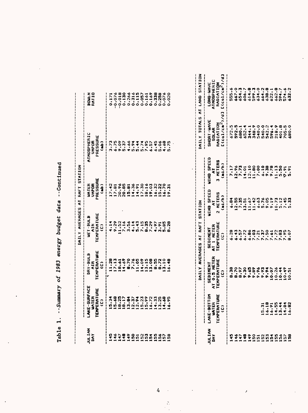| LAKE-SURFACE<br>WATER<br>TEMPERATURE<br>TEMPERATURE<br>JULIAN<br>DAY<br>in<br>1<br>$\frac{1}{2}$ |                                        |                                         |                                        |                                              |                                                          |
|--------------------------------------------------------------------------------------------------|----------------------------------------|-----------------------------------------|----------------------------------------|----------------------------------------------|----------------------------------------------------------|
|                                                                                                  |                                        | UAILY AVERAGES AT RAFT STATION          |                                        |                                              |                                                          |
|                                                                                                  | DRY-BULB<br>AIR<br>TEMPERATURE<br>(C)  | WET-BULB<br>AIR<br>TEMPERATURE<br>CC)   | WATER<br>VAPOR<br>Pressure<br>Pressure | ATMOSPHERIC<br>VAPOR<br>PRESSURE<br>PRESSURE | <b>BOWEN</b><br>RATIO                                    |
|                                                                                                  |                                        |                                         |                                        |                                              |                                                          |
|                                                                                                  | 117848/11898821919<br>117848/119988719 | 4<br>しらごしごし4とこのく 4とこの<br>そうじょうしょしじゃくちゅう |                                        |                                              | 128834551288830<br>1200131193118300<br>10001311931183000 |
|                                                                                                  |                                        |                                         |                                        |                                              |                                                          |
|                                                                                                  |                                        |                                         |                                        |                                              |                                                          |
|                                                                                                  |                                        |                                         |                                        |                                              |                                                          |
|                                                                                                  |                                        |                                         |                                        |                                              |                                                          |
|                                                                                                  |                                        |                                         |                                        |                                              |                                                          |
|                                                                                                  |                                        |                                         |                                        |                                              |                                                          |
|                                                                                                  |                                        |                                         |                                        |                                              |                                                          |
|                                                                                                  |                                        |                                         |                                        |                                              |                                                          |
|                                                                                                  |                                        |                                         |                                        |                                              |                                                          |
|                                                                                                  |                                        |                                         |                                        |                                              |                                                          |
|                                                                                                  |                                        |                                         |                                        |                                              |                                                          |
|                                                                                                  |                                        |                                         |                                        |                                              |                                                          |

| utir.<br>$\frac{1}{1}$ |
|------------------------|
|                        |
| adget data             |
| energy l               |
| 1983                   |
| $\ddot{\epsilon}$      |
| mmaF                   |
| $\ddot{\phantom{0}}$   |
|                        |

 $\ddot{\phantom{0}}$ 

|                                                                                               |                                                                           |                                                | DAILY AVERAGES AT RAFT                      | STATION                                |                                    | INUTIONS AT LAND                                           | <b>1011013</b>                                                                            |
|-----------------------------------------------------------------------------------------------|---------------------------------------------------------------------------|------------------------------------------------|---------------------------------------------|----------------------------------------|------------------------------------|------------------------------------------------------------|-------------------------------------------------------------------------------------------|
| ρχ                                                                                            | LAKE-BOTTOM<br>WATER<br>TEMPERATURE<br>TEMPERATURE                        | SEDIMENT<br>AT 0.5 METER<br>Temperature<br>"C) | SEDIMENT<br>AT 1 METER<br>TEMPERATURE<br>C) | JIND SPEED<br>AT<br>2 Meters<br>(mi/h) | WIND SPEED<br>3 METERS<br>3 METERS | SHORT-WAVE<br>SOLAR<br>RADIATION<br>(c <sub>a1/cm2</sub> ) | LONG-WAVE<br>ATMOSPHERIC<br>RADIATION<br>$(c_9)$ / $c_8$ <sup>2</sup>                     |
|                                                                                               |                                                                           |                                                |                                             |                                        |                                    |                                                            |                                                                                           |
| A A A A A A A A A A A A A A<br>4 4 4 4 4 5 5 5 5 5 6 5 6 6 7 6<br>5 4 4 4 4 4 4 4 4 4 4 4 4 4 |                                                                           |                                                |                                             |                                        |                                    |                                                            |                                                                                           |
|                                                                                               |                                                                           |                                                |                                             |                                        |                                    |                                                            |                                                                                           |
|                                                                                               |                                                                           |                                                |                                             |                                        |                                    |                                                            |                                                                                           |
|                                                                                               |                                                                           |                                                |                                             |                                        |                                    |                                                            |                                                                                           |
|                                                                                               |                                                                           |                                                |                                             |                                        |                                    |                                                            |                                                                                           |
|                                                                                               |                                                                           |                                                |                                             |                                        |                                    |                                                            |                                                                                           |
|                                                                                               |                                                                           |                                                |                                             |                                        |                                    |                                                            |                                                                                           |
|                                                                                               |                                                                           |                                                |                                             |                                        |                                    |                                                            |                                                                                           |
|                                                                                               |                                                                           |                                                |                                             |                                        |                                    |                                                            |                                                                                           |
|                                                                                               |                                                                           |                                                |                                             |                                        |                                    |                                                            |                                                                                           |
|                                                                                               |                                                                           |                                                |                                             |                                        |                                    |                                                            |                                                                                           |
|                                                                                               |                                                                           |                                                |                                             |                                        |                                    |                                                            |                                                                                           |
|                                                                                               | $15.31$<br>$0.491$<br>$0.494$<br>$0.494$<br>$0.494$<br>$0.494$<br>$0.494$ |                                                |                                             |                                        |                                    |                                                            | S<br>Diverse e donation<br>Diverse e donation<br>Diverse e donation<br>Diverse e donation |

 $\label{eq:2} \mathcal{F}^{(1)}_{\text{max}}(x) = \frac{1}{\sqrt{2\pi}} \sum_{i=1}^{\infty} \frac{1}{\sqrt{2\pi}} \sum_{i=1}^{\infty} \frac{1}{\sqrt{2\pi}} \sum_{i=1}^{\infty} \frac{1}{\sqrt{2\pi}} \sum_{i=1}^{\infty} \frac{1}{\sqrt{2\pi}} \sum_{i=1}^{\infty} \frac{1}{\sqrt{2\pi}} \sum_{i=1}^{\infty} \frac{1}{\sqrt{2\pi}} \sum_{i=1}^{\infty} \frac{1}{\sqrt{2\pi}} \sum_{i=1}^{\infty} \$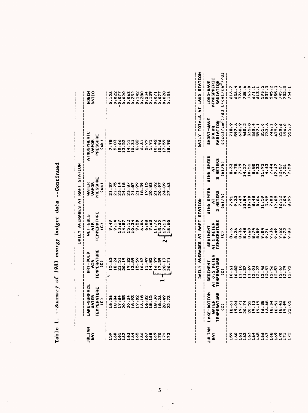| JULIAN<br>DAY             |                                  |                                                                                                                                                                                                                                                                                                | AVERABES<br>DAILY                                           | RAFT<br>$\overline{\bullet}$          | <b>STATION</b>            |                                                            |                               |
|---------------------------|----------------------------------|------------------------------------------------------------------------------------------------------------------------------------------------------------------------------------------------------------------------------------------------------------------------------------------------|-------------------------------------------------------------|---------------------------------------|---------------------------|------------------------------------------------------------|-------------------------------|
|                           | LAKE-SURFACE                     | DRY-BULB                                                                                                                                                                                                                                                                                       | <b>AET-BULB</b>                                             | UNTER                                 |                           | ATMOSPHERIC                                                | BOWEN<br>RATIO                |
|                           | TEMPERATURE<br><b>UNTER</b><br>ĝ | TEMPERATURE<br>AIR<br>ĝ                                                                                                                                                                                                                                                                        | TEMPERATURE<br>AIR<br>C<br>ĝ                                | PRESSURE<br><b>VAPOR</b><br>$\hat{a}$ |                           | PRESSURE<br><b>VAPOR</b><br>$\hat{a}$                      |                               |
| s,                        | 8.56                             | 5.63                                                                                                                                                                                                                                                                                           | $-49$<br>G.                                                 | ņ<br>$\overline{2}$                   |                           | 86.                                                        |                               |
| 33                        | 18.84                            | 18.24                                                                                                                                                                                                                                                                                          | $9.14$<br>$3.67$                                            |                                       |                           | 5.83                                                       | $0.126$<br>$0.022$<br>$0.077$ |
| $\boldsymbol{\delta}$     | 20.55                            |                                                                                                                                                                                                                                                                                                | 4.87                                                        | 21.75<br>23.14<br>24.18               |                           | $\frac{30}{100}$ $\frac{5}{100}$                           | 0.020                         |
|                           | 20.34                            | 20.19                                                                                                                                                                                                                                                                                          | $\blacksquare$                                              |                                       |                           |                                                            |                               |
| 335                       |                                  | 19.32<br>13.89<br>15.59                                                                                                                                                                                                                                                                        | 15.12<br>10.34                                              | $23.87$<br>$21.87$                    |                           |                                                            |                               |
|                           | 8.02                             |                                                                                                                                                                                                                                                                                                |                                                             | 21.99                                 |                           | 8.02                                                       |                               |
| 63                        | 6.18                             | 0.47                                                                                                                                                                                                                                                                                           | 6.06                                                        | 18.39                                 |                           | $\frac{1}{6}$ , $\frac{3}{5}$ , $\frac{3}{5}$              |                               |
| $\boldsymbol{\delta}$ 8   | 16.82<br>18.15                   | $\ddot{\bullet}$<br>4.82<br>$\frac{1}{2}$                                                                                                                                                                                                                                                      |                                                             | 9,15<br>20.83<br>⊶                    |                           |                                                            |                               |
|                           | 18.30                            | 16.99<br>17.59                                                                                                                                                                                                                                                                                 |                                                             | 21.02                                 |                           | 0.42                                                       | 32233422527                   |
|                           | 18.26                            | ᆏ                                                                                                                                                                                                                                                                                              |                                                             | 20.97                                 |                           | $5.96$<br>7.59                                             |                               |
| 16722                     | 20.49<br>22.73                   | 20.17<br>0.71<br>N                                                                                                                                                                                                                                                                             | 32222230<br>32223230<br>3223230<br>159<br>$\mathbf{\Omega}$ | 24.09<br>27.63                        |                           | 8.90                                                       | 0.028<br>.134<br>$\circ$      |
|                           |                                  |                                                                                                                                                                                                                                                                                                |                                                             |                                       |                           |                                                            |                               |
|                           |                                  | <b>AVERAGES</b><br>DAILY                                                                                                                                                                                                                                                                       | AT RAFT                                                     | <b>STATION</b>                        |                           | DAILY TOTALS                                               | ā<br><b>AT LAND</b>           |
| JULIAN                    | LAKE-BOTTOM                      | SEDIMENT                                                                                                                                                                                                                                                                                       | <b>SEDIMENT</b>                                             | WIND SPEED                            | <b>WIND SPEED</b>         | SHORT-WAVE                                                 | <b>NH-9NO</b>                 |
| DAY                       | WATER<br>TEMPERATURE             | AT 0.5 METER<br>TEMPERATURE                                                                                                                                                                                                                                                                    | TEMPERATURE<br><b>AT 1 NETER</b>                            | <b>HETERS</b><br>ξ<br>$\alpha$        | 3 METERS<br>ξ             | $C$ (cal/cm <sup>2</sup> )/d]<br>RADIATION<br><b>SOLAR</b> | <b>ATHOSPHE</b><br>RADIATI    |
|                           | $\ddot{c}$                       | ĝ                                                                                                                                                                                                                                                                                              | $\ddot{\omega}$                                             | (mi/h)                                | (m1/h)                    |                                                            | [(cal/cm                      |
| $\frac{5}{2}$             | 8.61                             | 0.61                                                                                                                                                                                                                                                                                           | 8.16                                                        | 7.91                                  | 8.33                      | 718.9                                                      | 616.7                         |
| $\boldsymbol{\mathsf{s}}$ | 19.04                            | 1.10<br>10.82                                                                                                                                                                                                                                                                                  | 348<br>8.348<br>8.48                                        |                                       | $9.75$<br>$7.79$<br>14.27 | 630.9<br>597.6                                             | 656.                          |
| 161<br>162                | 20.74                            | 1.37                                                                                                                                                                                                                                                                                           |                                                             |                                       |                           | 460.2                                                      | 738.6                         |
|                           |                                  |                                                                                                                                                                                                                                                                                                |                                                             |                                       | 10.51                     | 335.0                                                      | 763.(                         |
| 163<br>1645               | $20.52$<br>19.13<br>19.19        |                                                                                                                                                                                                                                                                                                |                                                             |                                       | 8.33                      | 360.4                                                      | 613.1                         |
|                           | 6.38                             | $\frac{3}{30}$<br>$\frac{3}{3}$<br>$\frac{3}{3}$<br>$\frac{3}{3}$<br>$\frac{3}{3}$<br>$\frac{3}{3}$<br>$\frac{3}{3}$<br>$\frac{3}{3}$<br>$\frac{3}{3}$<br>$\frac{3}{3}$<br>$\frac{3}{3}$<br>$\frac{3}{3}$<br>$\frac{3}{3}$<br>$\frac{3}{3}$<br>$\frac{3}{3}$<br>$\frac{3}{3}$<br>$\frac{3}{3}$ |                                                             | 11.59                                 | 11.92                     | 355.0                                                      |                               |
| 166<br>167                | $6.48$<br>8.34                   |                                                                                                                                                                                                                                                                                                | 9.36                                                        | $\frac{3}{7}.\overline{08}$           | $4.43$<br>7.44            | 733.6                                                      | $\ddot{\cdot}$<br>5937        |
| 168<br>169                |                                  |                                                                                                                                                                                                                                                                                                | 9.49                                                        |                                       |                           | 746.1                                                      | 545.7                         |
|                           | 18.51                            | $2.57$<br>$7.57$                                                                                                                                                                                                                                                                               | $\ddot{\bm{z}}$<br>$\ddot{\phantom{a}}$                     | 12.09                                 | 12.47                     | 479.9<br>220                                               | ٠.<br>655                     |

| - Continuec     |
|-----------------|
|                 |
|                 |
|                 |
|                 |
|                 |
|                 |
|                 |
|                 |
|                 |
|                 |
|                 |
|                 |
|                 |
|                 |
|                 |
|                 |
|                 |
|                 |
|                 |
| data            |
|                 |
|                 |
|                 |
|                 |
|                 |
|                 |
|                 |
|                 |
|                 |
|                 |
|                 |
|                 |
|                 |
|                 |
|                 |
|                 |
|                 |
|                 |
|                 |
|                 |
|                 |
|                 |
| energy budget   |
|                 |
|                 |
|                 |
|                 |
|                 |
|                 |
| 1983            |
|                 |
|                 |
|                 |
|                 |
| $\overline{5}$  |
|                 |
|                 |
|                 |
|                 |
|                 |
|                 |
|                 |
|                 |
|                 |
|                 |
|                 |
|                 |
|                 |
| $y = -5$ ummary |
|                 |
|                 |
|                 |
|                 |
|                 |
|                 |
|                 |
|                 |
|                 |
|                 |
| Cable           |

 $\label{eq:2} \frac{1}{2} \sum_{i=1}^n \frac{1}{2} \sum_{j=1}^n \frac{1}{2} \sum_{j=1}^n \frac{1}{2} \sum_{j=1}^n \frac{1}{2} \sum_{j=1}^n \frac{1}{2} \sum_{j=1}^n \frac{1}{2} \sum_{j=1}^n \frac{1}{2} \sum_{j=1}^n \frac{1}{2} \sum_{j=1}^n \frac{1}{2} \sum_{j=1}^n \frac{1}{2} \sum_{j=1}^n \frac{1}{2} \sum_{j=1}^n \frac{1}{2} \sum_{j=1}^n \frac{1}{$ 

| RADIATION<br>[(cal/cm <sup>2</sup> )/d]<br>ł<br>i<br><b>ATHOSPHERIC</b><br> <br> <br> <br>LONG-WAVE<br>763.0<br>n<br>537.3<br>545.2<br>∙<br>655.3<br>Y)<br>616.7<br>671.1<br>613.1<br>754.1<br>738.4<br>656.<br>726.<br>$\bullet$<br>745.<br>732.<br>$-0.022$<br>$-0.077$<br>0.020<br>0.280<br>0.129<br>593<br><b>EQUEN</b><br><b>RAT10</b><br>0.126<br>0.063<br>$0.252$<br>$0.142$<br>0.234<br>0.028<br>0.077<br>34.34<br>0.071<br>LAND<br>$\overline{\epsilon}$<br>$C\left(\frac{c}{2}a\right)/\frac{c}{c}\frac{a^2}{b^2}$<br>DAILY TOTALS<br>SHORT-WAVE<br>-------<br>RADIATION<br>718.9<br>630.9<br>460.2<br>335.0<br>733.6<br>479.9<br>597.6<br>360.4<br>355.0<br>220.6<br>496.7<br>555.7<br>597.1<br>746.1<br><b>SOLAR</b><br>ATMOSPHERIC<br>PRESSURE<br>$\frac{1}{1}$<br>vapor<br>0.66<br>3.52<br>8.02<br>5.99<br>0.42<br>5.96<br>$\hat{a}$<br>7.98<br>5.83<br>8.90<br>4.51<br>0.31<br>6.61<br>5.91<br>$\overline{\phantom{0}}$<br>$\overline{\phantom{a}}$<br>÷<br><b>SPEED</b><br><b>METERS</b><br>(n1/n)<br>8.33<br>9.75<br>7.79<br>14.27<br>8.80<br>9.33<br>11.92<br>4.43<br>10.51<br>7.44<br>12.47<br>$12.57$<br>$-2.50$<br>5<br>urup<br>m<br>FRESSURE<br>UATER<br><b>VAPDR</b><br>$23.14$<br>$24.18$<br>$23.87$<br>$21.87$<br>$21.99$<br>18.39<br>19,15<br>20.83<br>21.02<br>24.09<br>$\hat{a}$<br>21.37<br>21.75<br>20.97<br>27.63<br>í<br>WIND SPEED<br>2 HETERS<br>(mi/h)<br>$7.49$<br>3.84<br>10.10<br>9.33<br>.48<br>.86<br>11.59<br>$3.09$<br>7.08<br>$12.09$<br>$12.12$<br>$7.12$<br>7.91<br>8.95<br><b>STATION</b><br>ξ<br>ţ<br>$\boldsymbol{\omega}$<br>$\blacksquare$<br><b>TEMPERATURE</b><br><b>AET-BULB</b><br>9.50<br>6.06<br>5.68<br>9.14<br>4.87<br>15.12<br>10.34<br>1.72<br>$15.32$<br>$17.13$<br>RAFT<br>TEMPERATURE<br>9.49<br>$\ddot{\bullet}$<br>3.67<br>CTR<br>C<br>AT 1 HETER<br>ĝ<br>ľ<br><b>SEDIMENT</b><br>8.36<br>9.83<br>8.26<br>9.36<br>9.49<br>9.62<br>$\frac{16}{1}$<br>9.21<br>$\overline{\phantom{a}}$<br>$\blacksquare$<br>$\hat{c}$<br>$\overline{\epsilon}$<br>œ<br>$\sim$<br><b>AVERAGES</b><br>i<br>TEMPERATURE<br>DRY-BULB<br>0.5 HETER<br>TEMPERATURE<br>13.89<br>11.49<br>20.19<br>19.32<br>14.82<br>6.99<br>17.59<br>15.63<br>18.24<br>21,51<br>10.47<br>20.17<br>20.71<br>AIR<br>ê<br>SEDIMENT<br>DAILY<br>11.10<br>$12.579$<br>$12.79$<br>$12.92$<br>10.82<br>11.37<br>10.61<br>$\blacksquare$<br> <br> <br> <br>ê<br>╺<br>ᆏ<br>$\overline{\bullet}$<br>w<br>TEMPERATURE<br>LAKE-SURFAC<br>LAKE-BOTTOM<br>TEMPERATURE<br>WATER<br>.18<br>$16.82$<br>18.15<br>.30<br>19.84<br>56.<br>.49<br>۰<br>.73<br>e.<br>20.34<br>ň<br>$\hat{c}$<br>UNTER<br>19.13<br>19.19<br>6.38<br>16.48<br>20.74<br>20.52<br>18.41<br>19.99<br>22.05<br>19.71<br>18.51<br>œ<br>$\frac{9}{1}$<br>$\frac{8000}{1000}$<br>$\frac{9}{1}$<br>00000<br>$\ddot{a}$<br>19.0<br>$\hat{c}$<br>$\overline{\phantom{a}}$<br>ULIAN<br><b>NATIVE</b><br>DAY<br>162<br>163<br>1645<br>166<br>167<br>168<br>$\mathbf{69}$<br>162<br>164<br>165<br>166<br>167<br>168<br>169<br>170<br>160<br>172<br>172<br>160<br>163<br>172<br>$\mathbf{\hat{s}}$<br>S<br>161<br>$\frac{5}{2}$<br>161<br>$\blacksquare$<br>$\blacksquare$ |  | DAILY AVERAGES | RAFT<br>$\overline{\bullet}$ | <b>NOITAIS</b> |                |
|----------------------------------------------------------------------------------------------------------------------------------------------------------------------------------------------------------------------------------------------------------------------------------------------------------------------------------------------------------------------------------------------------------------------------------------------------------------------------------------------------------------------------------------------------------------------------------------------------------------------------------------------------------------------------------------------------------------------------------------------------------------------------------------------------------------------------------------------------------------------------------------------------------------------------------------------------------------------------------------------------------------------------------------------------------------------------------------------------------------------------------------------------------------------------------------------------------------------------------------------------------------------------------------------------------------------------------------------------------------------------------------------------------------------------------------------------------------------------------------------------------------------------------------------------------------------------------------------------------------------------------------------------------------------------------------------------------------------------------------------------------------------------------------------------------------------------------------------------------------------------------------------------------------------------------------------------------------------------------------------------------------------------------------------------------------------------------------------------------------------------------------------------------------------------------------------------------------------------------------------------------------------------------------------------------------------------------------------------------------------------------------------------------------------------------------------------------------------------------------------------------------------------------------------------------------------------------------------------------------------------------------------------------------------------------------------------------------------------------------------------------------------------------------------------------------------------------------------------------------------------------------------------------------------------------------------------------------------------------------------------------------------------------------------------------------------------------------------------------------------------------------------|--|----------------|------------------------------|----------------|----------------|
|                                                                                                                                                                                                                                                                                                                                                                                                                                                                                                                                                                                                                                                                                                                                                                                                                                                                                                                                                                                                                                                                                                                                                                                                                                                                                                                                                                                                                                                                                                                                                                                                                                                                                                                                                                                                                                                                                                                                                                                                                                                                                                                                                                                                                                                                                                                                                                                                                                                                                                                                                                                                                                                                                                                                                                                                                                                                                                                                                                                                                                                                                                                                              |  |                |                              |                |                |
|                                                                                                                                                                                                                                                                                                                                                                                                                                                                                                                                                                                                                                                                                                                                                                                                                                                                                                                                                                                                                                                                                                                                                                                                                                                                                                                                                                                                                                                                                                                                                                                                                                                                                                                                                                                                                                                                                                                                                                                                                                                                                                                                                                                                                                                                                                                                                                                                                                                                                                                                                                                                                                                                                                                                                                                                                                                                                                                                                                                                                                                                                                                                              |  |                |                              |                |                |
|                                                                                                                                                                                                                                                                                                                                                                                                                                                                                                                                                                                                                                                                                                                                                                                                                                                                                                                                                                                                                                                                                                                                                                                                                                                                                                                                                                                                                                                                                                                                                                                                                                                                                                                                                                                                                                                                                                                                                                                                                                                                                                                                                                                                                                                                                                                                                                                                                                                                                                                                                                                                                                                                                                                                                                                                                                                                                                                                                                                                                                                                                                                                              |  |                |                              |                |                |
|                                                                                                                                                                                                                                                                                                                                                                                                                                                                                                                                                                                                                                                                                                                                                                                                                                                                                                                                                                                                                                                                                                                                                                                                                                                                                                                                                                                                                                                                                                                                                                                                                                                                                                                                                                                                                                                                                                                                                                                                                                                                                                                                                                                                                                                                                                                                                                                                                                                                                                                                                                                                                                                                                                                                                                                                                                                                                                                                                                                                                                                                                                                                              |  |                |                              |                |                |
|                                                                                                                                                                                                                                                                                                                                                                                                                                                                                                                                                                                                                                                                                                                                                                                                                                                                                                                                                                                                                                                                                                                                                                                                                                                                                                                                                                                                                                                                                                                                                                                                                                                                                                                                                                                                                                                                                                                                                                                                                                                                                                                                                                                                                                                                                                                                                                                                                                                                                                                                                                                                                                                                                                                                                                                                                                                                                                                                                                                                                                                                                                                                              |  |                |                              |                |                |
|                                                                                                                                                                                                                                                                                                                                                                                                                                                                                                                                                                                                                                                                                                                                                                                                                                                                                                                                                                                                                                                                                                                                                                                                                                                                                                                                                                                                                                                                                                                                                                                                                                                                                                                                                                                                                                                                                                                                                                                                                                                                                                                                                                                                                                                                                                                                                                                                                                                                                                                                                                                                                                                                                                                                                                                                                                                                                                                                                                                                                                                                                                                                              |  |                |                              |                |                |
|                                                                                                                                                                                                                                                                                                                                                                                                                                                                                                                                                                                                                                                                                                                                                                                                                                                                                                                                                                                                                                                                                                                                                                                                                                                                                                                                                                                                                                                                                                                                                                                                                                                                                                                                                                                                                                                                                                                                                                                                                                                                                                                                                                                                                                                                                                                                                                                                                                                                                                                                                                                                                                                                                                                                                                                                                                                                                                                                                                                                                                                                                                                                              |  |                |                              |                |                |
|                                                                                                                                                                                                                                                                                                                                                                                                                                                                                                                                                                                                                                                                                                                                                                                                                                                                                                                                                                                                                                                                                                                                                                                                                                                                                                                                                                                                                                                                                                                                                                                                                                                                                                                                                                                                                                                                                                                                                                                                                                                                                                                                                                                                                                                                                                                                                                                                                                                                                                                                                                                                                                                                                                                                                                                                                                                                                                                                                                                                                                                                                                                                              |  |                |                              |                |                |
|                                                                                                                                                                                                                                                                                                                                                                                                                                                                                                                                                                                                                                                                                                                                                                                                                                                                                                                                                                                                                                                                                                                                                                                                                                                                                                                                                                                                                                                                                                                                                                                                                                                                                                                                                                                                                                                                                                                                                                                                                                                                                                                                                                                                                                                                                                                                                                                                                                                                                                                                                                                                                                                                                                                                                                                                                                                                                                                                                                                                                                                                                                                                              |  |                |                              |                |                |
|                                                                                                                                                                                                                                                                                                                                                                                                                                                                                                                                                                                                                                                                                                                                                                                                                                                                                                                                                                                                                                                                                                                                                                                                                                                                                                                                                                                                                                                                                                                                                                                                                                                                                                                                                                                                                                                                                                                                                                                                                                                                                                                                                                                                                                                                                                                                                                                                                                                                                                                                                                                                                                                                                                                                                                                                                                                                                                                                                                                                                                                                                                                                              |  |                |                              |                |                |
|                                                                                                                                                                                                                                                                                                                                                                                                                                                                                                                                                                                                                                                                                                                                                                                                                                                                                                                                                                                                                                                                                                                                                                                                                                                                                                                                                                                                                                                                                                                                                                                                                                                                                                                                                                                                                                                                                                                                                                                                                                                                                                                                                                                                                                                                                                                                                                                                                                                                                                                                                                                                                                                                                                                                                                                                                                                                                                                                                                                                                                                                                                                                              |  |                |                              |                |                |
|                                                                                                                                                                                                                                                                                                                                                                                                                                                                                                                                                                                                                                                                                                                                                                                                                                                                                                                                                                                                                                                                                                                                                                                                                                                                                                                                                                                                                                                                                                                                                                                                                                                                                                                                                                                                                                                                                                                                                                                                                                                                                                                                                                                                                                                                                                                                                                                                                                                                                                                                                                                                                                                                                                                                                                                                                                                                                                                                                                                                                                                                                                                                              |  |                |                              |                |                |
|                                                                                                                                                                                                                                                                                                                                                                                                                                                                                                                                                                                                                                                                                                                                                                                                                                                                                                                                                                                                                                                                                                                                                                                                                                                                                                                                                                                                                                                                                                                                                                                                                                                                                                                                                                                                                                                                                                                                                                                                                                                                                                                                                                                                                                                                                                                                                                                                                                                                                                                                                                                                                                                                                                                                                                                                                                                                                                                                                                                                                                                                                                                                              |  |                |                              |                |                |
|                                                                                                                                                                                                                                                                                                                                                                                                                                                                                                                                                                                                                                                                                                                                                                                                                                                                                                                                                                                                                                                                                                                                                                                                                                                                                                                                                                                                                                                                                                                                                                                                                                                                                                                                                                                                                                                                                                                                                                                                                                                                                                                                                                                                                                                                                                                                                                                                                                                                                                                                                                                                                                                                                                                                                                                                                                                                                                                                                                                                                                                                                                                                              |  |                |                              |                |                |
|                                                                                                                                                                                                                                                                                                                                                                                                                                                                                                                                                                                                                                                                                                                                                                                                                                                                                                                                                                                                                                                                                                                                                                                                                                                                                                                                                                                                                                                                                                                                                                                                                                                                                                                                                                                                                                                                                                                                                                                                                                                                                                                                                                                                                                                                                                                                                                                                                                                                                                                                                                                                                                                                                                                                                                                                                                                                                                                                                                                                                                                                                                                                              |  |                |                              |                |                |
|                                                                                                                                                                                                                                                                                                                                                                                                                                                                                                                                                                                                                                                                                                                                                                                                                                                                                                                                                                                                                                                                                                                                                                                                                                                                                                                                                                                                                                                                                                                                                                                                                                                                                                                                                                                                                                                                                                                                                                                                                                                                                                                                                                                                                                                                                                                                                                                                                                                                                                                                                                                                                                                                                                                                                                                                                                                                                                                                                                                                                                                                                                                                              |  |                |                              |                |                |
|                                                                                                                                                                                                                                                                                                                                                                                                                                                                                                                                                                                                                                                                                                                                                                                                                                                                                                                                                                                                                                                                                                                                                                                                                                                                                                                                                                                                                                                                                                                                                                                                                                                                                                                                                                                                                                                                                                                                                                                                                                                                                                                                                                                                                                                                                                                                                                                                                                                                                                                                                                                                                                                                                                                                                                                                                                                                                                                                                                                                                                                                                                                                              |  |                |                              |                |                |
|                                                                                                                                                                                                                                                                                                                                                                                                                                                                                                                                                                                                                                                                                                                                                                                                                                                                                                                                                                                                                                                                                                                                                                                                                                                                                                                                                                                                                                                                                                                                                                                                                                                                                                                                                                                                                                                                                                                                                                                                                                                                                                                                                                                                                                                                                                                                                                                                                                                                                                                                                                                                                                                                                                                                                                                                                                                                                                                                                                                                                                                                                                                                              |  |                |                              |                |                |
|                                                                                                                                                                                                                                                                                                                                                                                                                                                                                                                                                                                                                                                                                                                                                                                                                                                                                                                                                                                                                                                                                                                                                                                                                                                                                                                                                                                                                                                                                                                                                                                                                                                                                                                                                                                                                                                                                                                                                                                                                                                                                                                                                                                                                                                                                                                                                                                                                                                                                                                                                                                                                                                                                                                                                                                                                                                                                                                                                                                                                                                                                                                                              |  |                |                              |                |                |
|                                                                                                                                                                                                                                                                                                                                                                                                                                                                                                                                                                                                                                                                                                                                                                                                                                                                                                                                                                                                                                                                                                                                                                                                                                                                                                                                                                                                                                                                                                                                                                                                                                                                                                                                                                                                                                                                                                                                                                                                                                                                                                                                                                                                                                                                                                                                                                                                                                                                                                                                                                                                                                                                                                                                                                                                                                                                                                                                                                                                                                                                                                                                              |  |                |                              |                | <b>STATION</b> |
|                                                                                                                                                                                                                                                                                                                                                                                                                                                                                                                                                                                                                                                                                                                                                                                                                                                                                                                                                                                                                                                                                                                                                                                                                                                                                                                                                                                                                                                                                                                                                                                                                                                                                                                                                                                                                                                                                                                                                                                                                                                                                                                                                                                                                                                                                                                                                                                                                                                                                                                                                                                                                                                                                                                                                                                                                                                                                                                                                                                                                                                                                                                                              |  |                |                              |                |                |
|                                                                                                                                                                                                                                                                                                                                                                                                                                                                                                                                                                                                                                                                                                                                                                                                                                                                                                                                                                                                                                                                                                                                                                                                                                                                                                                                                                                                                                                                                                                                                                                                                                                                                                                                                                                                                                                                                                                                                                                                                                                                                                                                                                                                                                                                                                                                                                                                                                                                                                                                                                                                                                                                                                                                                                                                                                                                                                                                                                                                                                                                                                                                              |  |                |                              |                |                |
|                                                                                                                                                                                                                                                                                                                                                                                                                                                                                                                                                                                                                                                                                                                                                                                                                                                                                                                                                                                                                                                                                                                                                                                                                                                                                                                                                                                                                                                                                                                                                                                                                                                                                                                                                                                                                                                                                                                                                                                                                                                                                                                                                                                                                                                                                                                                                                                                                                                                                                                                                                                                                                                                                                                                                                                                                                                                                                                                                                                                                                                                                                                                              |  |                |                              |                |                |
|                                                                                                                                                                                                                                                                                                                                                                                                                                                                                                                                                                                                                                                                                                                                                                                                                                                                                                                                                                                                                                                                                                                                                                                                                                                                                                                                                                                                                                                                                                                                                                                                                                                                                                                                                                                                                                                                                                                                                                                                                                                                                                                                                                                                                                                                                                                                                                                                                                                                                                                                                                                                                                                                                                                                                                                                                                                                                                                                                                                                                                                                                                                                              |  |                |                              |                |                |
|                                                                                                                                                                                                                                                                                                                                                                                                                                                                                                                                                                                                                                                                                                                                                                                                                                                                                                                                                                                                                                                                                                                                                                                                                                                                                                                                                                                                                                                                                                                                                                                                                                                                                                                                                                                                                                                                                                                                                                                                                                                                                                                                                                                                                                                                                                                                                                                                                                                                                                                                                                                                                                                                                                                                                                                                                                                                                                                                                                                                                                                                                                                                              |  |                |                              |                |                |
|                                                                                                                                                                                                                                                                                                                                                                                                                                                                                                                                                                                                                                                                                                                                                                                                                                                                                                                                                                                                                                                                                                                                                                                                                                                                                                                                                                                                                                                                                                                                                                                                                                                                                                                                                                                                                                                                                                                                                                                                                                                                                                                                                                                                                                                                                                                                                                                                                                                                                                                                                                                                                                                                                                                                                                                                                                                                                                                                                                                                                                                                                                                                              |  |                |                              |                |                |
|                                                                                                                                                                                                                                                                                                                                                                                                                                                                                                                                                                                                                                                                                                                                                                                                                                                                                                                                                                                                                                                                                                                                                                                                                                                                                                                                                                                                                                                                                                                                                                                                                                                                                                                                                                                                                                                                                                                                                                                                                                                                                                                                                                                                                                                                                                                                                                                                                                                                                                                                                                                                                                                                                                                                                                                                                                                                                                                                                                                                                                                                                                                                              |  |                |                              |                |                |
|                                                                                                                                                                                                                                                                                                                                                                                                                                                                                                                                                                                                                                                                                                                                                                                                                                                                                                                                                                                                                                                                                                                                                                                                                                                                                                                                                                                                                                                                                                                                                                                                                                                                                                                                                                                                                                                                                                                                                                                                                                                                                                                                                                                                                                                                                                                                                                                                                                                                                                                                                                                                                                                                                                                                                                                                                                                                                                                                                                                                                                                                                                                                              |  |                |                              |                |                |
|                                                                                                                                                                                                                                                                                                                                                                                                                                                                                                                                                                                                                                                                                                                                                                                                                                                                                                                                                                                                                                                                                                                                                                                                                                                                                                                                                                                                                                                                                                                                                                                                                                                                                                                                                                                                                                                                                                                                                                                                                                                                                                                                                                                                                                                                                                                                                                                                                                                                                                                                                                                                                                                                                                                                                                                                                                                                                                                                                                                                                                                                                                                                              |  |                |                              |                |                |
|                                                                                                                                                                                                                                                                                                                                                                                                                                                                                                                                                                                                                                                                                                                                                                                                                                                                                                                                                                                                                                                                                                                                                                                                                                                                                                                                                                                                                                                                                                                                                                                                                                                                                                                                                                                                                                                                                                                                                                                                                                                                                                                                                                                                                                                                                                                                                                                                                                                                                                                                                                                                                                                                                                                                                                                                                                                                                                                                                                                                                                                                                                                                              |  |                |                              |                |                |
|                                                                                                                                                                                                                                                                                                                                                                                                                                                                                                                                                                                                                                                                                                                                                                                                                                                                                                                                                                                                                                                                                                                                                                                                                                                                                                                                                                                                                                                                                                                                                                                                                                                                                                                                                                                                                                                                                                                                                                                                                                                                                                                                                                                                                                                                                                                                                                                                                                                                                                                                                                                                                                                                                                                                                                                                                                                                                                                                                                                                                                                                                                                                              |  |                |                              |                |                |
|                                                                                                                                                                                                                                                                                                                                                                                                                                                                                                                                                                                                                                                                                                                                                                                                                                                                                                                                                                                                                                                                                                                                                                                                                                                                                                                                                                                                                                                                                                                                                                                                                                                                                                                                                                                                                                                                                                                                                                                                                                                                                                                                                                                                                                                                                                                                                                                                                                                                                                                                                                                                                                                                                                                                                                                                                                                                                                                                                                                                                                                                                                                                              |  |                |                              |                |                |
|                                                                                                                                                                                                                                                                                                                                                                                                                                                                                                                                                                                                                                                                                                                                                                                                                                                                                                                                                                                                                                                                                                                                                                                                                                                                                                                                                                                                                                                                                                                                                                                                                                                                                                                                                                                                                                                                                                                                                                                                                                                                                                                                                                                                                                                                                                                                                                                                                                                                                                                                                                                                                                                                                                                                                                                                                                                                                                                                                                                                                                                                                                                                              |  |                |                              |                |                |
|                                                                                                                                                                                                                                                                                                                                                                                                                                                                                                                                                                                                                                                                                                                                                                                                                                                                                                                                                                                                                                                                                                                                                                                                                                                                                                                                                                                                                                                                                                                                                                                                                                                                                                                                                                                                                                                                                                                                                                                                                                                                                                                                                                                                                                                                                                                                                                                                                                                                                                                                                                                                                                                                                                                                                                                                                                                                                                                                                                                                                                                                                                                                              |  |                |                              |                |                |
|                                                                                                                                                                                                                                                                                                                                                                                                                                                                                                                                                                                                                                                                                                                                                                                                                                                                                                                                                                                                                                                                                                                                                                                                                                                                                                                                                                                                                                                                                                                                                                                                                                                                                                                                                                                                                                                                                                                                                                                                                                                                                                                                                                                                                                                                                                                                                                                                                                                                                                                                                                                                                                                                                                                                                                                                                                                                                                                                                                                                                                                                                                                                              |  |                |                              |                |                |
|                                                                                                                                                                                                                                                                                                                                                                                                                                                                                                                                                                                                                                                                                                                                                                                                                                                                                                                                                                                                                                                                                                                                                                                                                                                                                                                                                                                                                                                                                                                                                                                                                                                                                                                                                                                                                                                                                                                                                                                                                                                                                                                                                                                                                                                                                                                                                                                                                                                                                                                                                                                                                                                                                                                                                                                                                                                                                                                                                                                                                                                                                                                                              |  |                |                              |                |                |
|                                                                                                                                                                                                                                                                                                                                                                                                                                                                                                                                                                                                                                                                                                                                                                                                                                                                                                                                                                                                                                                                                                                                                                                                                                                                                                                                                                                                                                                                                                                                                                                                                                                                                                                                                                                                                                                                                                                                                                                                                                                                                                                                                                                                                                                                                                                                                                                                                                                                                                                                                                                                                                                                                                                                                                                                                                                                                                                                                                                                                                                                                                                                              |  |                |                              |                |                |
|                                                                                                                                                                                                                                                                                                                                                                                                                                                                                                                                                                                                                                                                                                                                                                                                                                                                                                                                                                                                                                                                                                                                                                                                                                                                                                                                                                                                                                                                                                                                                                                                                                                                                                                                                                                                                                                                                                                                                                                                                                                                                                                                                                                                                                                                                                                                                                                                                                                                                                                                                                                                                                                                                                                                                                                                                                                                                                                                                                                                                                                                                                                                              |  |                |                              |                |                |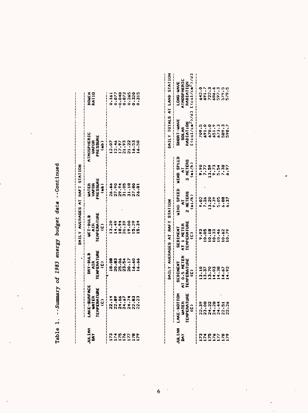| $-10.14$<br>ļ |
|---------------|
|               |
| data          |
| nudgei        |
| energy<br>ì   |
| 1983          |
| ن<br>کا       |
| Jummar        |
|               |
| Tabl)         |

|                               |                                             | DAILY AVERAGES AT RAFT STATION                |                                    |                                                                     |                       |
|-------------------------------|---------------------------------------------|-----------------------------------------------|------------------------------------|---------------------------------------------------------------------|-----------------------|
| Z<br>JA<br>DAY                | LANE-SURFACE<br>WATER<br>TEMPERATURE<br>VC) | WET-BULB<br>AIR<br>Temperature<br>Temperature | UATER<br>VAPOR<br>PRESSURE<br>(ab) | <b>THOSPHERIC</b><br>VAPOR<br>PRESSURE<br>PRESSURE<br>$- - - - - -$ | <b>BOWEN</b><br>RATIO |
|                               |                                             | <br> <br> <br>                                | <br> <br> <br>                     |                                                                     |                       |
|                               |                                             |                                               |                                    |                                                                     |                       |
|                               |                                             |                                               |                                    |                                                                     |                       |
|                               |                                             |                                               |                                    |                                                                     |                       |
| nanaran<br>Linirin<br>Manaran |                                             |                                               |                                    |                                                                     |                       |
|                               |                                             |                                               |                                    |                                                                     |                       |
|                               |                                             |                                               |                                    |                                                                     |                       |

| JULIAN<br>JAY                           | LAKE-SURFACE<br>WATER<br>TEMPERATURE<br>CC)                                                                                                                                                                                                                                                 | DRY-BULB<br>MIR<br>TEMPERATURE<br>CC)         | WET-BULB<br>AIR<br>Temperature<br>Temperature        | WATER<br>VAPOR<br>PRESSURE<br>$(d_{ab})$ |                                    | ATMOSPHERIC<br>VAPOR<br>PRESSURE<br>(ab)                         | <b>BOWEN</b><br>RATIO                                               |
|-----------------------------------------|---------------------------------------------------------------------------------------------------------------------------------------------------------------------------------------------------------------------------------------------------------------------------------------------|-----------------------------------------------|------------------------------------------------------|------------------------------------------|------------------------------------|------------------------------------------------------------------|---------------------------------------------------------------------|
|                                         |                                                                                                                                                                                                                                                                                             |                                               |                                                      |                                          |                                    |                                                                  |                                                                     |
|                                         |                                                                                                                                                                                                                                                                                             |                                               |                                                      |                                          |                                    |                                                                  |                                                                     |
|                                         |                                                                                                                                                                                                                                                                                             |                                               |                                                      |                                          |                                    |                                                                  |                                                                     |
|                                         |                                                                                                                                                                                                                                                                                             |                                               |                                                      |                                          |                                    |                                                                  |                                                                     |
| 11111111<br><i>VVVVVV</i> V<br>11111111 |                                                                                                                                                                                                                                                                                             |                                               |                                                      |                                          |                                    |                                                                  |                                                                     |
|                                         |                                                                                                                                                                                                                                                                                             |                                               |                                                      |                                          |                                    |                                                                  |                                                                     |
|                                         |                                                                                                                                                                                                                                                                                             |                                               |                                                      |                                          |                                    |                                                                  | 141282505141315                                                     |
|                                         |                                                                                                                                                                                                                                                                                             |                                               | DAILY AVERAGES AT RAFT STATION                       |                                          |                                    |                                                                  |                                                                     |
| JULIAN<br>DAY                           | LAKE-BOTTOM<br>WATER<br>Temperature<br>Temperature                                                                                                                                                                                                                                          | SEDIMENT<br>AT 0.5 METER<br>TEMPERATURE<br>C) | SEDINENT<br>AT 1 METER<br>TEMPERATURE<br>TEMPERATURE | WIND SPEED<br>2 METERS<br>2 METERS       | WIND SPEED<br>3 METERS<br>3 METERS | SHORT-WAVE<br>SOLAR<br>RADIATION<br>E(cal/cal/ca <sup>2</sup> )/ | LONG-WAVE<br>ATMOSPHERIC<br>RADIATION<br>E(cal/ca <sup>2</sup> -)/d |
|                                         |                                                                                                                                                                                                                                                                                             |                                               |                                                      |                                          |                                    |                                                                  |                                                                     |
|                                         |                                                                                                                                                                                                                                                                                             |                                               |                                                      |                                          |                                    |                                                                  |                                                                     |
|                                         |                                                                                                                                                                                                                                                                                             |                                               |                                                      |                                          |                                    |                                                                  |                                                                     |
| 21111111<br>2222222                     |                                                                                                                                                                                                                                                                                             |                                               |                                                      |                                          |                                    |                                                                  |                                                                     |
|                                         |                                                                                                                                                                                                                                                                                             |                                               |                                                      |                                          |                                    |                                                                  |                                                                     |
|                                         |                                                                                                                                                                                                                                                                                             |                                               |                                                      |                                          |                                    |                                                                  |                                                                     |
|                                         |                                                                                                                                                                                                                                                                                             |                                               |                                                      |                                          |                                    |                                                                  |                                                                     |
|                                         |                                                                                                                                                                                                                                                                                             |                                               |                                                      |                                          |                                    |                                                                  |                                                                     |
|                                         | $\begin{array}{c} 0.8 & 0.8 & 0.4 & 0.6 \\ 0.9 & 0.8 & 0.4 & 0.6 \\ 0.9 & 0.6 & 0.6 & 0.6 \\ 0.8 & 0.8 & 0.8 & 0.8 \\ 0.9 & 0.8 & 0.8 & 0.8 \\ 0.9 & 0.8 & 0.8 & 0.8 \\ 0.9 & 0.8 & 0.8 & 0.8 \\ 0.9 & 0.8 & 0.8 & 0.8 \\ 0.9 & 0.8 & 0.8 & 0.8 \\ 0.9 & 0.8 & 0.8 & 0.8 \\ 0.9 & 0.8 & 0.$ |                                               |                                                      |                                          |                                    |                                                                  |                                                                     |
|                                         |                                                                                                                                                                                                                                                                                             |                                               |                                                      |                                          |                                    |                                                                  |                                                                     |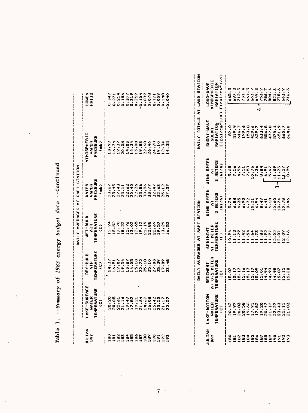|               |                                                                |                                              |                                                           | DAILY AVERAGES AT RAFT STATION                                               |                                                     |                                                                   |                                                     |
|---------------|----------------------------------------------------------------|----------------------------------------------|-----------------------------------------------------------|------------------------------------------------------------------------------|-----------------------------------------------------|-------------------------------------------------------------------|-----------------------------------------------------|
| JULIAN<br>DAY | LAKE-SURFACE<br><b>TEMPERATURE</b><br><b>UNTER</b>             | <b>TEMPERATURE</b><br>DRY-BULB<br><b>AIR</b> | <b>TEMPERATURE</b><br>WET-BULB<br>AIR                     | PRESSURE<br>VAPOR<br>WATER                                                   |                                                     | ATMOSPHERIC<br>FRESSURE<br>VAPDR                                  | <b>KONEN</b><br><b>KAT10</b><br> <br> <br>          |
|               | $\hat{c}$                                                      | Ģ                                            | $\hat{c}$                                                 | (ab)                                                                         |                                                     | $\frac{1}{2}$                                                     |                                                     |
| $\frac{8}{2}$ | 20.20                                                          | 4.39                                         | 2.94                                                      | 23.67                                                                        |                                                     | 3.99                                                              | 0.347                                               |
| 181           | 20.05                                                          | 16.91                                        |                                                           | 23.45                                                                        |                                                     | 16.74                                                             | 0.271                                               |
| 182           | 22.61                                                          | 19.07                                        | 15.52<br>17.70                                            | 27.43                                                                        |                                                     | 19.37                                                             | 0.254                                               |
| 183           | 21.16                                                          | 19.54                                        | 18.22                                                     | 25,11                                                                        |                                                     | 20.08                                                             | 0.186                                               |
|               | 19.47                                                          | 13.87                                        |                                                           | 22.62                                                                        |                                                     | 14,03                                                             | 0.377                                               |
| 185<br>185    | 17.82                                                          | 4.05                                         | 12.76                                                     | 20.40                                                                        |                                                     | 14.34                                                             | 0.359                                               |
| 186           | 19.21                                                          | 15.10                                        | 12.65                                                     | 22.26                                                                        |                                                     | 13.08                                                             | 0.259                                               |
| 187           | 21.64                                                          | 22.72                                        | 19.12                                                     | 25.86                                                                        |                                                     | 19.83                                                             | $-0.104$                                            |
| 188           | 24.62                                                          | 25.18                                        | 21.19                                                     | 30.96                                                                        |                                                     | 22,60                                                             | $-0.039$                                            |
| 189           | 26,08                                                          | 25,10                                        | 22.88                                                     | 33.77                                                                        |                                                     | 26.46                                                             | 0.078                                               |
| 190           | 25.42                                                          | 27.03                                        | 22.69                                                     | 32.47                                                                        |                                                     | 24.78                                                             | $-0.121$                                            |
| $\vec{e}$     | 25.50                                                          | 25.29                                        | 19.57                                                     | 32.63                                                                        |                                                     | 19.10                                                             | 0.00, 0                                             |
|               | 21.17                                                          | 17.89                                        | 13.29                                                     | 25.12                                                                        |                                                     | 12.34                                                             | 0.148                                               |
| 193           | 22.57                                                          | 23,48                                        | 16.52                                                     | 27.37                                                                        |                                                     | 14.35                                                             | 0.040                                               |
|               |                                                                |                                              |                                                           |                                                                              |                                                     |                                                                   |                                                     |
|               |                                                                |                                              | DAILY AVERAGES AT RAFT                                    | <b>STATION</b>                                                               |                                                     | DAILY TOTALS                                                      | AT LAND ST                                          |
|               |                                                                |                                              |                                                           |                                                                              |                                                     |                                                                   |                                                     |
| JULIAN<br>DAY | LAKE-BOTTOM<br><b>TEMPERATURE</b><br><b>UATER</b><br>$\hat{c}$ | AT 0.5 METER<br>TEMPERATURE<br>SEDIMENT<br>ĝ | <b>TEMPERATURE</b><br>AT 1 HETER<br>SEDIMENT<br>$\hat{c}$ | <b>MIND SPEED</b><br>2 HETERS<br>(m <sub>1</sub> /h)<br>$\overline{\bullet}$ | WIND SPEED<br>3 HETERS<br>(n)/h<br>$\bar{\epsilon}$ | $C$ (cal/cm <sup>2</sup> )/d]<br>SHORT-WAVE<br>RADIATION<br>SOLAR | <b>AM-DNOT</b><br>ATMOSPHE<br>$C$ cal/cm<br>RADIATI |
| $\frac{8}{9}$ | 20.42                                                          | 5.07                                         | 10.94                                                     | 5.24                                                                         | 5,68                                                | 87.0                                                              | 5.5.3                                               |
| 181           | 19.97                                                          | 5.17                                         | 11.12                                                     | 6.88                                                                         | 7.56                                                | 519.9                                                             | 697.2                                               |
| 182           | 20.83                                                          | 5.17                                         | 11.29                                                     | 4.35                                                                         | 4.96                                                | 646.7                                                             | 712.3                                               |
| 183           | 20.58                                                          | 5.16                                         | 11.42                                                     | 6.90                                                                         | 7.51                                                | 199.6                                                             | 731.4                                               |
| 185           | 19.66                                                          | 5.17                                         | 11.54                                                     | $6.72$<br>10.21                                                              | 7.53                                                | 153.8                                                             | 661.3                                               |
|               | 17.91                                                          | 15.17                                        | 11.64                                                     |                                                                              | 10.76                                               | 429.6                                                             | 663.7                                               |
| 186           | 17.82<br>19.20                                                 | 15.09                                        | 11.73                                                     | 6.94                                                                         | 7.36                                                | 629.7                                                             | 649.3<br>پَ                                         |
|               |                                                                | 5.01                                         | 11.83                                                     | 8.49                                                                         | 8.84                                                | 633.4                                                             | 753.9                                               |

| $-2$                     |
|--------------------------|
| d a r a<br>りりりり          |
| י של של של<br>ו<br>100   |
| energy                   |
| 1983                     |
| $\overline{5}$           |
| $\overline{\phantom{a}}$ |
|                          |
|                          |

| LAKE-BOTTOM<br>WATER<br>Temperature<br>Temperature | SEDIMENT<br>AT 0.5 METEI<br>TEMPERATURE<br>TEMPERATURE | SEDIMENT<br>AT 1 METER<br>TEMPERATURE<br>C.) | WIND SPEED<br>2 METERS<br>2 METERS | WIND SPEEL<br>3 METERS<br>3 METERS | SHORT-WAVE<br>SOLAR<br>RADIATION<br>E(cal/cm <sup>2</sup> ) |   | LONG-WAVE<br>ATMOSPHERIC<br>RADIATION |
|----------------------------------------------------|--------------------------------------------------------|----------------------------------------------|------------------------------------|------------------------------------|-------------------------------------------------------------|---|---------------------------------------|
|                                                    |                                                        |                                              |                                    |                                    |                                                             |   |                                       |
|                                                    |                                                        |                                              |                                    |                                    |                                                             |   |                                       |
|                                                    |                                                        |                                              |                                    |                                    |                                                             |   |                                       |
|                                                    |                                                        |                                              |                                    |                                    |                                                             |   |                                       |
|                                                    |                                                        |                                              |                                    |                                    |                                                             |   |                                       |
|                                                    |                                                        |                                              |                                    |                                    |                                                             |   |                                       |
|                                                    |                                                        |                                              |                                    |                                    |                                                             |   |                                       |
|                                                    |                                                        |                                              |                                    |                                    |                                                             |   |                                       |
|                                                    |                                                        |                                              |                                    |                                    |                                                             |   |                                       |
|                                                    |                                                        |                                              |                                    |                                    |                                                             |   |                                       |
|                                                    |                                                        |                                              |                                    |                                    |                                                             |   |                                       |
|                                                    |                                                        |                                              |                                    |                                    |                                                             |   |                                       |
|                                                    |                                                        |                                              |                                    |                                    |                                                             |   |                                       |
|                                                    |                                                        |                                              |                                    |                                    |                                                             |   |                                       |
|                                                    |                                                        |                                              | MAILY AVERAGES AT RAFT             | <b>STATIO</b>                      |                                                             | 1 | IAILY TOTALS AT LAND                  |

 $\label{eq:2.1} \frac{1}{\sqrt{2}}\left(\frac{1}{\sqrt{2}}\right)^{2} \left(\frac{1}{\sqrt{2}}\right)^{2} \left(\frac{1}{\sqrt{2}}\right)^{2} \left(\frac{1}{\sqrt{2}}\right)^{2} \left(\frac{1}{\sqrt{2}}\right)^{2} \left(\frac{1}{\sqrt{2}}\right)^{2} \left(\frac{1}{\sqrt{2}}\right)^{2} \left(\frac{1}{\sqrt{2}}\right)^{2} \left(\frac{1}{\sqrt{2}}\right)^{2} \left(\frac{1}{\sqrt{2}}\right)^{2} \left(\frac{1}{\sqrt{2}}\right)^{2} \left(\$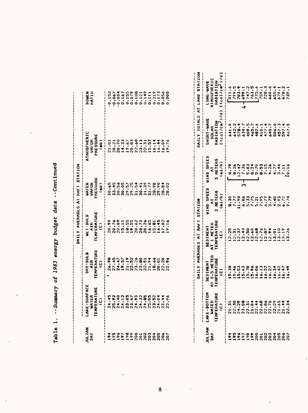|               |                                                          |                                                                                                                                                                                                                                                                                                                                                           | able 1. --Summary of 1983 energy budget data --Continued<br>DAILY AVERAGES AT RAFT STATION |                                                                     |                                                               |                                  |
|---------------|----------------------------------------------------------|-----------------------------------------------------------------------------------------------------------------------------------------------------------------------------------------------------------------------------------------------------------------------------------------------------------------------------------------------------------|--------------------------------------------------------------------------------------------|---------------------------------------------------------------------|---------------------------------------------------------------|----------------------------------|
| UL IAN<br>DAY | LAKE-SURFACE<br>TEMPERATURE<br><b>WATER</b><br>$\hat{e}$ | TEMPERATURE<br>DRY-BULB<br>AIR <sub></sub><br>ĝ                                                                                                                                                                                                                                                                                                           | TEMPERATURE<br><b>AFI-RUTB</b><br>AIR<br>$\hat{c}$                                         | <b>UATER<br/>VAFOR<br/>FRESSURE</b><br>$\hat{a}$                    | <b>ATHOSPHERIC</b><br>VAPOR<br>PRESSURE<br>$\hat{\mathbf{a}}$ | <b>BOWEN</b><br>KATIO            |
| 194           | 24.45                                                    | 26.98                                                                                                                                                                                                                                                                                                                                                     |                                                                                            |                                                                     |                                                               |                                  |
|               |                                                          |                                                                                                                                                                                                                                                                                                                                                           |                                                                                            | មានាងមានមាន<br>ក្នុងមានប្រាប់<br>ក្នុងក្នុងក្នុង<br>ក្នុងក្នុងក្នុង |                                                               | $-0.152$<br>$-0.067$<br>$-0.067$ |
|               |                                                          |                                                                                                                                                                                                                                                                                                                                                           |                                                                                            |                                                                     |                                                               |                                  |
|               | 25.92<br>24.40<br>24.12                                  |                                                                                                                                                                                                                                                                                                                                                           |                                                                                            |                                                                     |                                                               |                                  |
|               |                                                          |                                                                                                                                                                                                                                                                                                                                                           |                                                                                            |                                                                     |                                                               |                                  |
|               | $23.85$<br>$23.67$                                       |                                                                                                                                                                                                                                                                                                                                                           |                                                                                            |                                                                     |                                                               |                                  |
|               | 24.93                                                    | $\frac{4}{3}$ $\frac{5}{7}$ $\frac{5}{9}$ $\frac{5}{1}$ $\frac{3}{1}$ $\frac{3}{1}$ $\frac{3}{1}$ $\frac{3}{1}$ $\frac{3}{1}$ $\frac{3}{1}$ $\frac{3}{1}$ $\frac{3}{1}$ $\frac{3}{1}$ $\frac{3}{1}$ $\frac{3}{1}$ $\frac{3}{1}$ $\frac{3}{1}$ $\frac{3}{1}$ $\frac{3}{1}$ $\frac{3}{1}$ $\frac{3}{1}$ $\frac{3}{1}$ $\frac{3}{1}$ $\frac{3}{1}$ $\frac{3$ |                                                                                            |                                                                     |                                                               |                                  |
|               |                                                          |                                                                                                                                                                                                                                                                                                                                                           |                                                                                            |                                                                     |                                                               |                                  |
|               |                                                          |                                                                                                                                                                                                                                                                                                                                                           |                                                                                            |                                                                     |                                                               |                                  |
|               | $24.32$<br>$24.85$<br>$25.05$                            |                                                                                                                                                                                                                                                                                                                                                           |                                                                                            |                                                                     |                                                               |                                  |
|               |                                                          |                                                                                                                                                                                                                                                                                                                                                           |                                                                                            |                                                                     |                                                               |                                  |
|               |                                                          |                                                                                                                                                                                                                                                                                                                                                           |                                                                                            |                                                                     |                                                               |                                  |
|               | 23.344<br>24.344<br>22.96                                | $18.30$<br>$20.20$<br>$22.30$                                                                                                                                                                                                                                                                                                                             |                                                                                            | $7578880$<br>$9778880$<br>$9778880$<br>$97780000$                   |                                                               | 1452814112528                    |
|               |                                                          |                                                                                                                                                                                                                                                                                                                                                           |                                                                                            |                                                                     |                                                               |                                  |

| - 1<br>- 1<br>- 1                  |
|------------------------------------|
| data                               |
| カップへん                              |
| energy                             |
| 1007<br>Cokr                       |
| $\frac{1}{2}$                      |
| <b>The Country</b><br>- 1<br> <br> |
|                                    |
| $\frac{1}{2}$                      |

|                                                     | <b>LAKE-SURFACE</b>           | <b>NRY-BULB</b>              | <b>AFI-ROTE</b>                                                                                                                                                                                                                                                                                                     | WATER                |                       | <b>ATHOSPHERIC</b>        | <b>EQUEN</b>                 |
|-----------------------------------------------------|-------------------------------|------------------------------|---------------------------------------------------------------------------------------------------------------------------------------------------------------------------------------------------------------------------------------------------------------------------------------------------------------------|----------------------|-----------------------|---------------------------|------------------------------|
| JULIAN<br>DAY                                       | WATER                         | AIR                          | AIR                                                                                                                                                                                                                                                                                                                 | <b>VAFOR</b>         |                       | VAI-DR                    | <b>RATIU</b>                 |
|                                                     | TEMPERATURE                   | TEMPERATURE                  | TEMPERATURE                                                                                                                                                                                                                                                                                                         | FRESSURE             |                       | PRESSURE                  |                              |
|                                                     | ŝ                             | $\hat{c}$                    | $\hat{c}$                                                                                                                                                                                                                                                                                                           | $\frac{1}{2}$        |                       | $\hat{\mathbf{a}}$        |                              |
|                                                     |                               | 26.98                        | 20.99                                                                                                                                                                                                                                                                                                               | 30.65                |                       | 21.01                     | $-0.152$                     |
| 195                                                 | 24.45<br>25.92                | 27.45                        | 20.76                                                                                                                                                                                                                                                                                                               | 33.45                |                       | 20.21                     | $-0.067$                     |
|                                                     |                               | 24.47                        | 20.09                                                                                                                                                                                                                                                                                                               | 30.56                |                       | 20.70                     | $-0.00 -$                    |
| 196                                                 | 24.40<br>24.12<br>23.85       | 19.57                        |                                                                                                                                                                                                                                                                                                                     | 30.05                |                       | 14.33                     | 0.167                        |
| 198                                                 |                               | 21.19                        | $15.11$<br>$18.55$                                                                                                                                                                                                                                                                                                  | 29.57                |                       | 19.67                     | 0.155                        |
| 199                                                 |                               | 22.52                        | 19.55                                                                                                                                                                                                                                                                                                               | 29.25                |                       |                           | 0.079                        |
| 200                                                 | $23.67$<br>$24.93$<br>$24.32$ | 23.26                        | 20.62                                                                                                                                                                                                                                                                                                               | 31.54                |                       | $20.83$<br>$22.60$        | 0.108                        |
|                                                     |                               |                              | 20.73                                                                                                                                                                                                                                                                                                               | 30.41                |                       | 23.13                     | 0.121                        |
| <b>2023</b><br>2023                                 | 24.85                         | $22.80$<br>$22.51$           | 20.26                                                                                                                                                                                                                                                                                                               | 31.39                |                       | 22.31                     | 0.149                        |
|                                                     |                               | 21.94                        |                                                                                                                                                                                                                                                                                                                     | 31.77                |                       | 15.57                     | 0.111                        |
|                                                     | 23.52                         | 18.66                        | $16.65$<br>$15.81$                                                                                                                                                                                                                                                                                                  | 28.98                |                       | 16.14                     | 0.219                        |
|                                                     |                               |                              |                                                                                                                                                                                                                                                                                                                     | 29.90                |                       | 16.44                     | 0.173                        |
| 205<br>206<br>206                                   | $24.04$<br>$23.44$            | 20.01                        | $16.45$<br>$17.02$                                                                                                                                                                                                                                                                                                  | 28.84                |                       | 16.09                     | 0.056                        |
| 207                                                 | 22.96                         | 22.96                        | 19.16                                                                                                                                                                                                                                                                                                               | 28.02                |                       | 19.76                     | 0.000                        |
|                                                     |                               |                              | DAILY AVERAGES AT RAFT STATION                                                                                                                                                                                                                                                                                      |                      |                       |                           | DAILY TOTALS AT LAND STATING |
|                                                     |                               |                              |                                                                                                                                                                                                                                                                                                                     |                      |                       |                           |                              |
| JULIAN                                              | LAKE-BOTTOM                   | SEDIMENT                     | SEDIMENT                                                                                                                                                                                                                                                                                                            | <b>WIND SPEED</b>    | WIND SPEED            | SHORT-WAVE                | LONG-WAVE                    |
| Š                                                   | <b>UNTER</b>                  | AT 0.5 METER                 | AT 1 HETER                                                                                                                                                                                                                                                                                                          | $\bar{\epsilon}$     | $\overline{\epsilon}$ | <b>SOLAR</b>              | ATMOSPHERIC                  |
|                                                     | TEMPERATURE                   | TEMPERATURE                  | <b>TEMPERATURE</b>                                                                                                                                                                                                                                                                                                  | 2 METERS             | 3 METERS              | RADIATION                 | RADIATION                    |
|                                                     | $\hat{c}$                     | û                            | ĝ                                                                                                                                                                                                                                                                                                                   | (m1/h)               | (mi/h)                | $[(c_0]/c_m^2)/d]$        | [ $(cal/cm2)$ /d]            |
|                                                     | 21.31                         | 5.38                         | 2.25                                                                                                                                                                                                                                                                                                                | 8.30                 | 8.79                  | 641.0                     | 6.1116                       |
| 1954                                                | 22.30                         |                              |                                                                                                                                                                                                                                                                                                                     | 7.77                 | 8.26                  | 5.745                     | 799.5                        |
|                                                     | 24.29                         | $4538$<br>$0.538$<br>$0.659$ | $\frac{1}{2}$ $\frac{1}{2}$ $\frac{1}{2}$ $\frac{1}{2}$ $\frac{1}{2}$ $\frac{1}{2}$ $\frac{1}{2}$ $\frac{1}{2}$ $\frac{1}{2}$ $\frac{1}{2}$ $\frac{1}{2}$ $\frac{1}{2}$ $\frac{1}{2}$ $\frac{1}{2}$ $\frac{1}{2}$ $\frac{1}{2}$ $\frac{1}{2}$ $\frac{1}{2}$ $\frac{1}{2}$ $\frac{1}{2}$ $\frac{1}{2}$ $\frac{1}{2}$ | 11.98                | 12.47                 | 578.4                     | 783.9                        |
| 197                                                 | 23.08                         |                              |                                                                                                                                                                                                                                                                                                                     | 6.86                 | 7.36<br>m             | 638.7                     | 499.1<br>∢                   |
| 198                                                 | 22.31                         |                              |                                                                                                                                                                                                                                                                                                                     | 5.33                 | 5.83                  | 409.5                     |                              |
| 199<br>200                                          | $21.84$<br>$22.44$            | 5.96                         |                                                                                                                                                                                                                                                                                                                     |                      | 8.24                  | 465.7                     | 763.5                        |
|                                                     |                               | 6.06                         |                                                                                                                                                                                                                                                                                                                     | 7.75<br>5.21<br>7.95 | 5.70                  | 487.6                     | 775.6                        |
| 201                                                 | 22.68                         | 16.13                        |                                                                                                                                                                                                                                                                                                                     |                      | 8.53                  | 10.1                      | 759.1                        |
| 202<br>203                                          | 22.86                         | 6.22                         | 2.87                                                                                                                                                                                                                                                                                                                | 6.77                 | 7.15                  | 477.4                     | 728.3                        |
|                                                     |                               | 6.27                         |                                                                                                                                                                                                                                                                                                                     | 3.79                 | 4.26                  | 640.7                     | 660.6                        |
| $\begin{array}{c} 4880 \\ 0000 \\ 0000 \end{array}$ | 22.29                         | 16.34                        | 13.01                                                                                                                                                                                                                                                                                                               | 4.40                 | 4.77                  | 506.0                     | 655.4                        |
|                                                     | 21.65                         | 6.42                         | 13.10                                                                                                                                                                                                                                                                                                               | 2.93                 | $\frac{3.44}{7.11}$   | $457.3$<br>597.4<br>467.5 | 679.1                        |
|                                                     | 21.44                         | 6.47                         | 3.19                                                                                                                                                                                                                                                                                                                | $6.72$<br>9.74       |                       |                           |                              |
|                                                     | 22.34                         | 49.49                        | 3.26                                                                                                                                                                                                                                                                                                                |                      | 0.16                  |                           | 739.1                        |

oo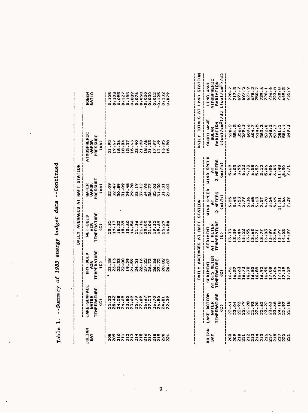| ัน<br>มหา<br>มหา                                    | LAKE-SURFACE<br>WATER<br>TEMPERATURE<br>TEMPERATURE | DRY-BULB<br>AIR<br>EMPERATURE<br>C) | WET-BULB<br>AIR<br>EMPERATURE<br>C) | WATER<br>Vapor<br>'ressure<br>(mb) | TMOSPHERIC<br>VAPOR<br>PRESSURE<br>PRESSURE | <b>OILS</b> |
|-----------------------------------------------------|-----------------------------------------------------|-------------------------------------|-------------------------------------|------------------------------------|---------------------------------------------|-------------|
|                                                     |                                                     |                                     |                                     |                                    |                                             |             |
| 80010310100822<br>000113131313300<br>00000000000000 |                                                     |                                     |                                     |                                    |                                             |             |
|                                                     |                                                     |                                     |                                     |                                    |                                             |             |
|                                                     |                                                     |                                     |                                     |                                    |                                             |             |
|                                                     |                                                     |                                     |                                     |                                    |                                             |             |
|                                                     |                                                     |                                     |                                     |                                    |                                             |             |
|                                                     |                                                     |                                     |                                     |                                    |                                             |             |
|                                                     |                                                     |                                     |                                     |                                    |                                             |             |
|                                                     |                                                     |                                     |                                     |                                    |                                             |             |
|                                                     |                                                     |                                     |                                     |                                    |                                             |             |
|                                                     |                                                     |                                     |                                     |                                    |                                             |             |
|                                                     |                                                     |                                     |                                     |                                    |                                             |             |
|                                                     |                                                     |                                     |                                     |                                    |                                             |             |
|                                                     |                                                     |                                     |                                     |                                    |                                             |             |

 $\ddot{\phantom{a}}$ 

 $\epsilon_{\rm{max}}$ 

| ontinue<br>l  |
|---------------|
| data          |
|               |
| energy budget |
| $-0.1983$     |
|               |
| ummary        |
| ł             |
| ጥ አገ ራ        |

 $\ddot{\phantom{0}}$ 

 $\frac{1}{2}$ 

 $\bar{\mathcal{A}}$ 

 $\Delta \sim 10^4$ 

 $\hat{\mathcal{A}}$ 

|                                    |                                                    |                                               | DAILY AVERAGES AT RAFT                       | <b>STATION</b>                                                    |                                       | AILY TOTALS AT LAND STATI                                                                              |                                       |
|------------------------------------|----------------------------------------------------|-----------------------------------------------|----------------------------------------------|-------------------------------------------------------------------|---------------------------------------|--------------------------------------------------------------------------------------------------------|---------------------------------------|
| DAY                                | LANE-BOTTOM<br>WATER<br>Temperature<br>Temperature | SEDIMENT<br>NT 0.5 METER<br>TEMPERATURE<br>CD | SEDIMENT<br>AT 1 METER<br>TEMPERATURE<br>CC) | UIND SPEED<br>2 Meters<br>2 Meters                                | WIND SPEED<br>8<br>3 Meters<br>(mi/h) | SHORT-WAVE<br>Solar<br>Radiation<br>E(col/ca <sup>2</sup> )/                                           | LONG-WAVE<br>ATMOSFHERIC<br>RADIATION |
|                                    |                                                    |                                               |                                              |                                                                   |                                       |                                                                                                        |                                       |
| 8001NN104500001<br>001111111111110 | 1352282333383878<br>135333435383535                |                                               |                                              | อันนิยม สัญญาตร์ สาราช 2011<br>สาราช 2011<br>สาราช 2012 2013 2014 |                                       | 2<br>0 1 2 0 2 2 4 4 5 6 7 7 1 1 2<br>0 1 2 0 2 4 4 5 6 7 8 7 1 1 1 2<br>0 5 5 6 2 6 7 8 6 7 6 7 6 7 7 |                                       |
|                                    |                                                    |                                               |                                              |                                                                   |                                       |                                                                                                        |                                       |
|                                    |                                                    |                                               |                                              |                                                                   |                                       |                                                                                                        |                                       |
|                                    |                                                    |                                               |                                              |                                                                   |                                       |                                                                                                        |                                       |
|                                    |                                                    |                                               |                                              |                                                                   |                                       |                                                                                                        |                                       |
|                                    |                                                    |                                               |                                              |                                                                   |                                       |                                                                                                        |                                       |
|                                    |                                                    |                                               |                                              |                                                                   |                                       |                                                                                                        |                                       |
|                                    |                                                    |                                               |                                              |                                                                   |                                       |                                                                                                        |                                       |
|                                    |                                                    |                                               |                                              |                                                                   |                                       |                                                                                                        |                                       |
|                                    |                                                    |                                               |                                              |                                                                   |                                       |                                                                                                        |                                       |
|                                    |                                                    |                                               |                                              |                                                                   |                                       |                                                                                                        |                                       |
|                                    |                                                    |                                               |                                              |                                                                   |                                       |                                                                                                        |                                       |
|                                    |                                                    |                                               |                                              |                                                                   |                                       |                                                                                                        |                                       |

 $\sim 10^{11}$   $\mu$ 

 $\mathcal{L}^{\mathcal{L}}(\mathcal{L}^{\mathcal{L}})$  and  $\mathcal{L}^{\mathcal{L}}(\mathcal{L}^{\mathcal{L}})$  and  $\mathcal{L}^{\mathcal{L}}(\mathcal{L}^{\mathcal{L}})$  and  $\mathcal{L}^{\mathcal{L}}(\mathcal{L}^{\mathcal{L}})$ 

 $\sim$  $\sim 100$   $\mathcal{L}$ 

 $\mathcal{L}^{\text{max}}_{\text{max}}$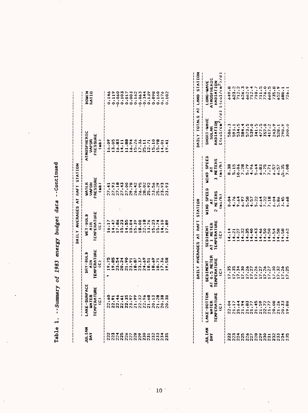|                       |                                                     |                                      | <b>OAILY AVERAGES AT RAFT STATION</b>         |                                    |                                                     |                       |
|-----------------------|-----------------------------------------------------|--------------------------------------|-----------------------------------------------|------------------------------------|-----------------------------------------------------|-----------------------|
| <b>NAI JUL</b><br>n۸۲ | LAKE-SURFACE<br>WATER<br>TEMPERATURE<br>TEMPERATURE | DRY-BULB<br>AIR<br>EMPERATURE<br>CC) | WET-BULB<br>AIR<br>TEMPERATURE<br>TEMPERATURE | WATER<br>VAPOR<br>'RESSURE<br>(mb) | <b>\TMOSPHERIC</b><br>VAPOR<br>PRESSURE<br>PRESSURE | <b>BOWEN</b><br>KATIO |
|                       |                                                     |                                      |                                               |                                    |                                                     |                       |
|                       |                                                     |                                      |                                               |                                    |                                                     |                       |
|                       |                                                     |                                      |                                               |                                    |                                                     |                       |
|                       |                                                     |                                      |                                               |                                    |                                                     |                       |
|                       |                                                     |                                      |                                               |                                    |                                                     |                       |
|                       |                                                     |                                      |                                               |                                    |                                                     |                       |
|                       |                                                     |                                      |                                               |                                    |                                                     |                       |
|                       |                                                     |                                      |                                               |                                    |                                                     |                       |
|                       |                                                     |                                      |                                               |                                    |                                                     |                       |
|                       |                                                     |                                      |                                               |                                    |                                                     |                       |
|                       |                                                     |                                      |                                               |                                    |                                                     |                       |
|                       |                                                     |                                      |                                               |                                    |                                                     |                       |
|                       |                                                     |                                      |                                               |                                    |                                                     |                       |
|                       |                                                     |                                      |                                               |                                    | 3.00018833112080141                                 |                       |

| e<br>F<br>i<br>Ja                                                                                                                      |
|----------------------------------------------------------------------------------------------------------------------------------------|
| <b>PALI</b><br>֧֧֧֧֦֧֦֧֦֧֦֧֧֧֦֧֧֧֧֧֦֧֧֧֦֧֧֛֛֚֚֝֝֝֝֝֝֜֝֬֜֜֜֜֜֜֜<br>֧֧֧֧֧ׅ֧֧֧֧֧ׅ֧֧֧֧֧֧֧֧֧֧֧֧֧֧֧֧֧֧֧֧֧֚֚֚֚֚֚֚֚֚֚֚֚֚֚֚֚֚֚֝֩֝֜֝֬֜<br>֧֪֧֧֧֧ |
| eneray<br>ì<br>$-1.1$                                                                                                                  |
| 1983                                                                                                                                   |
|                                                                                                                                        |
|                                                                                                                                        |
|                                                                                                                                        |
|                                                                                                                                        |

|    |                                                    |                                               | DAILY AVERAGES AT RAFT STATION                       |                                    |                                        |                                                                  | MOILLY TOTALS AT LAND STATION                                   |
|----|----------------------------------------------------|-----------------------------------------------|------------------------------------------------------|------------------------------------|----------------------------------------|------------------------------------------------------------------|-----------------------------------------------------------------|
| ρη | LAKE-BOTTOM<br>WATER<br>TEMPERATURE<br>TEMPERATURE | SEDIMENT<br>AT 0.5 METER<br>TEMPERATURE<br>C) | SEDIMENT<br>AT 1 METER<br>TEMPERATURE<br>TEMPERATURE | WIND SPEED<br>2 METERS<br>2 METERS | WIND SPEED<br>AT<br>3 METERS<br>(mi/h) | SHORT-WAVE<br>SOLAR<br>RADIATION<br>L(cal/cal/ca <sup>2</sup> )/ | LONG-WAVE<br>ATMOSPHERIC<br>RADIATION<br>(cal/cm <sup>2</sup> ) |
|    |                                                    |                                               |                                                      |                                    |                                        |                                                                  |                                                                 |
|    | s<br>Saiste in Saisse<br>Saiste in Saisse          | <b>にいけいこういいこういいこういいいいいいいいいいいいいいいいいいいいい</b>    |                                                      |                                    |                                        |                                                                  |                                                                 |
|    |                                                    |                                               |                                                      |                                    |                                        |                                                                  |                                                                 |
|    |                                                    |                                               |                                                      |                                    |                                        |                                                                  |                                                                 |
|    |                                                    |                                               |                                                      |                                    |                                        |                                                                  |                                                                 |
|    |                                                    |                                               |                                                      |                                    |                                        |                                                                  |                                                                 |
|    |                                                    |                                               |                                                      |                                    |                                        |                                                                  |                                                                 |
|    |                                                    |                                               |                                                      |                                    |                                        |                                                                  |                                                                 |
|    |                                                    |                                               |                                                      |                                    |                                        |                                                                  |                                                                 |
|    |                                                    |                                               |                                                      |                                    |                                        |                                                                  |                                                                 |
|    |                                                    |                                               |                                                      |                                    |                                        |                                                                  |                                                                 |
|    |                                                    |                                               |                                                      |                                    |                                        |                                                                  |                                                                 |
|    |                                                    |                                               |                                                      |                                    |                                        |                                                                  |                                                                 |
|    |                                                    |                                               |                                                      |                                    |                                        |                                                                  |                                                                 |

Ŷ,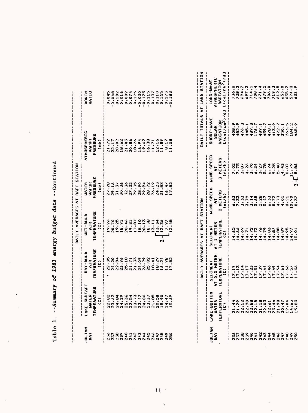|                                                     |                                                                                                               |                                                                                                                                                                                                                                                                                                                                                                                                                | AILY AVERAGES AT RAFT STATION                           |                                             |              |
|-----------------------------------------------------|---------------------------------------------------------------------------------------------------------------|----------------------------------------------------------------------------------------------------------------------------------------------------------------------------------------------------------------------------------------------------------------------------------------------------------------------------------------------------------------------------------------------------------------|---------------------------------------------------------|---------------------------------------------|--------------|
| LAKE-SURFACE<br>WATER<br>TEMPERATURE<br>TEMPERATURE | DRY-BULB<br>AIR<br>TEMPERATURE<br>"C)                                                                         | WET-BULB<br>AIR<br>TEMPERATURE<br>TEMPERATURE                                                                                                                                                                                                                                                                                                                                                                  | WATER<br>VAPOR<br>'RESSURE<br>(mb)                      | THOSPHERIC<br>VAPOR<br>PRESSURE<br>PRESSURE | <b>NEMEN</b> |
|                                                     |                                                                                                               |                                                                                                                                                                                                                                                                                                                                                                                                                |                                                         |                                             |              |
|                                                     | 5<br>2006 - 2006 - 2006 - 2006 - 2006<br>2006 - 2006 - 2006 - 2006 - 2016<br>2006 - 2016 - 2016 - 2016 - 2016 | $\begin{array}{@{}c@{\hspace{1em}}c@{\hspace{1em}}c@{\hspace{1em}}c@{\hspace{1em}}c@{\hspace{1em}}c@{\hspace{1em}}c@{\hspace{1em}}c@{\hspace{1em}}c@{\hspace{1em}}c@{\hspace{1em}}c@{\hspace{1em}}c@{\hspace{1em}}c@{\hspace{1em}}c@{\hspace{1em}}c@{\hspace{1em}}c@{\hspace{1em}}c@{\hspace{1em}}c@{\hspace{1em}}c@{\hspace{1em}}c@{\hspace{1em}}c@{\hspace{1em}}c@{\hspace{1em}}c@{\hspace{1em}}c@{\hspace{$ | 8468888888888888888<br>Considerations<br>Considerations |                                             |              |
|                                                     |                                                                                                               |                                                                                                                                                                                                                                                                                                                                                                                                                |                                                         |                                             |              |
|                                                     |                                                                                                               |                                                                                                                                                                                                                                                                                                                                                                                                                |                                                         |                                             |              |
|                                                     |                                                                                                               |                                                                                                                                                                                                                                                                                                                                                                                                                |                                                         |                                             |              |
|                                                     |                                                                                                               |                                                                                                                                                                                                                                                                                                                                                                                                                |                                                         |                                             |              |
|                                                     |                                                                                                               |                                                                                                                                                                                                                                                                                                                                                                                                                |                                                         |                                             |              |
|                                                     |                                                                                                               |                                                                                                                                                                                                                                                                                                                                                                                                                |                                                         |                                             |              |
|                                                     |                                                                                                               |                                                                                                                                                                                                                                                                                                                                                                                                                |                                                         |                                             |              |
|                                                     |                                                                                                               |                                                                                                                                                                                                                                                                                                                                                                                                                |                                                         |                                             |              |
|                                                     |                                                                                                               |                                                                                                                                                                                                                                                                                                                                                                                                                |                                                         |                                             |              |
|                                                     |                                                                                                               |                                                                                                                                                                                                                                                                                                                                                                                                                |                                                         |                                             |              |
|                                                     |                                                                                                               |                                                                                                                                                                                                                                                                                                                                                                                                                |                                                         |                                             |              |
|                                                     |                                                                                                               |                                                                                                                                                                                                                                                                                                                                                                                                                |                                                         |                                             |              |
|                                                     |                                                                                                               |                                                                                                                                                                                                                                                                                                                                                                                                                |                                                         |                                             |              |
|                                                     |                                                                                                               |                                                                                                                                                                                                                                                                                                                                                                                                                |                                                         |                                             |              |

| - 1<br>- 1<br>- 1           |
|-----------------------------|
| ことで<br>こうこ                  |
| . בית הי                    |
| vorer                       |
| $\ddot{\phantom{0}}$<br>:83 |
|                             |
| i<br>!<br> <br> <br>        |
|                             |
| $\frac{1}{2}$               |

|                                                                                                    |                                            |                                               | DAILY AVERAGES AT RAFT                                                                                                                                                                                                                                                      | <b>STATION</b>                         |                                        | DAILY TOTALS AT LAND                                        | <b>DINA15</b>                         |
|----------------------------------------------------------------------------------------------------|--------------------------------------------|-----------------------------------------------|-----------------------------------------------------------------------------------------------------------------------------------------------------------------------------------------------------------------------------------------------------------------------------|----------------------------------------|----------------------------------------|-------------------------------------------------------------|---------------------------------------|
|                                                                                                    | .AKE-BOTTON<br>Water<br>TEMPERATURE<br>(C) | SEDIMENT<br>AT 0.5 METER<br>TEMPERATURE<br>C) | SEDIMENT<br>AT 1 METER<br>TEMPERATURE<br>CC)                                                                                                                                                                                                                                | JIND SPEED<br>AT<br>2 METERS<br>(mi/h) | JIND SPEEI<br>AT<br>3 METERS<br>(mi/h) | SHORT-WAVE<br>SOLAR<br>RADIATION<br>L(cal/cm <sup>2</sup> ) | LONG-WAVE<br>ATMOSFHERIC<br>RADIATION |
| AN O O O - N M T D A N O O O<br>M M M M T T T T T T T T T T T T U<br>N N N N N N N N N N N N N N N |                                            | 2011201201201207<br>201202012012012012        | $\begin{array}{l} 0.40 & 0.010 & 0.000 & 0.000 & 0.000 \\ 0.40 & 0.000 & 0.000 & 0.000 & 0.000 \\ 0.000 & 0.000 & 0.000 & 0.000 & 0.000 \\ 0.000 & 0.000 & 0.000 & 0.000 & 0.000 \\ 0.000 & 0.000 & 0.000 & 0.000 & 0.000 \\ 0.000 & 0.000 & 0.000 & 0.000 & 0.000 \\ 0.00$ |                                        |                                        |                                                             |                                       |
|                                                                                                    |                                            |                                               |                                                                                                                                                                                                                                                                             |                                        |                                        |                                                             |                                       |
|                                                                                                    |                                            |                                               |                                                                                                                                                                                                                                                                             |                                        |                                        |                                                             |                                       |
|                                                                                                    |                                            |                                               |                                                                                                                                                                                                                                                                             |                                        |                                        |                                                             |                                       |
|                                                                                                    |                                            |                                               |                                                                                                                                                                                                                                                                             |                                        |                                        |                                                             |                                       |
|                                                                                                    |                                            |                                               |                                                                                                                                                                                                                                                                             |                                        |                                        |                                                             |                                       |
|                                                                                                    |                                            |                                               |                                                                                                                                                                                                                                                                             |                                        |                                        |                                                             |                                       |
|                                                                                                    |                                            |                                               |                                                                                                                                                                                                                                                                             |                                        |                                        |                                                             |                                       |
|                                                                                                    |                                            |                                               |                                                                                                                                                                                                                                                                             |                                        |                                        |                                                             |                                       |
|                                                                                                    |                                            |                                               |                                                                                                                                                                                                                                                                             |                                        |                                        |                                                             |                                       |
|                                                                                                    |                                            |                                               |                                                                                                                                                                                                                                                                             |                                        |                                        |                                                             |                                       |
|                                                                                                    |                                            |                                               |                                                                                                                                                                                                                                                                             |                                        |                                        |                                                             |                                       |
|                                                                                                    |                                            |                                               |                                                                                                                                                                                                                                                                             |                                        |                                        |                                                             |                                       |
|                                                                                                    |                                            |                                               |                                                                                                                                                                                                                                                                             |                                        |                                        |                                                             |                                       |

 $\mathcal{I}$ 

Ŷ,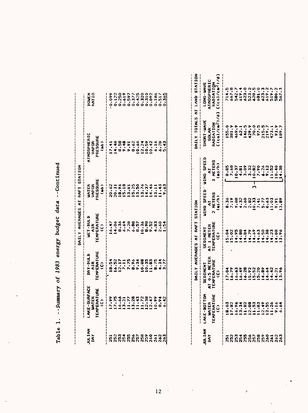|               |                                                                                                                                                                                                                                            | DAILY AVERAGES AT RAFT STATION |                                                                                                                                                                                                                                              |                       |
|---------------|--------------------------------------------------------------------------------------------------------------------------------------------------------------------------------------------------------------------------------------------|--------------------------------|----------------------------------------------------------------------------------------------------------------------------------------------------------------------------------------------------------------------------------------------|-----------------------|
| JULIAN<br>IAY | DRY-BULB<br>ENFERATURE<br>CONTRIC CONTRA SAGARA<br>CONTRESS CONTRA SAGARA<br>CONTRESS CONTRA SAGARA<br>CONTRA SAGARA SAGARA<br>CONTRA SAGARA SAGARA SAGARA SAGARA SAGARA SAGARA SAGARA SAGARA SAGARA SAGARA SAGARA SAGARA SAGARA SAGARA SA |                                | ATMOSPHERIC<br>PAPOR<br>PRESSURE<br>CRESSURE<br>CRESSURE<br>CRESSURE<br>CRESSURE<br>CRESSURE<br>CRESSURE<br>CRESSURE<br>CRESSURE<br>CRESSURE<br>CRESSURE<br>CRESSURE<br>CRESSURE<br>CRESSURE<br>CRESSURE<br>CRESSURE<br>CRESSURE<br>CRESSURE | <b>ROWEN</b><br>RATIO |
|               |                                                                                                                                                                                                                                            |                                |                                                                                                                                                                                                                                              |                       |
|               |                                                                                                                                                                                                                                            |                                |                                                                                                                                                                                                                                              |                       |
|               |                                                                                                                                                                                                                                            |                                |                                                                                                                                                                                                                                              |                       |
|               |                                                                                                                                                                                                                                            |                                |                                                                                                                                                                                                                                              |                       |
|               |                                                                                                                                                                                                                                            |                                |                                                                                                                                                                                                                                              |                       |
|               |                                                                                                                                                                                                                                            |                                |                                                                                                                                                                                                                                              |                       |
|               |                                                                                                                                                                                                                                            |                                |                                                                                                                                                                                                                                              |                       |
|               |                                                                                                                                                                                                                                            |                                |                                                                                                                                                                                                                                              |                       |
|               |                                                                                                                                                                                                                                            |                                |                                                                                                                                                                                                                                              |                       |
|               |                                                                                                                                                                                                                                            |                                |                                                                                                                                                                                                                                              |                       |
|               |                                                                                                                                                                                                                                            |                                |                                                                                                                                                                                                                                              |                       |
|               |                                                                                                                                                                                                                                            |                                |                                                                                                                                                                                                                                              |                       |
|               |                                                                                                                                                                                                                                            |                                |                                                                                                                                                                                                                                              |                       |

| Continue       |
|----------------|
| data           |
| oadanc         |
| energy         |
| 1983           |
| đ              |
| <b>Jummary</b> |
|                |
| Table          |

|                                                                                  |                                                    |                                                | IAILY AVERAGES AT RAFT STATION               |                                          |                                        | INTER UNATE AT LAND STAT                                                                                                                                                                                                                                                       |                                       |
|----------------------------------------------------------------------------------|----------------------------------------------------|------------------------------------------------|----------------------------------------------|------------------------------------------|----------------------------------------|--------------------------------------------------------------------------------------------------------------------------------------------------------------------------------------------------------------------------------------------------------------------------------|---------------------------------------|
|                                                                                  | LAKE-BOTTOM<br>WATER<br>TEMPERATURE<br>TEMPERATURE | SEDINENT<br>NT 0.5 METER<br>TEMPERATURE<br>CC) | SEDIMENT<br>AT 1 METER<br>TEMPERATURE<br>(C) | WIND SPEED<br>2 MI<br>2 METERS<br>(mi/h) | WIND SPEED<br>AT<br>3 METERS<br>(mi/h) | SHORT-WAVE<br>SOLAR<br>RADIATION<br>C(col/cm <sup>2</sup> /d]                                                                                                                                                                                                                  | LONG-WAVE<br>ATMOSPHERIC<br>RADIATION |
|                                                                                  |                                                    |                                                |                                              |                                          |                                        |                                                                                                                                                                                                                                                                                |                                       |
| ក្តួនាក់មានប្រទេសក្នុង<br>មានបានអាយុបានប្រទេសទី១<br>ក្តីស្រួតស្រួតស្រួតស្រួតស្គា |                                                    |                                                |                                              |                                          |                                        | $\begin{smallmatrix} 1.75 & 0.75 & 0.75 & 0.75 & 0.75 & 0.75 & 0.75 & 0.75 & 0.75 & 0.75 & 0.75 & 0.75 & 0.75 & 0.75 & 0.75 & 0.75 & 0.75 & 0.75 & 0.75 & 0.75 & 0.75 & 0.75 & 0.75 & 0.75 & 0.75 & 0.75 & 0.75 & 0.75 & 0.75 & 0.75 & 0.75 & 0.75 & 0.75 & 0.75 & 0.75 & 0.7$ |                                       |
|                                                                                  |                                                    |                                                |                                              |                                          |                                        |                                                                                                                                                                                                                                                                                |                                       |
|                                                                                  |                                                    |                                                |                                              |                                          |                                        |                                                                                                                                                                                                                                                                                |                                       |
|                                                                                  |                                                    |                                                |                                              |                                          |                                        |                                                                                                                                                                                                                                                                                |                                       |
|                                                                                  |                                                    |                                                |                                              |                                          |                                        |                                                                                                                                                                                                                                                                                |                                       |
|                                                                                  |                                                    |                                                |                                              |                                          |                                        |                                                                                                                                                                                                                                                                                |                                       |
|                                                                                  |                                                    |                                                |                                              |                                          |                                        |                                                                                                                                                                                                                                                                                |                                       |
|                                                                                  |                                                    |                                                |                                              |                                          |                                        |                                                                                                                                                                                                                                                                                |                                       |
|                                                                                  |                                                    |                                                |                                              |                                          |                                        |                                                                                                                                                                                                                                                                                |                                       |
|                                                                                  |                                                    |                                                |                                              |                                          |                                        |                                                                                                                                                                                                                                                                                |                                       |
|                                                                                  |                                                    |                                                |                                              |                                          |                                        |                                                                                                                                                                                                                                                                                |                                       |

 $\sim$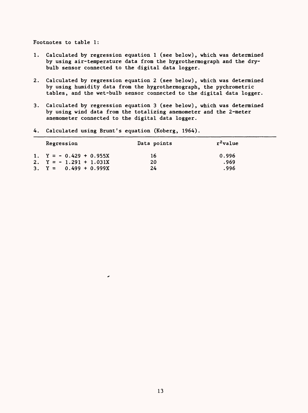Footnotes to table 1:

- 1. Calculated by regression equation 1 (see below), which was determined by using air-temperature data from the hygrothermograph and the drybulb sensor connected to the digital data logger.
- 2. Calculated by regression equation 2 (see below), which was determined by using humidity data from the hygrothermograph, the pychrometric tables, and the wet-bulb sensor connected to the digital data logger.
- 3. Calculated by regression equation 3 (see below), which was determined by using wind data from the totalizing anemometer and the 2-meter anemometer connected to the digital data logger.

| Regression               | Data points | r <sup>2</sup> value |  |
|--------------------------|-------------|----------------------|--|
| 1. $Y = -0.429 + 0.955X$ | 16          | 0.996                |  |
| 2. $Y = -1.291 + 1.031X$ | 20          | .969                 |  |
| 3. $Y = 0.499 + 0.999X$  | 24          | .996                 |  |

4. Calculated using Brunt's equation (Koberg, 1964).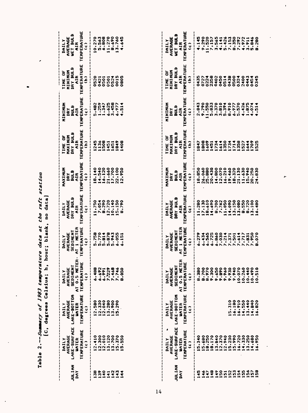**Table 2. Summary of 1983 temperature data at the raft station**  Table 2.--Summary of 1983 temperature data at the raft station<br>[C, degrees Celaius; h, hour; blank, no data] **[C, degrees Celsius; h, hour; blank, no data]**

 $\overline{\phantom{a}}$ 

| JULIAN<br>Day                             | DAILY<br>AVERAGE<br>LAKE-SURFACE L.<br>MATER<br>ENPERATURE<br>(c)   | <b>TEMPERATURE</b><br><b>IAILY<br/>AVERAGE<br/>LAKE-BOTTOM</b><br>LAKE-BOTTOM | ú<br>TEMPERATUR<br>(c)<br><b>AVERAGE<br/>SEDIMENT</b><br>AT 0.5 METI<br><b>DAILY</b> | DAILY<br>AVERAGE<br>SEDIMENT<br>AT 1 METER<br>AT 1 METER<br>TEMPERATURE | DAILY<br>AVERAGE<br>DRY BULB<br>IEMPERATURE<br>TEMPERATURE | MAXIMUM<br>DRY<br>Bulb<br>Rulb<br>Temperature<br>Temperature | TIME OF<br>MAXIMUM<br>DRY BULB<br>DEMPERATURE<br>TEMPERATURE | MININUM<br>DRY<br>DRY<br>Bulb<br>Bulb<br>Temperature<br>Temperature | TIME OF<br>MINIMUM<br>DRY BULB<br>DRY MIR<br>TEMPERATURE<br>TEMPERATURE | DAILY<br>AVERAGE<br>WET BULB<br>MER AIR<br>TEMPERATURE<br>TEMPERATURE |
|-------------------------------------------|---------------------------------------------------------------------|-------------------------------------------------------------------------------|--------------------------------------------------------------------------------------|-------------------------------------------------------------------------|------------------------------------------------------------|--------------------------------------------------------------|--------------------------------------------------------------|---------------------------------------------------------------------|-------------------------------------------------------------------------|-----------------------------------------------------------------------|
| 38<br>00 - 0 0 4<br>Maaaaa<br>Hii Hii Hii | 12.410<br>12.300<br>13.1200<br>13.700<br>15.370<br>550<br>$\dot{p}$ | ,,,,,,,,,,,<br>12.580<br>12.33400<br>1111.2800<br>15.290                      | $\frac{1}{2}$<br>6.488<br>$5.37480$<br>$5.74040$<br>$5.74040$<br>$5.7400$<br>$5.60$  | 1,759<br>1,814,955<br>1,914,055<br>1,914,055                            | 047550<br>105577200<br>10.11500<br>10.11500<br>10.11500    |                                                              | 111111081408                                                 | 5.482<br>1.3557<br>1.34258<br>6.458<br>4.514                        | 120111111005                                                            |                                                                       |

|                      | DAILY<br>LAVERAGE<br>LAKE-SURFACE L<br>TEMPERATURE T<br>TEMPERATURE T | DAILY<br>AVERAGE                             | DAILY<br>AVERAGE                  | DAILY<br>AVERAGE<br>SEDIMENT<br>AT 1 METER<br>AT 1 METER<br>TEMPERATURE | DAILY<br>Average<br>DRY Bulb<br>CAR<br>CAPERATURE<br>CC) | MAXIMUM<br>DRY<br>Bulb<br>AIR<br>AIR<br>MPERATURE<br>MCA | TIME OF<br>MAXIMUM<br>DRY BULB<br>DRY BULB<br>MPERATURI<br>IMPERATURI | NINININ<br>DRY<br>Bulb<br>AIR<br>AIR<br>MPERATURE<br>MPERATURE | TIME OF<br>MINIMUM<br>DRY BULB<br>DRY BULB<br>APERATURE<br>MPERATURE | IAILY<br>AVERAGE<br>WET BULB<br>AIR<br>AFERATUR<br>MFERATUR |
|----------------------|-----------------------------------------------------------------------|----------------------------------------------|-----------------------------------|-------------------------------------------------------------------------|----------------------------------------------------------|----------------------------------------------------------|-----------------------------------------------------------------------|----------------------------------------------------------------|----------------------------------------------------------------------|-------------------------------------------------------------|
| <b>JULIAN</b><br>DAY |                                                                       | LAKE-BOTTOM                                  | SEDIMENT                          |                                                                         |                                                          |                                                          |                                                                       |                                                                |                                                                      |                                                             |
|                      |                                                                       | <b>UATER</b>                                 |                                   |                                                                         |                                                          |                                                          |                                                                       |                                                                |                                                                      |                                                             |
|                      |                                                                       | TEMPERATURE                                  | AT 0.5 HETH<br>Temperaturi<br>(c) |                                                                         |                                                          |                                                          |                                                                       |                                                                |                                                                      |                                                             |
|                      |                                                                       | $\hat{u}$                                    |                                   |                                                                         |                                                          |                                                          |                                                                       |                                                                |                                                                      |                                                             |
|                      | 5.340                                                                 |                                              | 8.380                             |                                                                         |                                                          | 18.850                                                   |                                                                       |                                                                |                                                                      |                                                             |
|                      |                                                                       |                                              |                                   |                                                                         |                                                          |                                                          |                                                                       |                                                                |                                                                      |                                                             |
|                      |                                                                       |                                              | 8.970                             |                                                                         |                                                          |                                                          |                                                                       |                                                                |                                                                      |                                                             |
| 279                  | 15.480<br>18.250<br>18.170                                            |                                              | 002.1                             |                                                                         |                                                          |                                                          |                                                                       |                                                                |                                                                      |                                                             |
|                      |                                                                       |                                              | 7.650                             |                                                                         |                                                          |                                                          |                                                                       |                                                                | 501480048040045<br>500055604545<br>50005456004545<br>50005000000000  |                                                             |
|                      |                                                                       |                                              | 9.890                             |                                                                         |                                                          |                                                          |                                                                       |                                                                |                                                                      |                                                             |
|                      |                                                                       |                                              | 9.960                             |                                                                         |                                                          |                                                          |                                                                       |                                                                |                                                                      |                                                             |
|                      | 13.840<br>12.3740<br>12.940<br>15.230                                 | 5.310                                        |                                   |                                                                         |                                                          |                                                          |                                                                       |                                                                |                                                                      |                                                             |
|                      |                                                                       | 180<br>$\frac{1}{2}$                         | 0.930<br>0.940                    |                                                                         |                                                          |                                                          |                                                                       |                                                                |                                                                      |                                                             |
|                      | 16.720<br>14.330<br>13.250<br>14.480                                  |                                              | 10.070                            |                                                                         |                                                          |                                                          |                                                                       |                                                                |                                                                      |                                                             |
|                      |                                                                       | $14.550$<br>$14.550$<br>$13.440$<br>$14.840$ |                                   |                                                                         |                                                          |                                                          |                                                                       |                                                                |                                                                      |                                                             |
|                      |                                                                       |                                              | 10.260<br>10.440<br>10.490        |                                                                         |                                                          |                                                          |                                                                       |                                                                |                                                                      |                                                             |
|                      |                                                                       |                                              |                                   |                                                                         |                                                          |                                                          |                                                                       |                                                                |                                                                      |                                                             |
|                      | 16.950                                                                | 16.820                                       | 10.510                            |                                                                         |                                                          |                                                          |                                                                       |                                                                |                                                                      |                                                             |

 $\ddot{\phantom{0}}$ 

 $\ddot{\phantom{1}}$ 

 $\ddot{\phantom{0}}$ 

 $\overline{a}$ 

 $\ddot{\phantom{0}}$ 

 $\ddot{\phantom{a}}$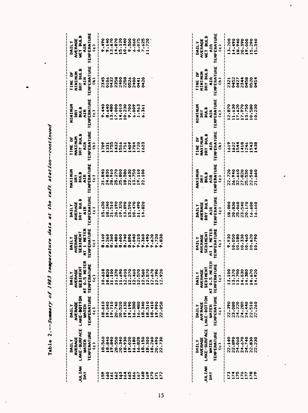Table 2.--Summary of 1983 temperature data at the raft station--continued **Table 2.** *Summary of 1983 temperature data at the raft station continued*

 $\overline{\phantom{a}}$ 

| JULIAN<br>DAY    | AVERAGE<br>LAKE-SURFACE<br><b>WATER</b><br>DAILY | ARANGE<br>AVERAGE<br>ZE LAKE-BOTTOM<br>WATER<br>DAILY | DAILY<br>Average<br>Sediment<br>AT 0.5 Meter<br>E Temperature<br>E Temperature | DAILY<br>AVERAGE<br>Sediment<br>AT 1 Meter<br>Temperature<br>Temperature | DAILY<br>Average<br>Dry Bulb<br>Temperature<br>Temperature | MAXINUM<br>DRY<br>Bulb<br>Bulb<br>Temperature<br>Temperature | TIME OF<br>MAXIMUM<br>DRY BULB<br>DRY BULB<br>TEMPERATURE<br>TEMPERATURE | MINIMUM<br>DRY<br>DULB<br>DULB<br>TEMPERATURE<br>TEMPERATURE | TIME OF<br>MINIMUM<br>DRY BULB<br>DRY BULB<br>TEMPERATURE<br>TEMPERATURE | DAILY<br>Average<br>Wet Bulb<br>Kemperature<br>Temperature |
|------------------|--------------------------------------------------|-------------------------------------------------------|--------------------------------------------------------------------------------|--------------------------------------------------------------------------|------------------------------------------------------------|--------------------------------------------------------------|--------------------------------------------------------------------------|--------------------------------------------------------------|--------------------------------------------------------------------------|------------------------------------------------------------|
|                  | TEMPERATURE<br>(c)                               | TEMPERATURE<br>(c)                                    |                                                                                |                                                                          |                                                            |                                                              |                                                                          |                                                              |                                                                          |                                                            |
| $\frac{6}{2}$    | 18.560                                           | 18.610                                                | 10.610                                                                         | .160                                                                     |                                                            |                                                              |                                                                          |                                                              |                                                                          |                                                            |
|                  |                                                  |                                                       |                                                                                |                                                                          |                                                            |                                                              |                                                                          |                                                              |                                                                          |                                                            |
|                  |                                                  |                                                       |                                                                                | 288<br>NA                                                                |                                                            |                                                              |                                                                          |                                                              |                                                                          |                                                            |
|                  |                                                  |                                                       | 10.820<br>11.100<br>11.370                                                     | å                                                                        |                                                            |                                                              |                                                                          |                                                              |                                                                          |                                                            |
|                  |                                                  |                                                       |                                                                                |                                                                          |                                                            |                                                              |                                                                          |                                                              |                                                                          |                                                            |
|                  |                                                  |                                                       |                                                                                |                                                                          |                                                            |                                                              |                                                                          |                                                              |                                                                          |                                                            |
|                  |                                                  |                                                       | $11.690$<br>$12.010$<br>$12.270$<br>$12.460$                                   |                                                                          |                                                            |                                                              |                                                                          |                                                              |                                                                          |                                                            |
|                  |                                                  |                                                       |                                                                                |                                                                          |                                                            |                                                              |                                                                          |                                                              |                                                                          |                                                            |
|                  |                                                  |                                                       | 12.570                                                                         |                                                                          |                                                            |                                                              |                                                                          |                                                              |                                                                          |                                                            |
|                  |                                                  |                                                       |                                                                                |                                                                          |                                                            |                                                              |                                                                          |                                                              |                                                                          |                                                            |
|                  |                                                  |                                                       |                                                                                |                                                                          |                                                            |                                                              |                                                                          |                                                              |                                                                          |                                                            |
|                  |                                                  |                                                       | $12.560$<br>$12.570$<br>$12.670$                                               |                                                                          |                                                            |                                                              |                                                                          |                                                              |                                                                          |                                                            |
|                  |                                                  |                                                       | 12.790                                                                         |                                                                          |                                                            |                                                              |                                                                          |                                                              |                                                                          |                                                            |
| 1111111111111111 |                                                  | 0.50                                                  | 12.920                                                                         | 830                                                                      |                                                            |                                                              |                                                                          |                                                              |                                                                          |                                                            |
|                  |                                                  |                                                       |                                                                                |                                                                          |                                                            |                                                              |                                                                          |                                                              |                                                                          |                                                            |

| <b>JULIAN</b><br>DAY | DAILY<br>LAKE-SURFACE L<br>LAKE-SURFACE L<br>TEMPERATURE<br>TEMPERATURE | DAILY<br>Elake-Bottom Sediment<br>Elake-Bottom Sediment<br>Elake-Bottom Sediment<br>Wier AT 0.5 Meter<br>Temperature Temperature                                                                                                                                                                                           | ដ<br>ចំ ប | DAILY<br>AVERAGE<br>Sediment<br>AT 1 Meter<br>Temperature<br>Temperature | DAILY<br>Average<br>DRY Bulb<br>DRY Bulb<br>Temperature<br>Temperature | MAXIMUM<br>DIRY<br>Bulb<br>EMPERATURE<br>TEMPERATURE | TIME OF<br>MAXIMUM<br>DRY BULB<br>DEMPERATURE<br>TEMPERATURE                    | MININUM<br>DRY<br>Bulb<br>Bulb<br>Temperature<br>Temperature | TIME OF<br>MINIMUM<br>DRY BULB<br>DEMPERATURE<br>TEMPERATURE | DAILY<br>AVERAGE<br>WET BULB<br>MET BULB<br>CEMPERATURE<br>CEMPERATURE |
|----------------------|-------------------------------------------------------------------------|----------------------------------------------------------------------------------------------------------------------------------------------------------------------------------------------------------------------------------------------------------------------------------------------------------------------------|-----------|--------------------------------------------------------------------------|------------------------------------------------------------------------|------------------------------------------------------|---------------------------------------------------------------------------------|--------------------------------------------------------------|--------------------------------------------------------------|------------------------------------------------------------------------|
| 2752222              |                                                                         | $\begin{smallmatrix} 0.0 & 0 & 0 & 0 & 0 & 0 \\ 0.0 & 0 & 0 & 0 & 0 & 0 \\ 0.0 & 0 & 0 & 0 & 0 & 0 \\ 0.0 & 0 & 0 & 0 & 0 & 0 \\ 0 & 0 & 0 & 0 & 0 & 0 \\ 0 & 0 & 0 & 0 & 0 & 0 \\ 0 & 0 & 0 & 0 & 0 & 0 \\ 0 & 0 & 0 & 0 & 0 & 0 \\ 0 & 0 & 0 & 0 & 0 & 0 \\ 0 & 0 & 0 & 0 & 0 & 0 \\ 0 & 0 & 0 & 0 & 0 & 0 \\ 0 & 0 & 0$ |           |                                                                          |                                                                        |                                                      | $\begin{array}{c}\n 0.040000 \\  0.041400 \\  0.04000 \\  0.0400\n \end{array}$ |                                                              | 122248884                                                    |                                                                        |

 $\cdot$ 

è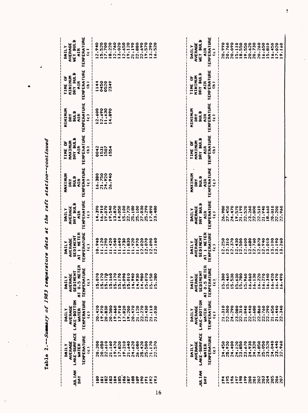| <b>MAIT TOP</b><br><b>DAY</b>                                                                               | LAKE-SURFACE<br>TEMPERATURE<br>AVERAGE<br>WATER<br>DAILY<br>Ĵ                                                                            | TEMPERATURE<br>LAKE-BOTTOM<br>AVERAGE<br>WATER<br>DAILY<br>$\hat{c}$                                                               | ER<br>ш<br>SEDIMENT<br><b>0.5 HET</b><br><b>TEMPERATUR</b><br>AVERAGE<br>DAILY<br>$\hat{u}$<br>$\overline{\epsilon}$                     | <b>TEMPERATURE</b><br>AT 1 HETER<br>SEDIMENT<br>AVERAGE<br>DAILY<br>$\hat{u}$                                                                                        | <b>TEMPERATURE</b><br>DRY BULB<br>AVERAGE<br>DAILY<br>AIR<br>ĉ                                                                                                             | <b>TEMPERATURE</b><br>HAXINUM<br>BULB<br>AIR<br>DRY<br>$\hat{c}$    | <b>TEMPERATURE</b><br>DRY BULB<br><b>XIXIXEX</b><br>ð<br>hik<br>$\hat{\epsilon}$<br>TIME | <b>TEMPERATURE</b><br><b>AUNINIZY</b><br><b>BULB</b><br>hik<br>DRY<br>$\hat{c}$ | TEMPERATURE<br><b>BULB</b><br>MININUM<br><b>TIME OF</b><br>AIR<br>$\hat{a}$<br>DRY | TEMPERATURE<br><b>ATIME LEAR</b><br>AVERAGE<br>DAILY<br>AIR<br>$\hat{c}$                                                                         |
|-------------------------------------------------------------------------------------------------------------|------------------------------------------------------------------------------------------------------------------------------------------|------------------------------------------------------------------------------------------------------------------------------------|------------------------------------------------------------------------------------------------------------------------------------------|----------------------------------------------------------------------------------------------------------------------------------------------------------------------|----------------------------------------------------------------------------------------------------------------------------------------------------------------------------|---------------------------------------------------------------------|------------------------------------------------------------------------------------------|---------------------------------------------------------------------------------|------------------------------------------------------------------------------------|--------------------------------------------------------------------------------------------------------------------------------------------------|
| 182<br>183<br>185<br>186<br>188<br>189<br>190<br><b>SST</b><br>184<br>187<br>ē<br>192<br>$\tilde{e}$<br>191 | 21,160<br>19.470<br>19.210<br>21,640<br>24.620<br>26.080<br>25.420<br>25.500<br>20.200<br>20.050<br>22.610<br>17.820<br>21,170<br>22,570 | 20.470<br>22,270<br>20.580<br>19.660<br>17.910<br>17.820<br>19.200<br>21.120<br>33.430<br>21.110<br>020<br>19.970<br>20.830<br>ន្ល | 5.170<br>5.1700<br>5.160<br>5.090<br>4.940<br>4.930<br>4.980<br>5.070<br>.070<br>5,170<br>5.010<br>5.150<br>5,280<br>IO.                 | 11.120<br>11.420<br>11.540<br>11.640<br>11.730<br>11.830<br>11.970<br>12.020<br>$0 + 6.$<br>11.290<br>11.920<br>12.070<br>2.090<br>.160<br>$\mathbf{\tilde{c}}$<br>۰ | 6.910<br>19.540<br>13.870<br>15,100<br>25.180<br>25,100<br>27,030<br>25.290<br>19.070<br>14.050<br>.890<br>.390<br>22.720<br>.480<br>$\overline{1}$<br>$\overline{2}$<br>÷ | 21.750<br>16.380<br>26.940                                          | 0042<br>1507<br>1531<br>554                                                              | $12.690$<br>11.630<br>2.600<br>4.890                                            | 0450<br>1144<br>0520<br>2349                                                       | 18.220<br>12.760<br>12,650<br>19.120<br>21,190<br>22.880<br>19.570<br>13.290<br>.940<br>15.520<br>17.700<br>22.690<br>520<br>Ċ4<br>$\frac{6}{1}$ |
| JULIAN<br>Š                                                                                                 | LAKE-SURFACE<br><b>TEMPERATURE</b><br>AVERAGE<br>UATER<br>MIII<br>$\hat{\mathsf{u}}$                                                     | <b>TEMPERATURE</b><br>LAKE-BOTTOM<br>AVERAGE<br><b>UATER</b><br>DAILY<br>$\hat{c}$                                                 | $\tilde{\mathbf{r}}$<br>ω<br><b>0.5 MET</b><br>TEMPERATUR<br>SEDIMENT<br>AVERAGE<br><b>TINAILY</b><br>$\hat{u}$<br>$\overline{\epsilon}$ | AT 1 HETER<br>TEMPERATURE<br>SEDIMENT<br>AVERAGE<br><b>NTIVO</b><br>Ĵ                                                                                                | <b>TEMPERATURE</b><br>DRY BULB<br>AVERAGE<br>DAILY<br>č<br>Ĵ                                                                                                               | <b>TEMPERATURE</b><br>MAXIMUM<br>BULB<br>AIR <sup>.</sup><br>Ã<br>Ĵ | <b>TEMPERATURE</b><br>DRY BULB<br>MAXIMUM<br><b>DE OF</b><br>hik<br>$\hat{\epsilon}$     | <b>TEMPERATURE</b><br>MININUM<br><b>BULB</b><br><b>AIR</b><br>DRY<br>Ĵ          | <b>TEMPERATURE</b><br>DRY BULB<br>MININUM<br>ä<br><b>AIR</b><br>$\hat{a}$<br>TIME  | <b>TEMPERATURE</b><br><b>MEL BITTB</b><br>AVERAGE<br><b>TIATLY</b><br>AIR<br>$\hat{c}$                                                           |
| 196<br>198<br>195<br>197<br>199<br>200<br>194<br>201                                                        | 24.930<br>25.920<br>24.400<br>24.120<br>23.850<br>23.670<br>24.320<br>24.450                                                             | 22.300<br>24.290<br>23.080<br>22.310<br>21.840<br>22.440<br>22.680<br>21.310                                                       | 5.530<br>15.630<br>6.060<br>6.130<br>5.380<br>5.460<br>5.960                                                                             | 2.370<br>$12.430$<br>$12.500$<br>$12.600$<br>$12.600$<br>$12.760$<br>2,250<br>2.310                                                                                  | 24.470<br>21.190<br>27.450<br>19.570<br>22,520<br>23.260<br>22.800<br>26,980                                                                                               |                                                                     |                                                                                          |                                                                                 |                                                                                    | 20.990<br>20.090<br>20.620<br>20.730<br>20.760<br>15.110<br>18.550<br>19.550                                                                     |
| 202<br>203<br>205<br>204<br>$\frac{286}{287}$                                                               | 25.050<br>24.040<br>24.850<br>23.520<br>23.440<br>22.960                                                                                 | 22.860<br>22.760<br>22.290<br>21.650<br>21.440<br>22.340                                                                           | 6.220<br>6.270<br>6.340<br>6.420<br>6.470<br>6.490                                                                                       | 12.870<br>12.940<br>13.010<br>13.100<br>13.260                                                                                                                       | 18.660<br>20.010<br>22,510<br>21.940<br>22.200<br>22.960                                                                                                                   |                                                                     |                                                                                          |                                                                                 |                                                                                    | 20.260<br>16.650<br>15.810<br>16.450<br>17.020<br>19.160                                                                                         |

Ņ

 $\ddot{\phantom{0}}$ 

 $\bullet$ 

 $\cdot$ 

 $\mathcal{A}$ 

 $\sim$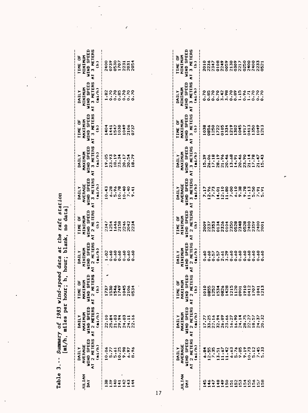|                                                                                                                                          | no data           |
|------------------------------------------------------------------------------------------------------------------------------------------|-------------------|
|                                                                                                                                          |                   |
|                                                                                                                                          | blank             |
|                                                                                                                                          |                   |
|                                                                                                                                          | $\ddot{a}$        |
| y of 1983 wind-speed data at the raft station                                                                                            | per hour;         |
|                                                                                                                                          |                   |
|                                                                                                                                          | aile <sub>s</sub> |
| ummar                                                                                                                                    | $m/n$ ,           |
|                                                                                                                                          |                   |
| $\frac{1}{2}$                                                                                                                            |                   |
| ֧֧֧֧֧֧֧֧֧֧֦֧֧֧֦֧ׅ֧֛֧֧֧֧֧֦֧֚֘֝֓֕֓֝֬֓֓֝֬֓֝֬֝֓֬֝֬֓֝֬֝֬֝֬֜֜֓֬֓֬֜֜֜<br>֧֪֧֧֧֧֧֛֪֧֧֦֧֦֧֦֧֦֧֦֧֧֦֧֚֚֚֚֚֚֚֚֚֚֚֝֝֜֜֜֝֬֩֜֜<br>֧֪֪֧֪֪֪֪֪֪֪֪֪֪֪֪֪֪֪֪֖ |                   |

| ULIAN<br>DAY                                                    | DAILY<br>AVERAGE<br>WIND SPEED<br>WI 2 METERS<br>AT 2 METERS | IAILY<br>HAXIMUM /<br>Wind Speed /<br>Wind Speed /<br>AT 2 Meters /                                                                                                 | TIME OF<br>MAXIMUM<br>WIND SPEED<br>WIND SPEED<br>AT 2 METERS | DAILY<br>HINIMUM<br>WIND SPEED<br>WIND SPEED<br>AT 2 HETERS<br>AT 2 HETERS | TIME OF<br>MINIMUM<br>MIND SPEED<br>MIND SPEED<br>AT 2 METERS<br>Ch | NAILY<br>AUERAGE<br>AT 3 HETERS<br>AT 3 HETERS<br>AT 3 HETERS<br>43<br>43<br>43<br>43<br>5, 40<br>10, 43<br>5, 40<br>70, 40<br>70, 40<br>70, 70<br>70, 70 | DAILY<br>MAXIMUM<br>WIND SPEED<br>WI 3 METERS<br>AT 3 METERS | TIME OF<br>MAXIMUM<br>WIND SPEED<br>WI 3 METERS<br>AT 3 METERS | DAILY<br>WINDSPEED +<br>WINDSPEED +<br>AT 3 METERS /<br>AT 3 METERS / | TIME OF<br>MINIMUM<br>WIND SPEED<br>AT 3 METERS<br>AT 3 METERS |
|-----------------------------------------------------------------|--------------------------------------------------------------|---------------------------------------------------------------------------------------------------------------------------------------------------------------------|---------------------------------------------------------------|----------------------------------------------------------------------------|---------------------------------------------------------------------|-----------------------------------------------------------------------------------------------------------------------------------------------------------|--------------------------------------------------------------|----------------------------------------------------------------|-----------------------------------------------------------------------|----------------------------------------------------------------|
|                                                                 |                                                              |                                                                                                                                                                     |                                                               |                                                                            |                                                                     |                                                                                                                                                           |                                                              |                                                                |                                                                       |                                                                |
| $\begin{array}{c} 0.021004 \\ 0.024444 \\ 0.004444 \end{array}$ |                                                              | $\begin{array}{cccc}\n 0 & 4 & 7 & 4 & 7 & 7 & 4 & 4 \\  - & 0 & 0 & 0 & 0 & 0 & 1 & 1 \\  0 & 0 & 0 & 0 & 0 & 0 & 0 \\  0 & 0 & 0 & 0 & 0 & 0 & 0 \\  \end{array}$ | 122444044<br>12244402<br>122512021                            |                                                                            |                                                                     |                                                                                                                                                           |                                                              |                                                                |                                                                       | 000023114<br>000023114<br>00012000                             |
|                                                                 |                                                              |                                                                                                                                                                     |                                                               |                                                                            |                                                                     |                                                                                                                                                           |                                                              |                                                                |                                                                       |                                                                |
|                                                                 |                                                              |                                                                                                                                                                     |                                                               |                                                                            |                                                                     |                                                                                                                                                           |                                                              |                                                                |                                                                       |                                                                |
|                                                                 |                                                              |                                                                                                                                                                     |                                                               |                                                                            |                                                                     |                                                                                                                                                           |                                                              |                                                                |                                                                       |                                                                |
|                                                                 |                                                              |                                                                                                                                                                     |                                                               |                                                                            |                                                                     |                                                                                                                                                           |                                                              |                                                                |                                                                       |                                                                |
|                                                                 |                                                              |                                                                                                                                                                     |                                                               |                                                                            |                                                                     |                                                                                                                                                           |                                                              |                                                                |                                                                       |                                                                |

 $\epsilon$ 

 $\bar{z}$ 

ł,

| <b>ULIAN</b><br>DAY |                                                              |  |                                                             |                                                              |                                                        |                                                            |                                                                |                                                                    |                                                                |
|---------------------|--------------------------------------------------------------|--|-------------------------------------------------------------|--------------------------------------------------------------|--------------------------------------------------------|------------------------------------------------------------|----------------------------------------------------------------|--------------------------------------------------------------------|----------------------------------------------------------------|
|                     | DAILY<br>Average<br>Wind Speed<br>At 2 Meters<br>At 2 Meters |  | DAILY<br>HINIMUM<br>WIND SPEED<br>WIND SPEED<br>AT 2 METERS | TIME OF<br>MININUM<br>WIND SPEED<br>T 2 METERS<br>T 2 METERS | DAILY<br>AVERAGE<br>IIND SPEED<br>I 3 METERS<br>Cai/h) | DAILY<br>MAXIMUM<br>WIND SPEED<br>T.3 METERS<br>T.3 METERS | TIME OF<br>MAXIMUM<br>WIND SPEED<br>VT 3 METERS<br>VT 3 METERS | DAILY<br>MINIMUM<br>WIND SPEED<br>VI 3 METERS<br>T 3 METERS        | TIME OF<br>MINIMUM<br>WIND SPEED<br>WI 3 METERS<br>AT 3 METERS |
|                     |                                                              |  |                                                             |                                                              |                                                        |                                                            |                                                                |                                                                    |                                                                |
|                     |                                                              |  |                                                             |                                                              |                                                        |                                                            |                                                                |                                                                    |                                                                |
|                     |                                                              |  |                                                             |                                                              | 1287210800288228272                                    |                                                            |                                                                | ODOON BODD 37000<br>CBC CARL CBC CARL CBC<br>CBC CARL CBC CARL CBC |                                                                |
|                     |                                                              |  |                                                             |                                                              |                                                        |                                                            |                                                                |                                                                    |                                                                |
|                     |                                                              |  |                                                             |                                                              |                                                        |                                                            |                                                                |                                                                    |                                                                |
|                     |                                                              |  |                                                             |                                                              |                                                        |                                                            |                                                                |                                                                    |                                                                |
|                     |                                                              |  |                                                             |                                                              |                                                        |                                                            |                                                                |                                                                    |                                                                |
|                     |                                                              |  |                                                             |                                                              |                                                        |                                                            |                                                                |                                                                    |                                                                |
|                     |                                                              |  |                                                             |                                                              |                                                        |                                                            |                                                                |                                                                    |                                                                |
|                     |                                                              |  |                                                             |                                                              |                                                        |                                                            |                                                                |                                                                    |                                                                |
|                     |                                                              |  |                                                             |                                                              |                                                        |                                                            |                                                                |                                                                    |                                                                |
|                     |                                                              |  |                                                             |                                                              |                                                        |                                                            |                                                                |                                                                    |                                                                |
|                     |                                                              |  |                                                             |                                                              |                                                        |                                                            |                                                                |                                                                    |                                                                |
|                     |                                                              |  |                                                             |                                                              |                                                        |                                                            |                                                                |                                                                    |                                                                |

 $\ddot{\phantom{0}}$ 

 $\frac{17}{1}$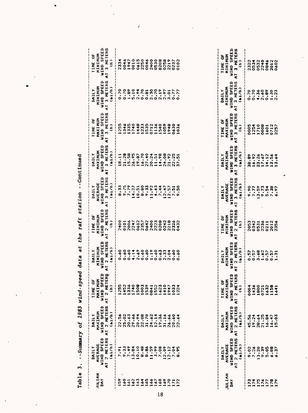|                        | --Summary of                               |                                               |                                                          |                                                         |                                            |                                             |                                         |                                                  |                                    |                                               |
|------------------------|--------------------------------------------|-----------------------------------------------|----------------------------------------------------------|---------------------------------------------------------|--------------------------------------------|---------------------------------------------|-----------------------------------------|--------------------------------------------------|------------------------------------|-----------------------------------------------|
|                        | DAILY                                      | DAILY                                         | یبا<br>TIME O                                            | <b>DAILY</b>                                            | <b>TIME OF</b>                             | DAILY                                       | <b>IIAILY</b>                           | TIME OF                                          | <b>TILAN</b>                       | TIME OF                                       |
| NATIVIL<br>DAY         | WIND SPEED<br>AVERAGE                      | WIND SPEED<br>MAXIMUM                         | tED.<br>Ξ<br><b>SPININ</b><br>MAXIM                      | WIND SPEED<br>MININUM                                   | WIND SPEED<br>MINIMUM                      | WIND SPEED<br>AVERAGE                       | WIND SPEED<br>MAXIMUM                   | WIND SPEED<br>MAXIMUM                            | WIND SPEED<br>MININUM              | <b>WIND SPEED</b><br>MININUM                  |
|                        | 2 HETERS<br>(mi/h)<br>$\overline{\bullet}$ | 2 METERS<br>(mi/h)<br>$\overline{\mathbf{r}}$ | ERS<br>$2$ MET<br>$\hat{\epsilon}$<br>$\tilde{\epsilon}$ | 2 METERS<br>(m <sub>1</sub> /h)<br>$\overline{\bullet}$ | 2 HETERS<br>$\hat{c}$<br>$\tilde{\bullet}$ | 3 METERS<br>(ni/h)<br>$\overline{\epsilon}$ | 3 METERS<br>(m1/h)<br>$\tilde{\bullet}$ | 3 METERS<br>$\hat{\epsilon}$<br>$\ddot{\bullet}$ | AT 3 METERS<br>(m <sub>1</sub> /h) | 3 METERS<br>$\hat{a}$<br>$\overline{\bullet}$ |
| e,                     | $\ddot{\bullet}$                           |                                               |                                                          | 0.60                                                    | 2400                                       | $\frac{33}{2}$<br>œ                         | 18.11                                   | 255                                              | 0.70                               | 2334                                          |
| $\mathbf{c}^{\bullet}$ | 9.33                                       | 22.56                                         | 255<br>452                                               | 0.60                                                    | 0101                                       | 9.75                                        | 21.28                                   | 346                                              | 0.70                               | 0646                                          |
| 161                    |                                            | 20.63                                         | 336                                                      | 0.60                                                    | 2006                                       | 7.79                                        | 15,58                                   | 335                                              | 1.89                               | 1947                                          |
| 162                    | $7.49$<br>13.84                            | 29.66                                         | 1740                                                     | 4.14                                                    | 2247                                       | 4.27<br>÷                                   | 26.95                                   | 740                                              |                                    | 0010                                          |
| 163                    |                                            | 20.94                                         | 1508                                                     | 2.69                                                    | 0612                                       | 10.51                                       | 19.87                                   | 448                                              | 5.94                               | 0615                                          |
| 164                    | 8.48                                       | 22,08                                         | 1003                                                     | 0.60                                                    | 2357                                       | 8.80                                        | 16.70                                   | 1233                                             | 0.70                               | 2250                                          |
| 165                    | 8.86                                       | 31.78                                         | 1539                                                     | 0.60                                                    | 0642                                       | 9.33                                        | 27.40                                   | 1535                                             |                                    | 0046                                          |
| 166                    | 11.59                                      | 24.62                                         | 0841                                                     |                                                         | 2400                                       | 11.92                                       | 20.24                                   | 0712                                             | $0.81$<br>$2.30$                   | 2400                                          |
| 167                    | 3.99                                       | 12.14                                         |                                                          | 1.19                                                    | 2223                                       | 4.43                                        | 11.51                                   | 1136                                             |                                    | 0530                                          |
| 168                    | 7.08                                       | 19.36                                         | 1552<br>1623                                             | 0.63                                                    | 0208                                       | 7.44                                        | 14.98                                   | 540                                              | $0.70$<br>$2.19$<br>$2.97$         | 0208                                          |
| 169                    | 12.09                                      | 31.16                                         | 1410                                                     |                                                         | 0242                                       | 5.47<br>٠                                   | 24,08                                   | 1059                                             |                                    | 0258                                          |
| 120                    | $\ddot{1}$                                 | 26.66                                         | 947                                                      | 2.33                                                    | 2218                                       | $2.47$<br>$2.57$<br>$\rightarrow$           | 21.92                                   | 1948                                             |                                    | 2219                                          |
| $\bar{z}$              | $\ddot{\circ}$<br>$\sim$                   | 20.60                                         | 033                                                      | 0.60                                                    | 2326                                       | 7.51                                        | 22.25                                   | 0630                                             | 3.01                               | 0237                                          |
|                        |                                            |                                               |                                                          |                                                         |                                            |                                             |                                         |                                                  |                                    |                                               |
| 172                    | ě,<br>œ                                    | $\frac{4}{3}$<br>$\mathbf{S}$                 | 224                                                      | 60.5<br>$\circ$                                         | 0432                                       | <u>ို</u><br>۰                              | ៊ុ<br>$\overline{5}$                    | 036                                              | 0.77                               | 0102                                          |
|                        |                                            |                                               |                                                          |                                                         |                                            |                                             |                                         |                                                  |                                    |                                               |
|                        |                                            |                                               |                                                          |                                                         |                                            |                                             |                                         |                                                  |                                    |                                               |
|                        |                                            |                                               |                                                          |                                                         |                                            |                                             |                                         |                                                  |                                    |                                               |
|                        |                                            |                                               |                                                          |                                                         |                                            |                                             |                                         |                                                  |                                    |                                               |
|                        |                                            |                                               |                                                          |                                                         |                                            |                                             |                                         |                                                  |                                    |                                               |
|                        | <b>TINTILY</b>                             | DAILY                                         | u.<br>TIME O                                             | <b>TITANI</b>                                           | TIME OF                                    | DAILY                                       | DAILY                                   | TIME OF                                          | MININUM<br>DAILY                   | TIME OF                                       |
| <b>JULIAN</b><br>DAY   | WIND SPEED<br>AVERAGE                      | WIND SPEED<br>MAXIMUM                         | ED<br>Σ<br><b>AS ONIA</b><br>MAXIMU                      | WIND SPEED<br>MININUM                                   | WIND SPEED<br>MININUM                      | WIND SPEED<br>AVERAGE                       | WIND SPEED<br>MAXIMUM                   | <b>WIND SPEED</b><br>MAXIMUM                     | WIND SPEED                         | WIND SPEED<br>MININUM                         |
|                        | AT 2 METERS                                | 2 HETERS<br>$\overline{\bullet}$              | ERS<br>$2$ MET<br>$\ddot{\bullet}$                       | 2 HETERS<br>$\overline{\epsilon}$                       | 2 METERS<br>$\ddot{\bullet}$               | 3 METERS<br>$\tilde{\bullet}$               | 3 METERS<br>$\overline{\bullet}$        | 3 HETERS<br>$\vec{r}$                            | 3 HETERS<br>$\tilde{\epsilon}$     | 3 METERS<br>$\overline{\epsilon}$             |
|                        | (mi/h)                                     | (mi/h)                                        | $\hat{a}$                                                | (m <sub>i</sub> /h)                                     | $\hat{a}$                                  | (m <sub>1</sub> /h)                         | (m1/h)                                  | $\hat{\epsilon}$                                 | (m <sub>1</sub> /h)                | $\hat{c}$                                     |
| 173                    | 9.02                                       | 45.56                                         | 0004                                                     | 0.57                                                    | 2053                                       | 9.90                                        | 38.89                                   | 0005                                             | 0.70                               | 2322                                          |
|                        | 7.26                                       | 19.24                                         | 1436                                                     |                                                         | 0342                                       | 7.77                                        | 16.92                                   | 1254                                             | 0.70                               | 0534                                          |
| 175                    | 13.20                                      | 28.64                                         | 1800                                                     |                                                         | 0531                                       |                                             | 23.26                                   | 1710                                             |                                    | 0532                                          |
|                        | 9.39                                       | 21.25                                         |                                                          |                                                         | 2236                                       |                                             | 17.67                                   | 0008                                             | $4.36$<br>2.60                     | 2240                                          |
| 176                    | 5.05                                       | 16.84                                         |                                                          | $5,800$<br>$0.400$<br>$0.400$                           | 0211                                       | $3.59$<br>$5.73$<br>$5.54$                  | 14.12                                   | 1601                                             | 0.89                               | 0846                                          |
| 178                    | 6.88                                       | $16.47$<br>15.03                              | 0721<br>1632<br>1158                                     | 0.57                                                    | 2012                                       | 7.38                                        | 13.56                                   | 0712<br>2257                                     | 1.30                               | 2012                                          |
|                        | .37<br>$\bullet$                           |                                               | 641                                                      | 1.31                                                    | 2356                                       | 6.97                                        | $\ddot{\bullet}$<br>$\mathbf{r}$        |                                                  | 2.23                               |                                               |

 $\ddot{\phantom{1}}$ 

 $\ddot{\phantom{a}}$ 

 $\epsilon$ 

 $\bullet$ 

 $\bar{z}$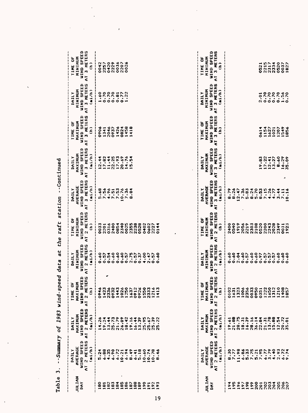| Table                                                                                                                              | Summary<br>$\pmb{\mathfrak{t}}$<br>$\blacksquare$<br>3                                                                                                                                                | 1983<br>of                                                                                                                                                                                                                                                                             | - S<br>wind                                                                                                                                     | peed data at                                                                                                            | the raft station                                                                                                           |                                                                                                               | --Continued                                                                         |                                                                                                    |                                                                                         |                                                                                                    |
|------------------------------------------------------------------------------------------------------------------------------------|-------------------------------------------------------------------------------------------------------------------------------------------------------------------------------------------------------|----------------------------------------------------------------------------------------------------------------------------------------------------------------------------------------------------------------------------------------------------------------------------------------|-------------------------------------------------------------------------------------------------------------------------------------------------|-------------------------------------------------------------------------------------------------------------------------|----------------------------------------------------------------------------------------------------------------------------|---------------------------------------------------------------------------------------------------------------|-------------------------------------------------------------------------------------|----------------------------------------------------------------------------------------------------|-----------------------------------------------------------------------------------------|----------------------------------------------------------------------------------------------------|
| <b>MAITINT</b><br>ĨAY                                                                                                              | 2 HETERS<br>WIND SPEED<br>AVERAGE<br>(ni/h)<br><b>IIAILY</b><br>$\tilde{\bullet}$                                                                                                                     | WIND SPEED<br>2 METERS<br>MAXIMUM<br>(ni/h)<br>DAILY<br>$\overline{\bullet}$                                                                                                                                                                                                           | PEED<br>2 METERS<br>$\overline{5}$<br>ä<br>MAXIM<br><b>GININ</b><br>$\hat{c}$<br><b>TIME</b><br>$\overline{\bullet}$                            | 2 METERS<br><b>WIND SPEED</b><br>MININUM<br>(m1/h)<br>MIII<br>$\overline{\epsilon}$                                     | <b>WIND SPEED</b><br>2 HETERS<br>MININUM<br><b>DE OF</b><br>$\hat{e}$<br>$\vec{\epsilon}$                                  | 3 HETERS<br>WIND SPEED<br>AVERAGE<br>(mi/n)<br><b>TIVAILY</b><br>$\vec{z}$                                    | 3 HETERS<br><b>WIND SFEED</b><br>MAXIMUM<br>(mi/h)<br>DAILY<br>$\overline{\bullet}$ | 3 METERS<br>WIND SPEED<br>MAXIMUM<br>ö<br>$\hat{\epsilon}$<br><b>TIME</b><br>$\overline{\epsilon}$ | 3 METERS<br><b>WIND SPEED</b><br>MININUM<br>(mi/n)<br><b>TIAILY</b><br>$\bar{\epsilon}$ | WIND SPEED<br>3 HETERS<br>MININUM<br>ð<br>$\hat{c}$<br>TIME<br>$\overline{\mathbf{c}}$             |
| 186<br>82<br>83<br>184<br>a.<br>$\mathbf{a}$<br>188<br>89<br>190<br>8<br>ð,<br>$\overline{\mathbf{a}}$<br>č<br>$\overline{5}$<br>÷ | 6.88<br>4.35<br>6.90<br>6.72<br>6.94<br>$\ddot{\bullet}$<br>5.18<br>0.60<br>T<br>0.21<br>$\ddot{\bullet}$<br>0.74<br>.78<br>Ģ<br>٠<br>٠<br>$\bullet$<br>٠<br>œ<br>ID.<br>۰<br>۰<br>œ<br>w.            | 25.73<br>21.79<br>26.09<br>19.16<br>٠<br>$\ddot{z}$<br>$-35$<br>39<br>$\ddot{\mathbf{z}}$<br>$\mathbf{z}$<br>$\ddot{c}$<br>۹<br>M,<br>$\bullet$<br>'n<br>$\overline{3}$<br>Ю<br>s.<br>٠<br>۰<br>ю<br>$\blacksquare$<br>$\blacksquare$<br>гv.<br>г.<br>N                                | 0912<br>2336<br>0932<br>1443<br>1026<br>1637<br>0926<br>1550<br>1423<br>333<br>$\bullet$<br>0946<br>413<br>$\alpha$<br>$\overline{\phantom{a}}$ | 0.60<br>0.60<br>0.60<br>2.75<br>4.00<br>$\ddot{\bm{3}}$<br>0.54<br>0.57<br>0.57<br>0.37<br>0.57<br>0.60<br>0.57<br>2.47 | 2340<br>2400<br>0854<br>0025<br>2355<br>2238<br>0528<br>0316<br>0402<br>0602<br>333<br>2227<br>24<br>2201                  | 7.56<br>7.51<br>7.53<br>5.68<br>0.76<br>7.36<br>.84<br>$\boldsymbol{\omega}$<br>÷                             | 17.93<br>17.82<br>11.44<br>22,25<br>20.69<br>14.76<br>12.44<br>15.54                | 1426<br>0824<br>1458<br>2046<br>0937<br>418<br>०१०६<br>1341<br>$\overline{\phantom{a}}$            | 0.70<br>1.60<br>0.70<br>0.70<br>$0.77$<br>$1.22$<br>0.81                                | 0420<br>2229<br>0036<br>0042<br>2257<br>2207<br>0026                                               |
| JULIAN<br>DAY                                                                                                                      | 2 METERS<br>WIND SPEED<br>AVERAGE<br>(mi/h)<br>MAILY<br>$\overline{\bullet}$                                                                                                                          | WIND SPEED<br>2 METERS<br>MAXIMUM<br>m/m<br><b>TIAILY</b><br>$\overline{\bullet}$                                                                                                                                                                                                      | <b>TERS</b><br>WIND SPEED<br>MAXIMUM<br>ä<br>2 M<br>$\hat{\epsilon}$<br>TIME<br>$\overline{\epsilon}$                                           | 2 HETERS<br>WIND SPEED<br>MINIMUM<br>(ni/h)<br>DAILY<br>$\overline{\mathbf{c}}$                                         | WIND SPEED<br><b>HETERS</b><br>MININIM<br><b>TIME OF</b><br>$\hat{\epsilon}$<br>$\mathbf{\hat{c}}$<br>$\overline{\bullet}$ | 3 HETERS<br><b>WIND SPEED</b><br>AVERAGE<br>(mi/h)<br><b>DAILY</b><br>$\bar{\epsilon}$                        | 3 METERS<br><b>WIND SPEED</b><br>MAXIMUM<br>(mi/h)<br>DAILY<br>$\overline{\bullet}$ | WIND SPEED<br>3 HETERS<br>MAXIMUM<br>ð<br>$\hat{\epsilon}$<br>TIME<br>$\tilde{\bullet}$            | 3 METERS<br><b>WIND SPEED</b><br>MININUM<br>(ni/h)<br>DAILY<br>$\bar{\epsilon}$         | WIND SPEED<br>METERS<br>MINININ<br><b>TIME OF</b><br>$\hat{\epsilon}$<br>m<br>$\overline{\bullet}$ |
| ę<br>$\boldsymbol{\delta}$<br>198<br>199<br>200<br>202<br>203<br>204<br>205<br>205<br>197<br>$\frac{201}{20}$<br>۰                 | 11.98<br>$6.86$<br>5.33<br>$7.75$<br>$5.21$<br>$7.95$<br>$6.77$<br>3.79<br>$\ddot{ }$<br>ន<br><b>ន</b><br>$\overline{6}$<br>N 4<br>7.77<br>へへ<br>$\bullet$<br>$\bullet$<br>$\bullet$<br>٠<br>N<br>ه ه | 21.88<br>28.75<br>6.39<br>۰o<br>٠<br>.78<br>.88<br>18.31<br>$\ddot{a}$<br>$\frac{4}{5}$<br>20.72<br>$\ddot{\cdot}$<br>$\ddot{5}$<br>$\tilde{z}$<br>36.1<br>$\bullet$<br>I.<br>$\mathbf{a}$<br>S.<br>$\frac{13}{13}$<br>$\sim$<br>۰<br>$\blacksquare$<br>$\rightarrow$<br>$\rightarrow$ | 0950<br>0351<br>1222<br>1450<br>1312<br>210<br>408<br>0102<br>1323<br>1006<br>2356<br>0033<br>1631<br>$\overline{5}$<br>œ                       | 0.60<br>0.60<br>0.60<br>0.60<br>0.60<br>2.04<br>0.57<br>0.57<br>0.57<br>0.60<br>०<br>०<br>0.60<br>0.97<br>0.57          | 2400<br>2108<br>0520<br>2200<br>2028<br>0540<br>1919<br>2056<br>2219<br>2303<br>2243<br>2349<br>1923<br>0031               | 8.79<br>5.70<br>8.26<br>2.47<br>7.36<br>8.24<br>7.15<br>5.83<br>8.53<br>4.26<br>4.77<br>3.44<br>7.11<br>10.16 | 17.22<br>12, 41<br>8.60<br>16.29<br>9.83<br>13.27<br>35.09<br>۸                     | 1154<br>1549<br>0614<br>1627<br>1021<br>1207<br>1856                                               | 0.70<br>0.70<br>0.70<br>0.70<br>$1.56$<br>0.70<br>2.01                                  | 2215<br>0520<br>2334<br>0521<br>0037<br>1827                                                       |

 $\hat{\pmb{\epsilon}}$ 

 $\ddot{\phantom{1}}$ 

 $\ddot{\phantom{a}}$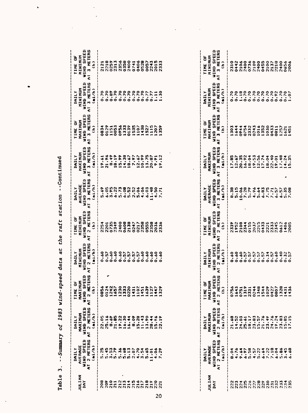|                      | Table 3. --Summary of 1983 wind-speed data at the raft station --Continued |                                                         |                                                                                  |                                                         |                                                                                             |                                                                |                                                         |                                                                                                                   |                                                                |                                                                                      |
|----------------------|----------------------------------------------------------------------------|---------------------------------------------------------|----------------------------------------------------------------------------------|---------------------------------------------------------|---------------------------------------------------------------------------------------------|----------------------------------------------------------------|---------------------------------------------------------|-------------------------------------------------------------------------------------------------------------------|----------------------------------------------------------------|--------------------------------------------------------------------------------------|
| <b>JULIAN</b><br>DAY | AVERAGE<br>WIND SPEED<br>AT 2 METERS<br>(m1/h)<br>MILY                     | MAXIMUM<br>Wind Speed<br>NT 2 Meters<br>(n1/h)<br>DAILY | <b>TERS</b><br>MAXIMUM<br>WIND SPEED<br>ă<br>AT 2 HE<br>$\hat{\epsilon}$<br>TIME | WIND SPEED<br>AT 2 METERS<br>HININUM<br>(ni/h)<br>DAILY | 2 METERS<br><b>MINIMUM</b><br>WIND SPEED<br><b>TIME OF</b><br>$\hat{\epsilon}$<br>$\vec{c}$ | AT 3 HETERS<br>WIND SPEED<br><b>AVERAGE</b><br>(n1/h)<br>DAILY | WIND SPEED<br>AT 3 METERS<br>MAXIMUM<br>(n1/h)<br>DAILY | 3 METERS<br>MAXIMUM<br>WIND SPEED<br><b>TIME OF</b><br>$\hat{\epsilon}$<br>$\overline{\epsilon}$                  | MINIMUM<br>WIND SPEED<br>AT 3 METERS<br>(mi/h)<br><b>IMILY</b> | MINIMUM<br>WIND SPEED<br>3 HETERS<br>TIME OF<br>$\hat{\epsilon}$<br>$\bar{\epsilon}$ |
|                      | 5.25                                                                       |                                                         |                                                                                  | 0.60                                                    |                                                                                             | 5.69                                                           |                                                         |                                                                                                                   | 0.70                                                           |                                                                                      |
| 882135183000001      |                                                                            |                                                         |                                                                                  |                                                         |                                                                                             | 6.05                                                           |                                                         | 0834<br>0129<br>0053                                                                                              |                                                                |                                                                                      |
|                      |                                                                            |                                                         |                                                                                  | 0.57                                                    |                                                                                             |                                                                |                                                         |                                                                                                                   |                                                                |                                                                                      |
|                      | ឆ្នាំង អូឡុង<br>មានសម្ព័ន្ធ<br>មានមានមាន                                   |                                                         |                                                                                  | 0.60                                                    |                                                                                             | $3.95$<br>$6.22$                                               |                                                         |                                                                                                                   | $282$<br>$-202$                                                |                                                                                      |
|                      |                                                                            |                                                         |                                                                                  | 0.60                                                    |                                                                                             | 5.73                                                           |                                                         |                                                                                                                   | $0.00000000011$                                                |                                                                                      |
|                      |                                                                            |                                                         |                                                                                  | $0.57$<br>0.57                                          |                                                                                             |                                                                |                                                         |                                                                                                                   |                                                                |                                                                                      |
|                      |                                                                            |                                                         |                                                                                  |                                                         |                                                                                             | $6.08$<br>5.52                                                 |                                                         |                                                                                                                   |                                                                |                                                                                      |
|                      |                                                                            |                                                         |                                                                                  | 0.57                                                    |                                                                                             | 2.52                                                           |                                                         |                                                                                                                   |                                                                |                                                                                      |
|                      |                                                                            |                                                         |                                                                                  |                                                         |                                                                                             | 5.06                                                           |                                                         |                                                                                                                   |                                                                |                                                                                      |
|                      |                                                                            |                                                         |                                                                                  |                                                         |                                                                                             | 4.06                                                           |                                                         |                                                                                                                   |                                                                |                                                                                      |
|                      |                                                                            |                                                         |                                                                                  |                                                         |                                                                                             | 6.03                                                           |                                                         | ene<br>Principal de la principal<br>Principal de la principal<br>Calona de la principal<br>Calona de la principal |                                                                |                                                                                      |
|                      | 1.01                                                                       |                                                         |                                                                                  |                                                         |                                                                                             | 1.48                                                           |                                                         |                                                                                                                   |                                                                |                                                                                      |
|                      | 4.06                                                                       |                                                         |                                                                                  | 0.60                                                    |                                                                                             | 4.50                                                           |                                                         |                                                                                                                   |                                                                |                                                                                      |
|                      | 7.29                                                                       |                                                         |                                                                                  | 0.60                                                    |                                                                                             | 7.71                                                           |                                                         |                                                                                                                   | 1.30                                                           |                                                                                      |
|                      |                                                                            |                                                         |                                                                                  |                                                         |                                                                                             |                                                                |                                                         |                                                                                                                   |                                                                |                                                                                      |
|                      |                                                                            |                                                         |                                                                                  |                                                         |                                                                                             |                                                                |                                                         |                                                                                                                   |                                                                |                                                                                      |
|                      |                                                                            |                                                         |                                                                                  |                                                         |                                                                                             |                                                                |                                                         |                                                                                                                   |                                                                |                                                                                      |

 $\ddot{\phantom{a}}$ 

 $\ddot{\phantom{0}}$ 

 $\ddot{\phantom{0}}$ 

 $\frac{1}{2}$ 

l,

 $\ddot{\phantom{a}}$ 

l,

 $\ddot{\phantom{0}}$ 

 $\bullet$ 

| JULIAN<br>DAY | DAILY<br>Average<br>JIND Speed<br>I 2 Meters<br>I (Aj/h) | DAILY<br>MAXIMUM<br>WIND SPEED<br>I 2 METERS<br>I 2 METERS                   | <b>SERS</b><br>RED<br>TIME<br>MAXIMI<br>MAXIMI<br>I 2 MET<br>L (h)<br>L (h) | DAILY<br>MINIMUM<br>JIND SPEED<br>I 2 METERS<br>I 41/h) | TIME OF<br>MININUM<br>WIND SPEED<br>T 2 METERS<br>T 2 METERS | DAILY<br>AVERAGE<br>WIND SPEED<br>T 3 METERS<br>T 3 METERS | <b>DAILY</b><br>MAXIMUM<br>WIND SPEED<br>VIND SPEED<br>T 3 METERS<br>C 41/h)                                                                                                                                                      | TIME OF<br>MAXIMUM<br>JIND SPEED<br>T 3 METERS<br>T 3 METERS                                                                         | DAILY<br>MINIMUM<br>JIND SPEED<br>T 3 METERS<br>T 3 METERS | TIME OF<br>MINIMUM<br>MIND SPEEI<br>T 3 METERE<br>T 3 METERE |
|---------------|----------------------------------------------------------|------------------------------------------------------------------------------|-----------------------------------------------------------------------------|---------------------------------------------------------|--------------------------------------------------------------|------------------------------------------------------------|-----------------------------------------------------------------------------------------------------------------------------------------------------------------------------------------------------------------------------------|--------------------------------------------------------------------------------------------------------------------------------------|------------------------------------------------------------|--------------------------------------------------------------|
|               |                                                          | <br>  3,3 3 3 3 5 6 7 8 7 8 8 9 9 9 1<br>  3 4 8 8 9 9 9 9 1 8 9 8 9 8 9 9 1 |                                                                             |                                                         |                                                              |                                                            |                                                                                                                                                                                                                                   |                                                                                                                                      |                                                            |                                                              |
|               | $8.74$<br>$9.74$<br>$9.74$<br>$9.74$<br>$9.74$           |                                                                              |                                                                             |                                                         |                                                              |                                                            | 02<br>1920: 1930: 1940: 1940: 1950: 1950: 1950: 1950: 1950: 1950: 1950: 1950: 1950: 1950: 1950: 1950: 1950: 1950<br>1950: 1950: 1950: 1950: 1950: 1950: 1950: 1950: 1950: 1950: 1950: 1950: 1950: 1950: 1950: 1950: 1950: 1950: 1 | M 4 4 4 6 10 4 6 6 70 4 6 6 70 4<br>0 4 4 5 70 6 70 70 40 40 40<br>0 4 6 6 70 6 70 40 40 40 40 40<br>0 4 6 6 70 40 40 40 40 40 40 40 |                                                            |                                                              |
|               |                                                          |                                                                              |                                                                             |                                                         |                                                              |                                                            |                                                                                                                                                                                                                                   |                                                                                                                                      |                                                            |                                                              |
|               |                                                          |                                                                              |                                                                             |                                                         |                                                              |                                                            |                                                                                                                                                                                                                                   |                                                                                                                                      |                                                            |                                                              |
|               |                                                          |                                                                              |                                                                             |                                                         |                                                              |                                                            |                                                                                                                                                                                                                                   |                                                                                                                                      |                                                            |                                                              |
|               |                                                          |                                                                              |                                                                             |                                                         |                                                              |                                                            |                                                                                                                                                                                                                                   |                                                                                                                                      |                                                            |                                                              |
|               |                                                          |                                                                              |                                                                             |                                                         |                                                              |                                                            |                                                                                                                                                                                                                                   |                                                                                                                                      |                                                            |                                                              |
|               |                                                          |                                                                              |                                                                             |                                                         |                                                              |                                                            |                                                                                                                                                                                                                                   |                                                                                                                                      |                                                            |                                                              |
|               |                                                          |                                                                              |                                                                             |                                                         |                                                              |                                                            |                                                                                                                                                                                                                                   |                                                                                                                                      |                                                            |                                                              |
|               |                                                          |                                                                              |                                                                             |                                                         |                                                              |                                                            |                                                                                                                                                                                                                                   |                                                                                                                                      |                                                            |                                                              |
|               |                                                          |                                                                              |                                                                             |                                                         |                                                              |                                                            |                                                                                                                                                                                                                                   |                                                                                                                                      |                                                            |                                                              |
|               |                                                          |                                                                              |                                                                             |                                                         |                                                              |                                                            |                                                                                                                                                                                                                                   |                                                                                                                                      |                                                            |                                                              |
|               |                                                          |                                                                              |                                                                             |                                                         |                                                              |                                                            |                                                                                                                                                                                                                                   |                                                                                                                                      |                                                            |                                                              |
|               |                                                          |                                                                              |                                                                             |                                                         |                                                              |                                                            |                                                                                                                                                                                                                                   |                                                                                                                                      |                                                            |                                                              |

 $\ddot{\phantom{0}}$ 

20  $\mathcal{L}_{\mathcal{A}}$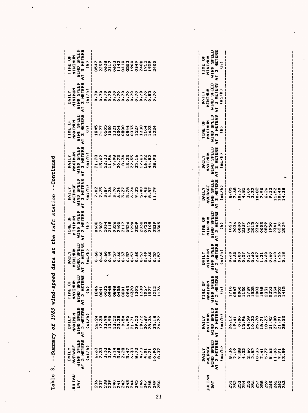| Table                                                                            | $\bullet$<br>$\ddot{ }$                                                                                                                                                                                                                                | -Summary of 1983 wind-sp                                                                                                             | eed                                                                                                            | at<br>data                                                                                                                    |                                                                                                                                  | the raft station --Continued                                                                                                                                            |                                                                                        |                                                                                               |                                                                                    |                                                                                        |
|----------------------------------------------------------------------------------|--------------------------------------------------------------------------------------------------------------------------------------------------------------------------------------------------------------------------------------------------------|--------------------------------------------------------------------------------------------------------------------------------------|----------------------------------------------------------------------------------------------------------------|-------------------------------------------------------------------------------------------------------------------------------|----------------------------------------------------------------------------------------------------------------------------------|-------------------------------------------------------------------------------------------------------------------------------------------------------------------------|----------------------------------------------------------------------------------------|-----------------------------------------------------------------------------------------------|------------------------------------------------------------------------------------|----------------------------------------------------------------------------------------|
| <b>MAITION</b><br>DAY                                                            | 2 METERS<br>WIND SPEED<br>AVERAGE<br>(mi/h)<br><b>IIAILY</b><br>$\tilde{\mathbf{c}}$                                                                                                                                                                   | 2 HETERS<br>WIND SPEED<br>MAXIMUM<br>(mi/h)<br>DAILY<br>$\overline{\bullet}$                                                         | <b>WIND SPEED</b><br>ERS<br>MAXIMUM<br>ь<br>$2$ METE<br>0<br>$\hat{a}$<br><b>TIME</b><br>$\overline{\epsilon}$ | 2 METERS<br>WIND, SPEED<br>MINIMUM<br>(m1/n)<br>INNILY<br>$\tilde{\epsilon}$                                                  | <b>METERS</b><br>WIND SPEED<br><b>EDEIXIZ</b><br>ð<br>$\hat{\epsilon}$<br><b>TIME</b><br>$\mathbf{\hat{c}}$<br>$\tilde{\bullet}$ | WIND SPEED<br>3 METERS<br>AVERAGE<br>(m)/h<br>MILY<br>ā                                                                                                                 | 3 METERS<br>WIND SPEED<br>MAXIMUM<br>$(m)$ /h)<br><b>TIVAL</b><br>$\overline{\bullet}$ | 3 METERS<br><b>WIND SPEED</b><br>MAXIMUM<br>ð<br>$\hat{\epsilon}$<br>TIME<br>$\bar{\epsilon}$ | WIND SPEED<br>3 METERS<br>MINIMUM<br>(mi/h)<br><b>TIATLY</b><br>$\tilde{\bullet}$  | WIND SPEED<br>3 HETERS<br><b>ADEIXIZ</b><br>ö<br>$\hat{a}$<br>TIME<br>έ                |
| ٠<br>242<br>238<br>239<br>236<br>240<br>237                                      | $\ddot{\bm{e}}$<br>6.63<br>7.33                                                                                                                                                                                                                        | 17.38<br>$13.90$<br>$13.90$<br>$13.22$<br>23.38<br>26.24                                                                             | ✔<br>0035<br>0848<br>∙<br>0948<br>0458<br>0041<br>$\frac{4}{10}$                                               | 0.60<br>०<br>०<br><b>so</b><br>0.49<br>$\boldsymbol{\mathsf{S}}$<br>0.57<br>$\dot{\cdot}$                                     | 8090<br>2118<br>0326<br>2400<br>2302<br>2034                                                                                     | .26<br>$\ddot{\circ}$<br>$\ddot{\cdot}$<br>$7.75$<br>3.87<br>$\ddot{\mathbf{e}}$<br>$\ddot{a}$<br>$\overline{\phantom{a}}$<br>$\ddot{\bullet}$<br><b>M</b><br>$\bullet$ | 21.28<br>12.33<br>15.62<br>11.96<br>66.<br>20.73<br>$\bullet$                          | 0105<br>1030<br>1845<br>2127<br>0504<br>1321                                                  | 0.70<br>0.70<br>0.70<br>$\tilde{c}$ .<br>0.70<br>0.70                              | 2259<br>0638<br>1142<br>0547<br>2117<br>0653                                           |
| $745$<br>$745$<br>246<br>247<br>248<br>249<br>250                                | 4.73<br>6.33<br>8.72<br>$-37$<br>4.01<br>8.21<br>$\circ$ $\circ$                                                                                                                                                                                       | 9.54<br>16.90<br>29.52<br>20.72<br>20.69<br>8.36<br>œ<br>21.71<br>۰<br>$\frac{1}{2}$<br>Ý.<br>$\blacktriangledown$<br>N<br><b>MN</b> | 0843<br>0328<br>1305<br>330<br>052<br>522<br>0801<br>TV.<br>ដូង<br>$\blacksquare$                              | .60<br>0.60<br>0.37<br>$\overline{5}$<br>D<br>b.<br>0.49<br>b<br>b<br>ွ<br>$\ddot{\cdot}$<br>ં<br>$\bullet$<br>$\bullet$<br>۰ | 0526<br>1920<br>2359<br>2038<br>2117<br>0725<br>2108<br>2339<br>305<br>$\circ$                                                   | 9.25<br>5.40<br>5.78<br>6.74<br>3.27<br>4.43<br>.87<br>1.79<br>$\bullet$                                                                                                | 8.34<br>13.23<br>22.55<br>25.16<br>17.63<br>16.92<br>.82<br>28.93<br>$\ddot{\bullet}$  | 0800<br>1330<br>0844<br>0333<br>1104<br>224<br>1527<br>1623                                   | 0.70<br>0.70<br>0.70<br>0.70<br>0.70<br>0.70<br>0.85<br>0.70                       | 0410<br>0503<br>1900<br>0349<br>2400<br>1912<br>1959<br>2400                           |
| <b>NAITINT</b><br>DAY<br>251                                                     | <b>WIND SPEED</b><br>2 METERS<br>AVERAGE<br>min/h<br>36 <sub>o</sub><br>DAILY<br>œ<br>$\overline{\epsilon}$                                                                                                                                            | 2 METERS<br>WIND SPEED<br>MAXIMUM<br>(m) / h<br>DAILY<br>26,12<br>$\tilde{\bullet}$                                                  | 2 METERS<br>WIND SPEED<br>MAXIMUM<br>TIME OI<br>$\hat{a}$<br>1710<br>$\overline{\cdot}$                        | 2 METERS<br>WIND SPEED<br>MININUM<br>m1/h<br>$\ddot{\bm{6}}$<br>DAILY<br>۰<br>έ                                               | <b>WIND SPEED</b><br>2 HETERS<br>HUNINIE<br>ö<br>$\hat{\epsilon}$<br>1053<br>TIME<br>$\overline{\bullet}$                        | 3 METERS<br>WIND SPEED<br><b>AVERAGE</b><br>(mi/h)<br>DAILY<br>8.85<br>$\overline{\bullet}$                                                                             | 3 METERS<br><b>WIND SPEED</b><br>MAXIMUM<br>(mi/h)<br>DAILY<br>$\bar{\mathbf{c}}$      | WIND SPEED<br>3 METERS<br>MAXIMUM<br>ö<br>$\hat{\epsilon}$<br>TIME<br>$\overline{\epsilon}$   | 3 HETERS<br>WIND SPEED<br><b>AURINIZY</b><br>(mi/h)<br>DAILY<br>$\tilde{\epsilon}$ | WIND SPEED<br><b>METERS</b><br>MININITH<br>ð<br>$\hat{e}$<br>TIME<br>m<br>$\mathbf{r}$ |
| 256<br>258<br>259<br>252<br>253<br>254<br>255<br>257<br>260<br>262<br>263<br>261 | .88.<br>.60<br>.19<br>4.32<br>.8 <sub>c</sub><br>$\ddot{5}$<br>5.77<br>.63<br>.03<br>$\frac{1}{2}$<br>$\ddot{•}$<br>$\bullet$<br>$\sim$<br>$\bullet$<br>$\sim$<br>$\bullet$<br>$\triangleright$<br>$\bullet$<br>$\bullet$<br>n<br>C1<br>$\blacksquare$ | 25.78<br>0.00<br>5.96<br>14.58<br>10.22<br>18.23<br>21.42<br>27.88<br>18.71<br>21.91<br>28.53<br>19.41<br>⊶                          | 1739<br>1525<br>2003<br>0847<br>0000<br>1130<br>1848<br>2331<br>1334<br>2052<br>1415                           | 0.60<br>0.60<br>0.00<br>0.57<br>0.60<br>1.31<br>s.<br>०<br>0.60<br>1.56<br>.18<br>0.57<br>2.07<br>ស                           | 2036<br>$\frac{8}{3}$<br>2342<br>0003<br>0829<br>0615<br>2015<br>1950<br>0230<br>2337<br>2024<br>2341                            | متر<br>7.68<br>3.09<br>3.32<br>10.82<br>7.90<br>10.37<br><b>92.9</b><br>9.12<br>11.52<br>10.40<br>4.81<br>14.38                                                         |                                                                                        |                                                                                               |                                                                                    |                                                                                        |

 $\hat{\mathcal{A}}$ 

 $\sim$  .

 $\hat{\mathcal{L}}$ 

 $\frac{1}{1}$ 

 $\hat{\mathbf{v}}$ 

 $\ddot{\phantom{0}}$ 

 $\ddot{\phantom{a}}$ 

 $\ddot{\phantom{0}}$ 

J.

 $\mathcal{C}$ 

 $\hat{\mathcal{S}}$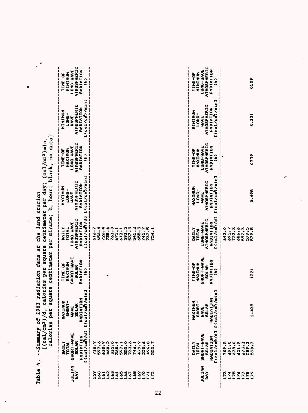| SHORT-WAVE<br>RADIATION<br>MAXIMUM<br>TIME-OF<br><b>SOLAR</b><br>$\hat{\epsilon}$<br>nin <sub>1</sub><br>i<br>RADIATION<br>L(cal/cm)/n<br>MAXINUM<br>SHORT-<br><b>SOLAR</b><br><b>UAVE</b><br>$C$ (cal/cm $\partial$ /d]<br>SHORT-WAVE<br>RADIATION<br><b>SOLAR</b><br>597.6<br>718.9<br>733.6<br>496.0<br>555.7<br>709.5<br>691.0<br>678.0<br>630.9<br>460.2<br>335.0<br>355.0<br>479.9<br>220.6<br>TOTAL<br>673.3<br>746.1<br>DAILY<br>651.9<br>597.1<br>$\frac{1}{2}$<br><b>JULIAN</b><br>159<br>169<br>175<br>$\frac{60}{1}$<br>162<br>163<br>165<br>166<br>168<br>172<br><b>DAY</b><br>176<br>167<br>$\frac{1}{2}$<br>173<br>177<br>$\frac{1}{2}$<br>$\overline{171}$<br>174<br>$\frac{1}{2}$<br>ł | SHORT-WAVE<br>RADIATION<br><b>SOLAR</b><br>TOTAL | MAXIMUM<br>SHORT-<br>RADIATIO<br>í<br><b>SOLAR</b><br><b>UAVE</b><br>ļ | SHORT-WAVE<br>RADIATION<br>MAXIMUM<br>TIME-OF<br><b>SOLAR</b> | ATMOSPHERIC<br>RADIATION<br>LONG-WAVE<br>DAILY<br>TOTAL | ATHOSPHERIC<br>RADIATION<br>MAXIMUM<br>LONG-<br><b>WAVE</b> | <b>ATMOSPHERIC</b><br>RADIATION<br><b>TOMO-MUST</b><br>MAXIMUM<br>TIME-OF | ATHOSPHERIC<br>RADIATION<br><b>ADAIRIZ</b><br>LONG-<br><b>WAVE</b> | ATMOSPHERIC<br>RADIATION<br>LONG-WAVE<br>MINIZIZ<br>TIME-OF |
|---------------------------------------------------------------------------------------------------------------------------------------------------------------------------------------------------------------------------------------------------------------------------------------------------------------------------------------------------------------------------------------------------------------------------------------------------------------------------------------------------------------------------------------------------------------------------------------------------------------------------------------------------------------------------------------------------------|--------------------------------------------------|------------------------------------------------------------------------|---------------------------------------------------------------|---------------------------------------------------------|-------------------------------------------------------------|---------------------------------------------------------------------------|--------------------------------------------------------------------|-------------------------------------------------------------|
|                                                                                                                                                                                                                                                                                                                                                                                                                                                                                                                                                                                                                                                                                                         | [(cal/cm)/d]                                     | nin <sub>1</sub><br>$C$ cal/cm//                                       | $\hat{\epsilon}$                                              | $C$ (cal/cm)/d]                                         | [(cal/cmf/min]                                              | $\hat{\mathbf{e}}$                                                        | [(cal/cat/min]                                                     | $\hat{c}$                                                   |
|                                                                                                                                                                                                                                                                                                                                                                                                                                                                                                                                                                                                                                                                                                         |                                                  |                                                                        |                                                               | 616.<br> <br> <br>                                      |                                                             |                                                                           |                                                                    |                                                             |
|                                                                                                                                                                                                                                                                                                                                                                                                                                                                                                                                                                                                                                                                                                         |                                                  |                                                                        |                                                               | 656.                                                    |                                                             |                                                                           |                                                                    |                                                             |
|                                                                                                                                                                                                                                                                                                                                                                                                                                                                                                                                                                                                                                                                                                         |                                                  |                                                                        |                                                               | 726.                                                    |                                                             |                                                                           |                                                                    |                                                             |
|                                                                                                                                                                                                                                                                                                                                                                                                                                                                                                                                                                                                                                                                                                         |                                                  |                                                                        |                                                               | 738.6                                                   |                                                             |                                                                           |                                                                    |                                                             |
|                                                                                                                                                                                                                                                                                                                                                                                                                                                                                                                                                                                                                                                                                                         |                                                  |                                                                        |                                                               | 763.0                                                   |                                                             |                                                                           |                                                                    |                                                             |
|                                                                                                                                                                                                                                                                                                                                                                                                                                                                                                                                                                                                                                                                                                         |                                                  |                                                                        |                                                               | 671.                                                    |                                                             |                                                                           |                                                                    |                                                             |
|                                                                                                                                                                                                                                                                                                                                                                                                                                                                                                                                                                                                                                                                                                         |                                                  |                                                                        |                                                               | 613.1                                                   |                                                             |                                                                           |                                                                    |                                                             |
|                                                                                                                                                                                                                                                                                                                                                                                                                                                                                                                                                                                                                                                                                                         |                                                  |                                                                        |                                                               | 537.3<br>593.5                                          |                                                             |                                                                           |                                                                    |                                                             |
|                                                                                                                                                                                                                                                                                                                                                                                                                                                                                                                                                                                                                                                                                                         |                                                  |                                                                        |                                                               | 545.2                                                   |                                                             |                                                                           |                                                                    |                                                             |
|                                                                                                                                                                                                                                                                                                                                                                                                                                                                                                                                                                                                                                                                                                         |                                                  |                                                                        |                                                               | 655.3                                                   |                                                             |                                                                           |                                                                    |                                                             |
|                                                                                                                                                                                                                                                                                                                                                                                                                                                                                                                                                                                                                                                                                                         |                                                  |                                                                        |                                                               | 745.7                                                   |                                                             |                                                                           |                                                                    |                                                             |
|                                                                                                                                                                                                                                                                                                                                                                                                                                                                                                                                                                                                                                                                                                         |                                                  |                                                                        |                                                               | 732.5                                                   |                                                             |                                                                           |                                                                    |                                                             |
|                                                                                                                                                                                                                                                                                                                                                                                                                                                                                                                                                                                                                                                                                                         |                                                  |                                                                        |                                                               | 754.1                                                   |                                                             |                                                                           |                                                                    |                                                             |
|                                                                                                                                                                                                                                                                                                                                                                                                                                                                                                                                                                                                                                                                                                         |                                                  |                                                                        |                                                               |                                                         |                                                             |                                                                           |                                                                    |                                                             |
|                                                                                                                                                                                                                                                                                                                                                                                                                                                                                                                                                                                                                                                                                                         |                                                  |                                                                        |                                                               |                                                         |                                                             |                                                                           |                                                                    |                                                             |
|                                                                                                                                                                                                                                                                                                                                                                                                                                                                                                                                                                                                                                                                                                         |                                                  |                                                                        |                                                               | DAILY<br>TOTAL                                          | MAXIMUM<br>LONG-                                            | <b>IO-3NIL</b><br>MAXIMUM                                                 | <b>ADAIZIZ</b><br>LONG-                                            | TIME-OF<br><b>ADEIZIZ</b>                                   |
|                                                                                                                                                                                                                                                                                                                                                                                                                                                                                                                                                                                                                                                                                                         |                                                  |                                                                        |                                                               | LONG-WAVE                                               | <b>WAVE</b>                                                 | LONG-WAVE                                                                 | <b>WAVE</b>                                                        | LONG-WAVE                                                   |
|                                                                                                                                                                                                                                                                                                                                                                                                                                                                                                                                                                                                                                                                                                         |                                                  |                                                                        |                                                               | <b>ATMOSPHERIC</b>                                      | ATMOSPHERIC                                                 | ATMOSPHERIC                                                               | ATHOSPHERIC                                                        | <b>ATMOSPHERIC</b>                                          |
|                                                                                                                                                                                                                                                                                                                                                                                                                                                                                                                                                                                                                                                                                                         |                                                  |                                                                        |                                                               | $C$ (cal/cm)/d]<br>RADIATION                            | [(cal/cmf)/min]<br>RADIATION                                | RADIATION<br>$\hat{\epsilon}$                                             | $C$ cal/cm $\frac{3}{2}$ /min]<br>RADIATION                        | RADIATION<br>$\hat{=}$                                      |
|                                                                                                                                                                                                                                                                                                                                                                                                                                                                                                                                                                                                                                                                                                         |                                                  |                                                                        |                                                               | 642.0                                                   |                                                             |                                                                           |                                                                    |                                                             |
|                                                                                                                                                                                                                                                                                                                                                                                                                                                                                                                                                                                                                                                                                                         |                                                  |                                                                        |                                                               | 691.7                                                   |                                                             |                                                                           |                                                                    |                                                             |
|                                                                                                                                                                                                                                                                                                                                                                                                                                                                                                                                                                                                                                                                                                         |                                                  |                                                                        |                                                               | 722.3                                                   |                                                             |                                                                           |                                                                    |                                                             |
|                                                                                                                                                                                                                                                                                                                                                                                                                                                                                                                                                                                                                                                                                                         |                                                  |                                                                        |                                                               | 686.6                                                   |                                                             |                                                                           |                                                                    |                                                             |
|                                                                                                                                                                                                                                                                                                                                                                                                                                                                                                                                                                                                                                                                                                         |                                                  |                                                                        |                                                               | 597.3                                                   |                                                             |                                                                           |                                                                    |                                                             |
| 1221<br>1.439<br>589.3<br>590.7<br>178                                                                                                                                                                                                                                                                                                                                                                                                                                                                                                                                                                                                                                                                  |                                                  |                                                                        |                                                               | 579.5<br>579.5                                          | 0.498                                                       | 0739                                                                      | 0.321                                                              | 0509                                                        |

 $\bar{\bar{z}}$ 

 $\ddot{\phantom{0}}$ 

1.439

1221

د

0.321

 $\ddot{\phantom{a}}$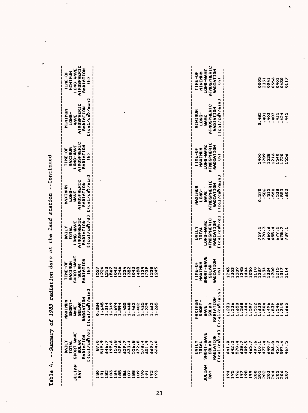| DAILY                            |                                                    |                                                  |                                                                 |                                         |                                                |                                                  |                                                       |
|----------------------------------|----------------------------------------------------|--------------------------------------------------|-----------------------------------------------------------------|-----------------------------------------|------------------------------------------------|--------------------------------------------------|-------------------------------------------------------|
| SHORT-WAVE                       | MAXINUM<br>SHORT-<br><b>SOLAR</b><br><b>MAVE</b>   | SHORT-WAVE<br>MAXIMUM<br>TIME-OF<br><b>SOLAR</b> | <b>ATMOSPHERIC</b><br><b>LONG-WAVE</b><br>DAILY<br><b>TOTAL</b> | ATMOSPHERIC<br>MUNIXAN<br>LONG-<br>UNVE | ATHOSPHERIC<br>LONG-WAVE<br>MAXIMUM<br>TIME-OF | <b>ATHOSPHERIC</b><br>エコエ 121 エ<br>LONG-<br>UNVE | ATMOSPHERIC<br>LONG-WAVE<br>MININUM<br><b>TIME-OF</b> |
| $C$ (col/cm3/d]<br>RADIATION     | min <sub>1</sub><br>RADIATION<br>L(cal/ch)         | RADIATION<br>$\hat{a}$                           | $C$ cal/cm $/ d$ ]<br>RADIATION                                 | [(cal/cmf/min]<br>RADIATION             | RADIATION<br>$\hat{a}$                         | n<br>$C$ (cal/cm2)/min<br>RADIATION              | RADIATION<br>$\hat{=}$                                |
| 87.0                             | 0.284                                              | 527                                              |                                                                 |                                         |                                                |                                                  |                                                       |
| 519.9                            | .645                                               | 226                                              |                                                                 |                                         |                                                |                                                  |                                                       |
| 646.7                            | .314<br>$\blacksquare$                             | 213                                              |                                                                 |                                         |                                                |                                                  |                                                       |
| 199.6<br>153.8                   | .349<br>.694<br>$\blacksquare$                     | 042<br>507                                       |                                                                 |                                         |                                                |                                                  |                                                       |
| 429.6                            | .594<br>$\blacksquare$<br>œ۴                       | 246                                              |                                                                 |                                         |                                                |                                                  |                                                       |
| 629.7                            | .455<br>м                                          | 234                                              |                                                                 |                                         |                                                |                                                  |                                                       |
| 633.4                            | .448<br>⊷                                          | 352                                              |                                                                 |                                         |                                                |                                                  |                                                       |
| 556.8                            | -                                                  | 042                                              |                                                                 |                                         |                                                |                                                  |                                                       |
| 472.8                            | .462<br>-                                          | 458                                              |                                                                 |                                         |                                                |                                                  |                                                       |
| 578.4                            | .435<br>$\blacksquare$                             | 124                                              |                                                                 |                                         |                                                |                                                  |                                                       |
| 651.9                            | .229<br>٠×                                         | 239                                              |                                                                 |                                         |                                                |                                                  |                                                       |
| 660.7                            | .662                                               | 228                                              |                                                                 |                                         |                                                |                                                  |                                                       |
| 64.0                             | .265                                               | 245                                              |                                                                 |                                         |                                                |                                                  |                                                       |
|                                  |                                                    |                                                  |                                                                 |                                         |                                                |                                                  |                                                       |
|                                  |                                                    |                                                  |                                                                 |                                         |                                                |                                                  |                                                       |
| <b>DAILY</b><br>TOTAL            | MAXINUM<br>SHORT-                                  | MAXINUM<br>TIME-OF                               | MILY<br>TOTAL                                                   | MOKIXER<br>LONG-                        | MAXIMUM<br>TIME-OF                             | <b>NANIXIZ</b><br>LONG-                          | <b>XIXIZIZ</b><br><b>TIME-OF</b>                      |
| SHORT-WAVE                       | <b>MAVE</b>                                        | SHORT-WAVE                                       | LONG-WAVE                                                       | <b>UAVE</b>                             | LONG-WAVE                                      | UNVE                                             | <b>LONG-WAVE</b>                                      |
| <b>SOLAR</b>                     | <b>SOLAR</b>                                       | <b>SOLAR</b>                                     | ATMOSPHERIC                                                     | ATMOSPHERIC                             | ATHOSPHERIC                                    | ATMOSPHERIC                                      | <b>ATHOSPHERIC</b>                                    |
| $C$ (cal/cm $D$ /d]<br>RADIATION | min <sub>1</sub><br>RADIATION<br>$C(\cosh/\cosh)/$ | RADIATION<br>ê                                   | $C$ (cal/cm $/$ d]<br>RADIATION                                 | [(cal/cmd/min]<br>RADIATION             | RADIATION<br>$\hat{c}$                         | $C(11/Cm)$ /min]<br>RADIATION                    | RADIATION<br>$\hat{z}$                                |
| 641.0                            | .233                                               | 7<br>ก                                           |                                                                 |                                         |                                                |                                                  |                                                       |
| 642.2                            | .236                                               | 303                                              |                                                                 |                                         |                                                |                                                  |                                                       |
| 578.4                            | .650                                               | 209                                              |                                                                 |                                         |                                                |                                                  |                                                       |
| 409.5<br>638.7                   | .268<br>.444<br>⊷<br>⊷                             | 245<br>$\frac{404}{4}$                           |                                                                 |                                         |                                                |                                                  |                                                       |
| 465.7                            | .597<br>w                                          | 050                                              |                                                                 |                                         |                                                |                                                  |                                                       |
| 487.6                            | .522<br>₩                                          | 1110                                             |                                                                 |                                         |                                                |                                                  |                                                       |
| 410.1                            | w                                                  | 1237                                             | 759.1                                                           | 0.570                                   | 2400                                           | 0.482                                            | 。<br>000                                              |
| 477.4                            | $\frac{4}{5}$<br>۰                                 | 1134                                             | 728.3                                                           | .586                                    | 1209                                           | .401                                             | 2331                                                  |
| 640.7                            | 496<br>٠                                           | 324                                              | 660.6                                                           | .515                                    | 1528                                           | .403                                             | 0041                                                  |
| 506.0<br>457.3                   | .839<br>.546                                       | 200<br>215                                       | 655.4<br>679.1                                                  | .550<br>.538                            | 1216<br>540                                    | .407<br>.431                                     | 0556<br>0401                                          |
| 597.4                            | .315                                               | 317                                              | 678.2                                                           | .553                                    |                                                | .424                                             | 0430                                                  |
| 467.5                            | 665<br>٠                                           | 1114                                             | 739.1                                                           | اطر<br>.602                             | 1720                                           | .445                                             | 0117                                                  |
|                                  |                                                    |                                                  |                                                                 |                                         |                                                |                                                  |                                                       |

 $\ddot{\phantom{0}}$ 

 $\ddot{\phantom{0}}$ 

 $\ddot{\phantom{0}}$ 

 $\ddot{\phantom{0}}$ 

 $\overline{\phantom{a}}$ 

 $\hat{\mathbf{r}}$ 

 $\ddot{\phantom{0}}$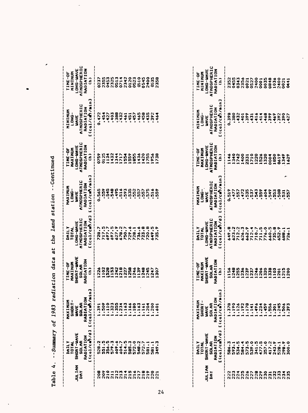| ∢<br>Table      | -Summary<br>٠                                                                                                                                  | ິ<br>198<br>of                                                                                                                                                               | radiation data                                                                                              | <b>land</b><br>the<br>đ                                                                                                    | station                                                                                                     | --Continued                                                                                                               |                                                                                                                                    |                                                                                                              |
|-----------------|------------------------------------------------------------------------------------------------------------------------------------------------|------------------------------------------------------------------------------------------------------------------------------------------------------------------------------|-------------------------------------------------------------------------------------------------------------|----------------------------------------------------------------------------------------------------------------------------|-------------------------------------------------------------------------------------------------------------|---------------------------------------------------------------------------------------------------------------------------|------------------------------------------------------------------------------------------------------------------------------------|--------------------------------------------------------------------------------------------------------------|
| JULIAN<br>DAY   | n<br>$C$ (col/cm)/d<br>SHORT-WAVE<br>RADIATION<br><b>SOLAR</b><br>TOTAL<br><b>IMILY</b>                                                        | $min$<br>$\epsilon$<br>$\Sigma$ 1<br><b>SOLAR</b><br>HAXINU<br>E(cal/cm)<br><b>SHORT</b><br><b>UAVE</b>                                                                      | SHORT-WAVE<br>RADIATION<br>MAXINUM<br>TIME-OF<br><b>SOLAR</b><br>$\hat{\epsilon}$                           | $C$ (col/cm $7/d$ )<br><b>ATMOSPHERIC</b><br>RADIATION<br>LONG-WAVE<br>MIII<br>TOTAL                                       | n<br>[(cal/cm)/min<br>ATMOSPHERIC<br>RADIATION<br>MAXIMUM<br>LONG-<br>UAVE                                  | <b>ATMOSPHERIC</b><br>LONG-WAVE<br>RADIATION<br>MAXIMUM<br>TIME-OF<br>$\hat{\epsilon}$                                    | ┍<br>$C$ (cal/cm $\gamma$ /min<br>ATMOSPHERIC<br>RADIATION<br><b>EDEIZIZ</b><br>LONG-<br>UAVE                                      | ATMOSPHERIC<br>RADIATION<br>LONG-WAVE<br>MININIE<br>TIME-OF<br>$\hat{\epsilon}$                              |
| $\vec{c}$<br>C. | Ċ.<br>551.5<br>579.3<br>514.5<br>356.5<br>609.6<br>604.7<br>585.3<br>572.0<br>548.2<br>572.7<br>n<br>581.1<br>581.1<br>$\bullet$<br>528<br>349 | .509<br>.110<br>.355<br>.163<br>$-323$<br>.234<br>.166<br>.180<br>.163<br>.204<br>.200<br>.391<br>.161<br>.661<br>e.<br>$\blacksquare$<br>⊷<br>$\overline{\phantom{a}}$<br>÷ | 102<br>528<br>$\frac{15}{15}$<br>242<br>218<br>258<br>246<br>139<br>248<br>227<br>245<br>226<br>1247<br>307 | 717.5<br>627.9<br>678.2<br>723.8<br>720.8<br>728.7<br>697.7<br>697.5<br>729.6<br>736.6<br>649.5<br>750.7<br>728.1<br>735.9 | 545<br>548<br>495<br>516<br>593<br>535<br>552<br>0.565<br>559<br>557<br>557<br>575<br>$\frac{6}{51}$<br>559 | 1432<br>1436<br>420<br>0125<br>1134<br>1344<br>1717<br>1559<br>1855<br>1755<br>1956<br>0759<br>ងឹ<br>738<br>$\rightarrow$ | .388<br>$-432$<br>0.472<br>.454<br>$-427$<br>.403<br>.461<br>.451<br>$-452$<br>.465<br>.458<br>.435<br>392<br>464<br>$\frac{1}{2}$ | 0714<br>2342<br>0120<br>0510<br>2355<br>0453<br>2325<br>0513<br>0523<br>0545<br>2400<br>2358<br>0535<br>0237 |
| NAITH<br>DAY    | m<br>$C$ (col/cm3/d<br>SHORT-WAVE<br>RADIATION<br><b>SOLAR</b><br>DAILY<br>TOTAL                                                               | /min]<br>ã<br>z.<br>-1<br>SOLAR<br>RADIATIC<br>L(col/cm)<br>MAXIMU<br><b>SHORT</b><br>UAVE                                                                                   | SHORT-WAVE<br>RADIATION<br>MAXIMUM<br>TIME-OF<br><b>SOLAR</b><br>$\hat{\epsilon}$                           | $C$ (col/cm)/d]<br>ATMOSPHERIC<br>RADIATION<br>LONG-WAVE<br><b>NTIVA</b><br>TOTAL                                          | n<br>[(cal/cm)/min<br>ATMOSPHERIC<br>RADIATION<br>HUMIXAH<br>$\cdot$<br>$\frac{1}{2}$<br><b>UAVE</b>        | ATMOSPHERIC<br>RADIATION<br>LONG-WAVE<br>MAXIMUM<br>TIME-OF<br>$\hat{\epsilon}$                                           | [(cal/cm2)/min]<br><b>ATHOSPHERIC</b><br>RADIATION<br><b>EDEIZIE</b><br>ーロスロー<br><b>UAVE</b>                                       | ATMOSPHERIC<br>RADIATION<br>LONG-WAVE<br><b>NDNININ</b><br>TIME-OF<br>$\hat{\epsilon}$                       |
|                 | 573.5<br>539.0<br>477.5<br>341.5<br>357.0<br>417.2<br>243.9<br>n<br>586.3<br>534.5<br>593.1<br>$\frac{1}{58}$                                  | .190<br>.192<br>.178<br>.378<br>.126<br>.496<br>.459<br>.556<br>.234<br>.301<br>.141                                                                                         | 248<br>255<br>236<br>246<br>206<br>320<br>338<br>1103<br>156<br>239<br>237                                  | 8,949<br>623.2<br>712.2<br>626.3<br>662.9<br>711.5<br>776.0<br>660.5<br>735.8<br>712.4<br>710.7                            | 472<br>.535<br>543<br>.559<br><b>0.519</b><br>,557<br>537<br>.604<br>549<br>553<br>.477                     | 340<br>1710<br>.146<br>1742<br>1400<br>1220<br>1526<br>1320<br>2331<br>0004<br>1850                                       | 0.398<br>.380<br>.432<br>665.<br>$-416$<br>.468<br>.399<br>401<br>.431<br>.414<br>.469                                             | 2356<br>2352<br>0455<br>0343<br>0021<br>0527<br>2400<br>0035<br>0848<br>1036<br>0001                         |
|                 | ۰<br>300.0<br>528.1<br>$\bullet$<br>298                                                                                                        | .245<br>506<br>393<br>٠                                                                                                                                                      | $\frac{5}{215}$<br>200<br>$\overline{201}$                                                                  | 652.9<br>688.1<br>726.1                                                                                                    | ٠<br>508<br>557<br>$\frac{5}{2}$                                                                            | 0619<br>1349<br>1629                                                                                                      | 262.<br>390<br>427                                                                                                                 | 2400<br>0021<br>0441                                                                                         |

 $\overline{24}$ 

 $\tilde{\mathbb{I}}$  $\mathcal{L}_{\mathcal{A}}$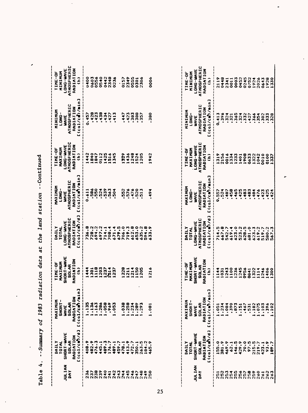| JULIAN<br>IAY                                                                                                         | [(col/cm7/d]<br>SHORT-WAVE<br>RADIATION<br><b>SOLAR</b><br>DAILY<br><b>TOTAL</b> | min <sub>1</sub><br>z<br>MAXIMUM<br>SHORT-<br>RADIATIO<br>L(cal/c <b>n</b> )<br><b>SOLAR</b><br><b>UAVE</b> | SHORT-WAVE<br>RADIATION<br>MAXIMUM<br>TIME-OF<br><b>SOLAR</b><br>$\hat{\epsilon}$ | $C$ (cal/cm $7$ /d]<br>ATMOSPHERIC<br>RADIATION<br>LONG-WAVE<br><b>DAILY</b><br>TOTAL | [(cal/cmf/min]<br>ATHOSPHERIC<br>RADIATION<br>MAXIMUM<br>LONG-<br><b>UAVE</b> | ATMOSPHERIC<br>RADIATION<br>LONG-WAVE<br>MAXIMUM<br>TIME-OF<br>$\hat{\epsilon}$ | [(col/ca)/min]<br>ATMOSPHERIC<br>RADIATION<br>MINININ<br>LONG-<br>UAVE | ATHOSPHERIC<br>RADIATION<br>LONG-WAVE<br>MINININ<br>TIME-OF<br>$\hat{a}$ |
|-----------------------------------------------------------------------------------------------------------------------|----------------------------------------------------------------------------------|-------------------------------------------------------------------------------------------------------------|-----------------------------------------------------------------------------------|---------------------------------------------------------------------------------------|-------------------------------------------------------------------------------|---------------------------------------------------------------------------------|------------------------------------------------------------------------|--------------------------------------------------------------------------|
|                                                                                                                       |                                                                                  |                                                                                                             |                                                                                   | i                                                                                     |                                                                               |                                                                                 |                                                                        |                                                                          |
|                                                                                                                       | 408.9                                                                            | 13563                                                                                                       | 444                                                                               | 736.8                                                                                 | 0.611                                                                         | 442                                                                             | 0.457                                                                  | $\frac{8}{3}$                                                            |
|                                                                                                                       | 482.9<br>476.3                                                                   | $\rightarrow$                                                                                               | 301                                                                               | 728.2                                                                                 | .586                                                                          | 1840<br>1847                                                                    | .428                                                                   | 0603                                                                     |
|                                                                                                                       |                                                                                  | $\blacksquare$                                                                                              | 118                                                                               | 694.2                                                                                 | 550                                                                           |                                                                                 |                                                                        | 0556                                                                     |
|                                                                                                                       | 445.1                                                                            | .286<br>$\blacksquare$                                                                                      | 203                                                                               | 697.2                                                                                 | $\frac{3}{2}$                                                                 | 0112<br>1425                                                                    | .438                                                                   | 0540                                                                     |
|                                                                                                                       | 189.3                                                                            | .058<br>$\overline{\phantom{a}}$                                                                            | 237                                                                               | 714.1                                                                                 | 539                                                                           |                                                                                 | .434                                                                   | 0442                                                                     |
|                                                                                                                       | 176.7                                                                            | .969                                                                                                        | $\frac{1}{2}$                                                                     | 708.4                                                                                 | 563                                                                           |                                                                                 | .427                                                                   | 2348                                                                     |
|                                                                                                                       | 489.1                                                                            | .053<br>-                                                                                                   | 1237                                                                              | 671.4                                                                                 | $\frac{4}{5}$                                                                 | 1516<br>1345                                                                    | 413                                                                    | 0236                                                                     |
|                                                                                                                       | 459.7                                                                            |                                                                                                             |                                                                                   | 679.5                                                                                 |                                                                               |                                                                                 |                                                                        |                                                                          |
|                                                                                                                       | 478.1                                                                            | 038<br>٠<br>$\blacksquare$                                                                                  | 228                                                                               |                                                                                       | 552                                                                           | 529                                                                             | 447                                                                    | 0157                                                                     |
|                                                                                                                       | 413.9                                                                            | .258<br>⊷                                                                                                   | 211                                                                               | 706.0<br>719.3                                                                        | 576                                                                           | 436                                                                             | .423                                                                   | 2349                                                                     |
|                                                                                                                       | 472.7                                                                            | .234<br>⊷                                                                                                   | 214                                                                               | 612.8                                                                                 | 476                                                                           | 248                                                                             | .383                                                                   | 0555                                                                     |
|                                                                                                                       | 350.1                                                                            | .289<br>$\blacksquare$                                                                                      | 1150                                                                              | 653.0                                                                                 | 520                                                                           | 524                                                                             | 388.                                                                   | 0301                                                                     |
|                                                                                                                       |                                                                                  | n                                                                                                           |                                                                                   |                                                                                       |                                                                               |                                                                                 |                                                                        |                                                                          |
|                                                                                                                       | 263.5                                                                            | 29.<br>$\bullet$                                                                                            | 205                                                                               | 635.2<br>594.8                                                                        | $\frac{3}{2}$                                                                 | 205                                                                             | 357                                                                    | 2306                                                                     |
|                                                                                                                       | 184.2<br>465.9                                                                   |                                                                                                             |                                                                                   |                                                                                       |                                                                               |                                                                                 |                                                                        |                                                                          |
|                                                                                                                       |                                                                                  | $\overline{\mathbf{g}}$<br>$\bullet$<br>÷                                                                   | $-216$<br>-                                                                       | 33.9                                                                                  | 494                                                                           | 942                                                                             | 380                                                                    | 8000                                                                     |
|                                                                                                                       |                                                                                  |                                                                                                             |                                                                                   |                                                                                       |                                                                               |                                                                                 |                                                                        |                                                                          |
|                                                                                                                       | <b>IIAILY</b>                                                                    | MAXIMUM                                                                                                     | <b>TIME-DF</b>                                                                    | <b>DAILY</b>                                                                          | MAXIMUM                                                                       | <b>TIME-DF</b>                                                                  | モコモ こえこ                                                                | TIME-OF                                                                  |
|                                                                                                                       | TOTAL                                                                            | J,<br><b>SHORT</b>                                                                                          | MAXIMUM                                                                           | TOTAL                                                                                 | LONG-                                                                         | MAXIMUM                                                                         | <b>SAGT</b>                                                            | MININUM                                                                  |
| <b>JULIAN</b>                                                                                                         | SHORT-WAVE                                                                       | UAVE                                                                                                        | SHORT-WAVE                                                                        | LONG-WAVE                                                                             | <b>UAVE</b>                                                                   | LONG-WAVE                                                                       | <b>WAVE</b>                                                            | LONG-WAVE                                                                |
| Š                                                                                                                     | RADIATION<br><b>SOLAR</b>                                                        | RADIATION<br><b>SOLAR</b>                                                                                   | RADIATION<br><b>SOLAR</b>                                                         | <b>ATHOSPHERIC</b><br>RADIATION                                                       | ATMOSPHERIC<br>RADIATION                                                      | ATMOSPHERIC                                                                     | <b>ATMOSPHERIC</b>                                                     | ATHOSPHERIC                                                              |
|                                                                                                                       | [(col/cah/d)]                                                                    | Tuin <sub>1</sub><br>l(col/cn)/                                                                             | ŝ                                                                                 | $C$ cal/cm3/d]                                                                        | π<br>[(cal/cm?/min                                                            | RADIATION<br>$\hat{a}$                                                          | [(cal/cm7/min]<br>RADIATION                                            | RADIATION<br>$\hat{a}$                                                   |
|                                                                                                                       | 155.0                                                                            | 1.051                                                                                                       | 1144                                                                              | 714.5                                                                                 | 0.557                                                                         | 1319                                                                            | 0.413                                                                  | 2119                                                                     |
|                                                                                                                       | 381.9                                                                            | 1.234                                                                                                       | 031                                                                               | 667.8                                                                                 | .524                                                                          | 2156                                                                            | .396                                                                   | 0448                                                                     |
| ដ្ឋ ក្នុង ក្នុង ក្នុង ក្នុង ក្នុង<br>ក្នុង ក្នុង ក្នុង ក្នុង ក្នុង ក្នុង<br>ក្នុង ក្នុង ក្នុង ក្នុង ក្នុង ក្នុង ក្នុង | ۰<br>469.                                                                        | .084<br>÷                                                                                                   | 243                                                                               | 542.7                                                                                 | 184                                                                           | 0016                                                                            | 324                                                                    | 2341                                                                     |
|                                                                                                                       | 62.1                                                                             | .390                                                                                                        |                                                                                   | 619.4                                                                                 | 458                                                                           | 1334                                                                            |                                                                        | 0011                                                                     |
|                                                                                                                       | 146.5                                                                            | .873                                                                                                        | 236                                                                               | 623.0                                                                                 | 465                                                                           | 1233                                                                            | 365                                                                    | 0003                                                                     |
|                                                                                                                       | 429.9                                                                            | .151<br>$\blacksquare$                                                                                      | 1245                                                                              | 523.2                                                                                 | 425                                                                           | 1401                                                                            | 324                                                                    | 0452                                                                     |
|                                                                                                                       | 70.0                                                                             | .467                                                                                                        | 0956                                                                              | 628.5                                                                                 | .483                                                                          | 1908                                                                            | 332                                                                    | 0245                                                                     |
|                                                                                                                       | 97.5                                                                             | .531                                                                                                        | 0841                                                                              | 681.0                                                                                 | E84.                                                                          | 0633                                                                            | 427                                                                    | 0752                                                                     |
|                                                                                                                       | 215.5                                                                            | $1.182$<br>$1.075$                                                                                          | 322<br>$\rightarrow$                                                              | 623.3                                                                                 | .484                                                                          | 1322                                                                            | 366                                                                    | 1924                                                                     |
|                                                                                                                       | 219.7                                                                            |                                                                                                             | 1114                                                                              | 419.2                                                                                 | .476                                                                          | 1042                                                                            | 354                                                                    | 2026                                                                     |
| 261                                                                                                                   | 423.1                                                                            | .103<br>₩                                                                                                   | 246                                                                               | 519.7                                                                                 | .423                                                                          | 0010                                                                            | 302                                                                    | 0643                                                                     |
| 262<br>263                                                                                                            | へい<br>93.<br>$\bullet$<br>189                                                    | .396<br>965.<br>$\overline{\phantom{a}}$                                                                    | 406                                                                               | 580.2<br>567.3                                                                        | .424                                                                          | 0100<br>1337                                                                    | <b>328</b><br>228                                                      | 1928<br>1330                                                             |
|                                                                                                                       |                                                                                  |                                                                                                             |                                                                                   |                                                                                       |                                                                               |                                                                                 |                                                                        |                                                                          |

fo **(M**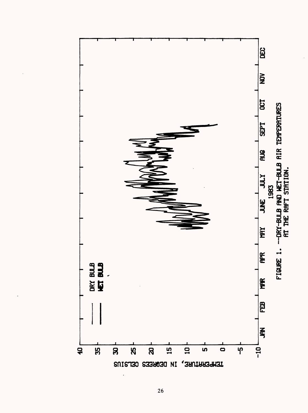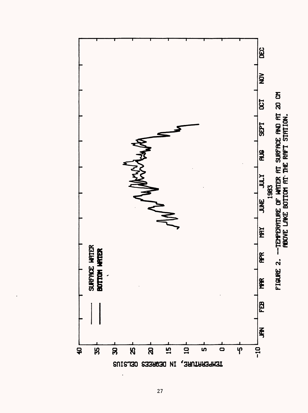